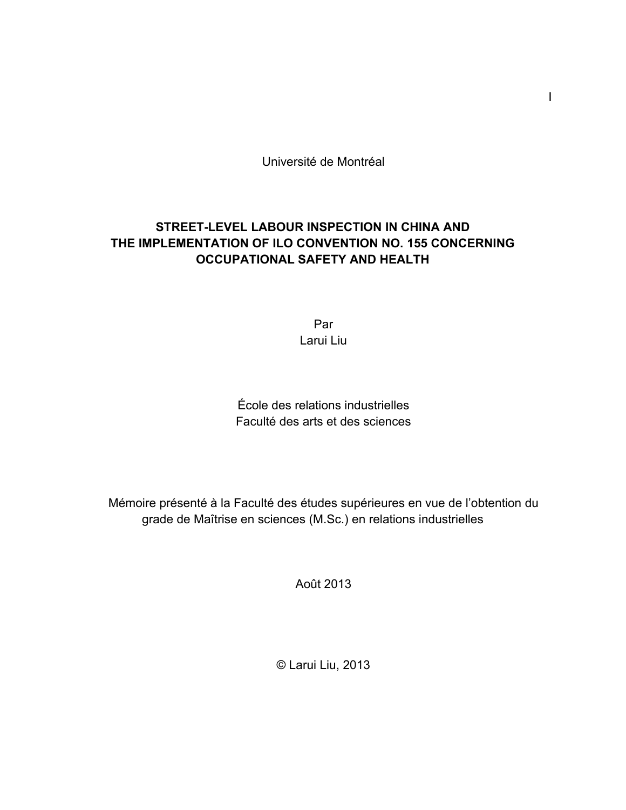Université de Montréal

## **STREET-LEVEL LABOUR INSPECTION IN CHINA AND THE IMPLEMENTATION OF ILO CONVENTION NO. 155 CONCERNING OCCUPATIONAL SAFETY AND HEALTH**

Par Larui Liu

École des relations industrielles Faculté des arts et des sciences

Mémoire présenté à la Faculté des études supérieures en vue de l'obtention du grade de Maîtrise en sciences (M.Sc.) en relations industrielles

Août 2013

© Larui Liu, 2013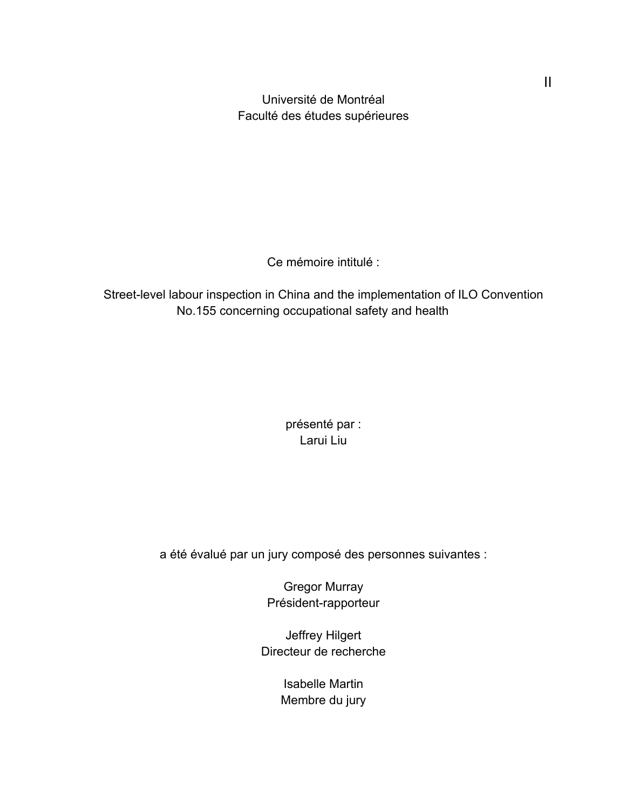Université de Montréal Faculté des études supérieures

Ce mémoire intitulé :

Street-level labour inspection in China and the implementation of ILO Convention No.155 concerning occupational safety and health

> présenté par : Larui Liu

a été évalué par un jury composé des personnes suivantes :

Gregor Murray Président-rapporteur

Jeffrey Hilgert Directeur de recherche

> Isabelle Martin Membre du jury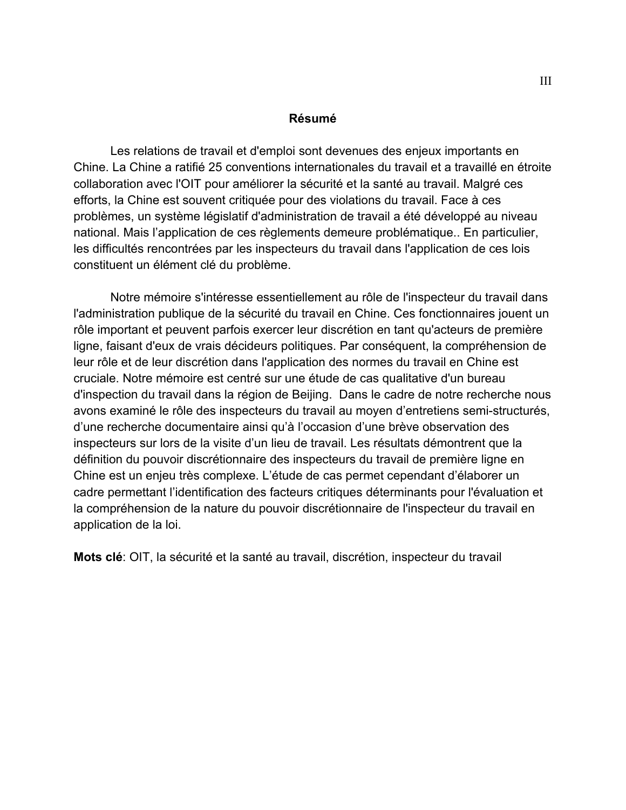#### **Résumé**

Les relations de travail et d'emploi sont devenues des enjeux importants en Chine. La Chine a ratifié 25 conventions internationales du travail et a travaillé en étroite collaboration avec l'OIT pour améliorer la sécurité et la santé au travail. Malgré ces efforts, la Chine est souvent critiquée pour des violations du travail. Face à ces problèmes, un système législatif d'administration de travail a été développé au niveau national. Mais l'application de ces règlements demeure problématique.. En particulier, les difficultés rencontrées par les inspecteurs du travail dans l'application de ces lois constituent un élément clé du problème.

Notre mémoire s'intéresse essentiellement au rôle de l'inspecteur du travail dans l'administration publique de la sécurité du travail en Chine. Ces fonctionnaires jouent un rôle important et peuvent parfois exercer leur discrétion en tant qu'acteurs de première ligne, faisant d'eux de vrais décideurs politiques. Par conséquent, la compréhension de leur rôle et de leur discrétion dans l'application des normes du travail en Chine est cruciale. Notre mémoire est centré sur une étude de cas qualitative d'un bureau d'inspection du travail dans la région de Beijing. Dans le cadre de notre recherche nous avons examiné le rôle des inspecteurs du travail au moyen d'entretiens semi-structurés, d'une recherche documentaire ainsi qu'à l'occasion d'une brève observation des inspecteurs sur lors de la visite d'un lieu de travail. Les résultats démontrent que la définition du pouvoir discrétionnaire des inspecteurs du travail de première ligne en Chine est un enjeu très complexe. L'étude de cas permet cependant d'élaborer un cadre permettant l'identification des facteurs critiques déterminants pour l'évaluation et la compréhension de la nature du pouvoir discrétionnaire de l'inspecteur du travail en application de la loi.

**Mots clé**: OIT, la sécurité et la santé au travail, discrétion, inspecteur du travail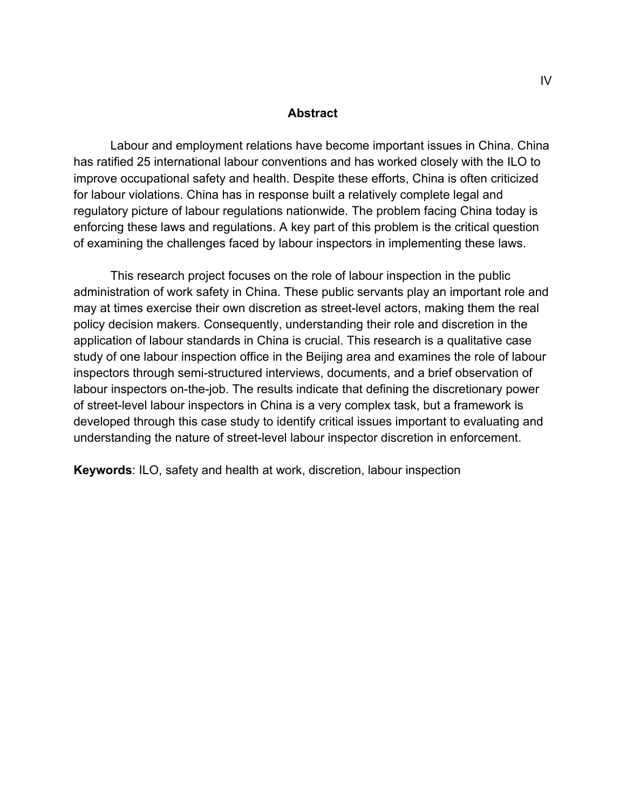#### **Abstract**

Labour and employment relations have become important issues in China. China has ratified 25 international labour conventions and has worked closely with the ILO to improve occupational safety and health. Despite these efforts, China is often criticized for labour violations. China has in response built a relatively complete legal and regulatory picture of labour regulations nationwide. The problem facing China today is enforcing these laws and regulations. A key part of this problem is the critical question of examining the challenges faced by labour inspectors in implementing these laws.

This research project focuses on the role of labour inspection in the public administration of work safety in China. These public servants play an important role and may at times exercise their own discretion as street-level actors, making them the real policy decision makers. Consequently, understanding their role and discretion in the application of labour standards in China is crucial. This research is a qualitative case study of one labour inspection office in the Beijing area and examines the role of labour inspectors through semi-structured interviews, documents, and a brief observation of labour inspectors on-the-job. The results indicate that defining the discretionary power of street-level labour inspectors in China is a very complex task, but a framework is developed through this case study to identify critical issues important to evaluating and understanding the nature of street-level labour inspector discretion in enforcement.

**Keywords**: ILO, safety and health at work, discretion, labour inspection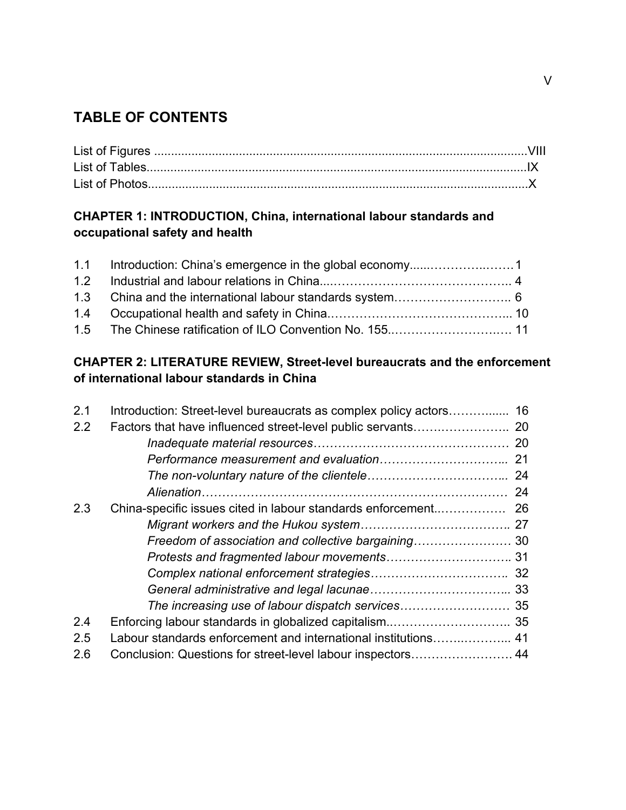# **TABLE OF CONTENTS**

## **CHAPTER 1: INTRODUCTION, China, international labour standards and occupational safety and health**

## **CHAPTER 2: LITERATURE REVIEW, Street-level bureaucrats and the enforcement of international labour standards in China**

| 2.1 | Introduction: Street-level bureaucrats as complex policy actors 16 |  |
|-----|--------------------------------------------------------------------|--|
| 2.2 |                                                                    |  |
|     |                                                                    |  |
|     |                                                                    |  |
|     |                                                                    |  |
|     |                                                                    |  |
| 2.3 |                                                                    |  |
|     |                                                                    |  |
|     |                                                                    |  |
|     |                                                                    |  |
|     |                                                                    |  |
|     |                                                                    |  |
|     |                                                                    |  |
| 2.4 |                                                                    |  |
| 2.5 | Labour standards enforcement and international institutions 41     |  |
| 2.6 | Conclusion: Questions for street-level labour inspectors 44        |  |
|     |                                                                    |  |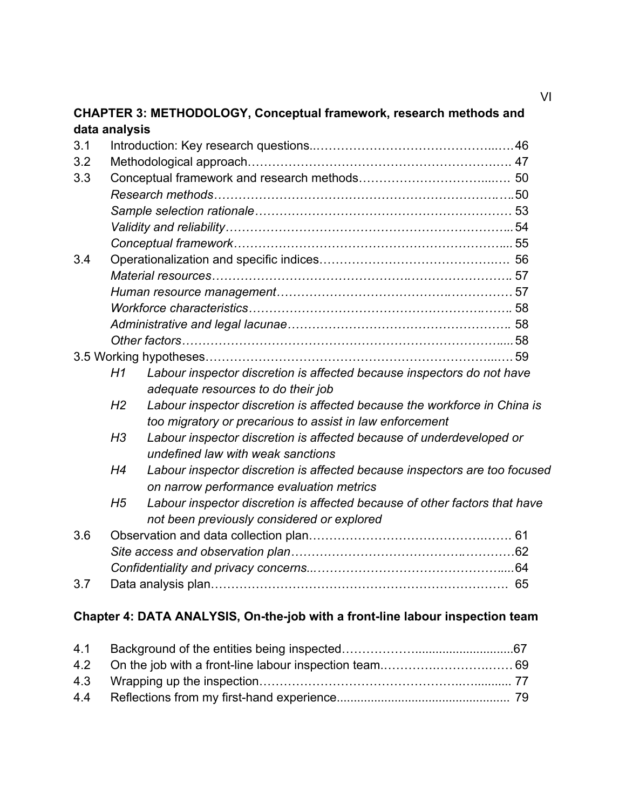### **CHAPTER 3: METHODOLOGY, Conceptual framework, research methods and data analysis**

| 3.1 |                |                                                                            |  |
|-----|----------------|----------------------------------------------------------------------------|--|
| 3.2 |                |                                                                            |  |
| 3.3 |                |                                                                            |  |
|     |                |                                                                            |  |
|     |                |                                                                            |  |
|     |                |                                                                            |  |
|     |                |                                                                            |  |
| 3.4 |                |                                                                            |  |
|     |                |                                                                            |  |
|     |                |                                                                            |  |
|     |                |                                                                            |  |
|     |                |                                                                            |  |
|     |                |                                                                            |  |
|     |                |                                                                            |  |
|     | H1             | Labour inspector discretion is affected because inspectors do not have     |  |
|     |                | adequate resources to do their job                                         |  |
|     | H <sub>2</sub> | Labour inspector discretion is affected because the workforce in China is  |  |
|     |                | too migratory or precarious to assist in law enforcement                   |  |
|     | H <sub>3</sub> | Labour inspector discretion is affected because of underdeveloped or       |  |
|     |                | undefined law with weak sanctions                                          |  |
|     | H <sub>4</sub> | Labour inspector discretion is affected because inspectors are too focused |  |
|     |                | on narrow performance evaluation metrics                                   |  |
|     | H5             | Labour inspector discretion is affected because of other factors that have |  |
|     |                |                                                                            |  |
| 3.6 |                | not been previously considered or explored                                 |  |
|     |                |                                                                            |  |
|     |                |                                                                            |  |
|     |                |                                                                            |  |
| 3.7 |                |                                                                            |  |

# **Chapter 4: DATA ANALYSIS, On-the-job with a front-line labour inspection team**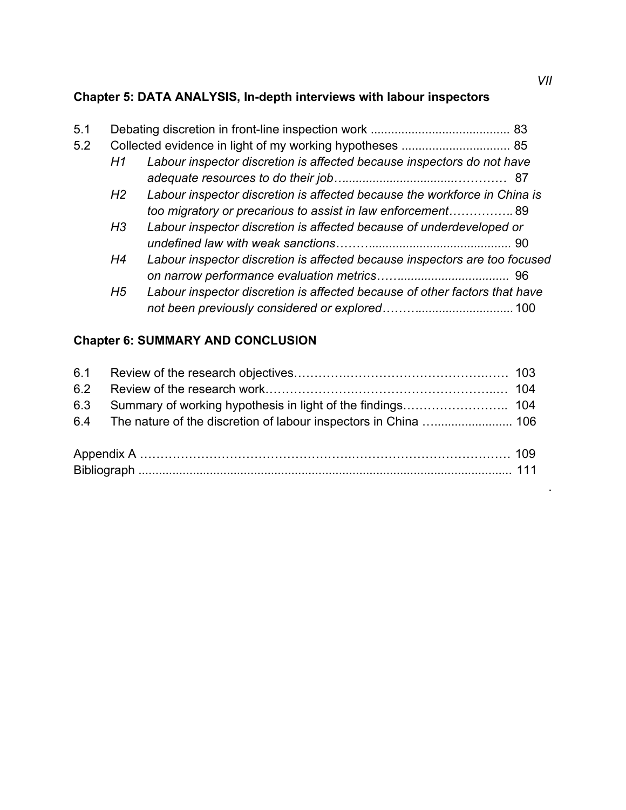# **Chapter 5: DATA ANALYSIS, In-depth interviews with labour inspectors**

| 5.1 |                |                                                                            |  |
|-----|----------------|----------------------------------------------------------------------------|--|
| 5.2 |                |                                                                            |  |
|     | H1             | Labour inspector discretion is affected because inspectors do not have     |  |
|     |                |                                                                            |  |
|     | H2             | Labour inspector discretion is affected because the workforce in China is  |  |
|     |                | too migratory or precarious to assist in law enforcement89                 |  |
|     | H <sub>3</sub> | Labour inspector discretion is affected because of underdeveloped or       |  |
|     |                |                                                                            |  |
|     | H <sub>4</sub> | Labour inspector discretion is affected because inspectors are too focused |  |
|     |                |                                                                            |  |
|     | H <sub>5</sub> | Labour inspector discretion is affected because of other factors that have |  |
|     |                |                                                                            |  |

# **Chapter 6: SUMMARY AND CONCLUSION**

.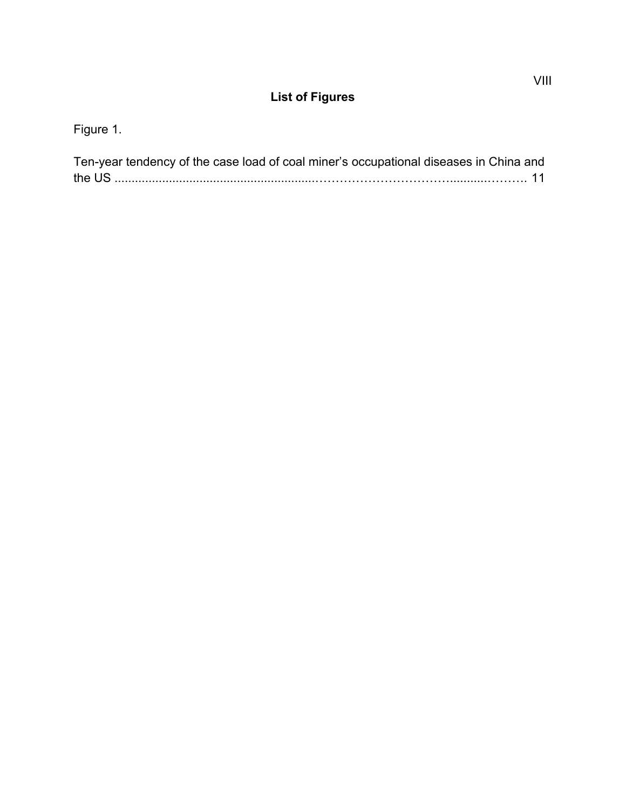# **List of Figures**

Figure 1.

| Ten-year tendency of the case load of coal miner's occupational diseases in China and |  |
|---------------------------------------------------------------------------------------|--|
|                                                                                       |  |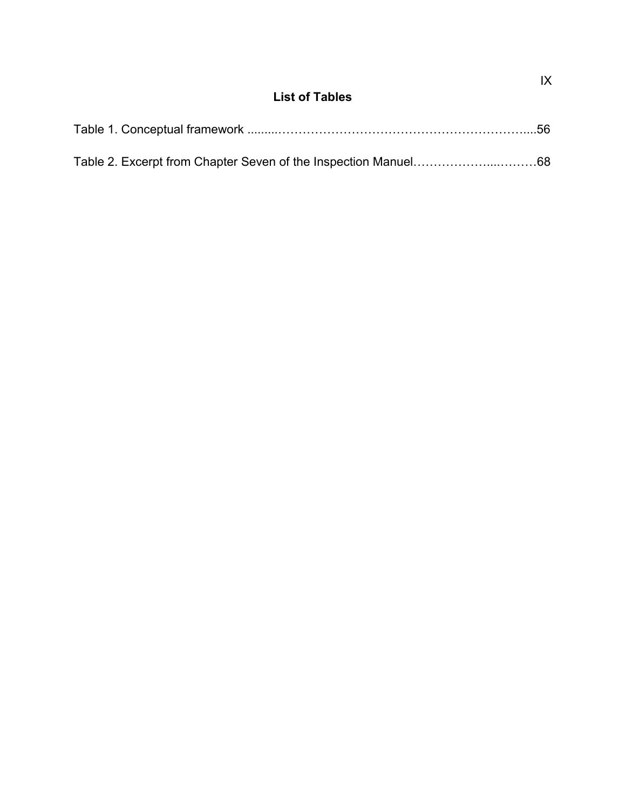## **List of Tables**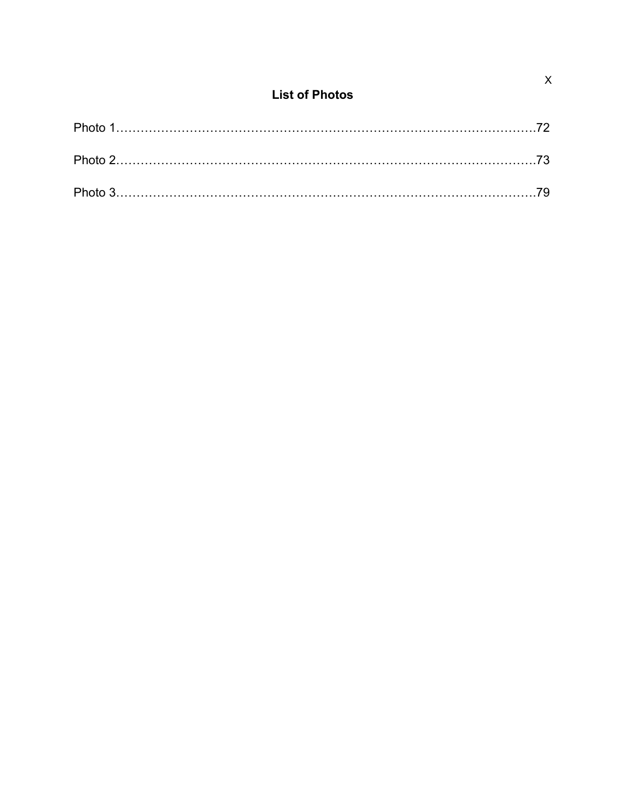## **List of Photos**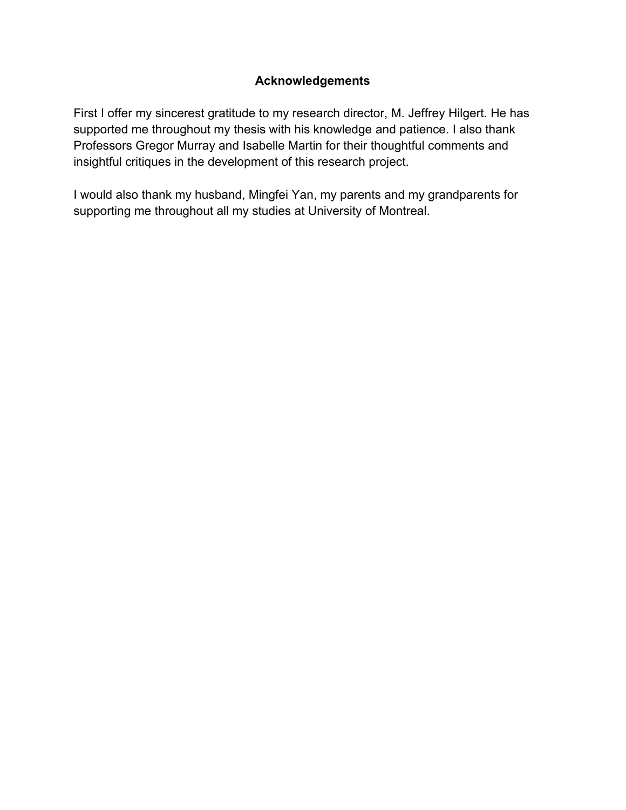### **Acknowledgements**

First I offer my sincerest gratitude to my research director, M. Jeffrey Hilgert. He has supported me throughout my thesis with his knowledge and patience. I also thank Professors Gregor Murray and Isabelle Martin for their thoughtful comments and insightful critiques in the development of this research project.

I would also thank my husband, Mingfei Yan, my parents and my grandparents for supporting me throughout all my studies at University of Montreal.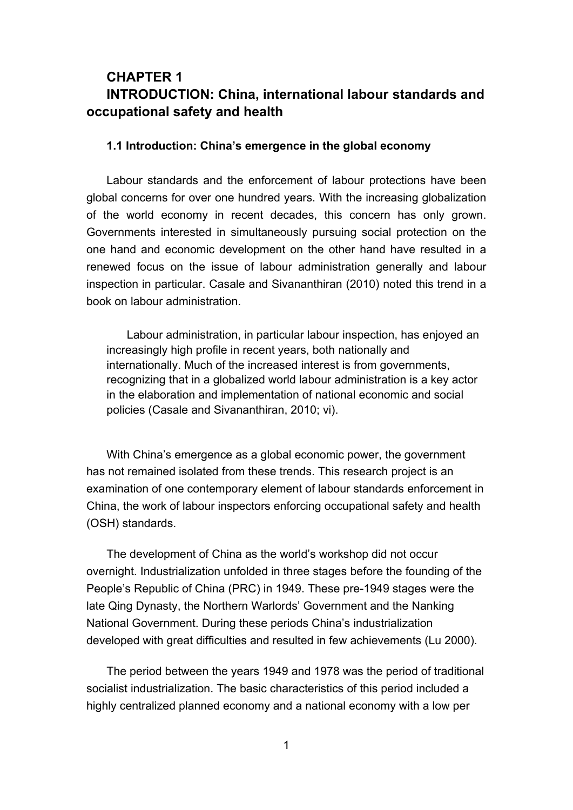## **CHAPTER 1 INTRODUCTION: China, international labour standards and occupational safety and health**

#### **1.1 Introduction: China's emergence in the global economy**

Labour standards and the enforcement of labour protections have been global concerns for over one hundred years. With the increasing globalization of the world economy in recent decades, this concern has only grown. Governments interested in simultaneously pursuing social protection on the one hand and economic development on the other hand have resulted in a renewed focus on the issue of labour administration generally and labour inspection in particular. Casale and Sivananthiran (2010) noted this trend in a book on labour administration.

Labour administration, in particular labour inspection, has enjoyed an increasingly high profile in recent years, both nationally and internationally. Much of the increased interest is from governments, recognizing that in a globalized world labour administration is a key actor in the elaboration and implementation of national economic and social policies (Casale and Sivananthiran, 2010; vi).

With China's emergence as a global economic power, the government has not remained isolated from these trends. This research project is an examination of one contemporary element of labour standards enforcement in China, the work of labour inspectors enforcing occupational safety and health (OSH) standards.

The development of China as the world's workshop did not occur overnight. Industrialization unfolded in three stages before the founding of the People's Republic of China (PRC) in 1949. These pre-1949 stages were the late Qing Dynasty, the Northern Warlords' Government and the Nanking National Government. During these periods China's industrialization developed with great difficulties and resulted in few achievements (Lu 2000).

The period between the years 1949 and 1978 was the period of traditional socialist industrialization. The basic characteristics of this period included a highly centralized planned economy and a national economy with a low per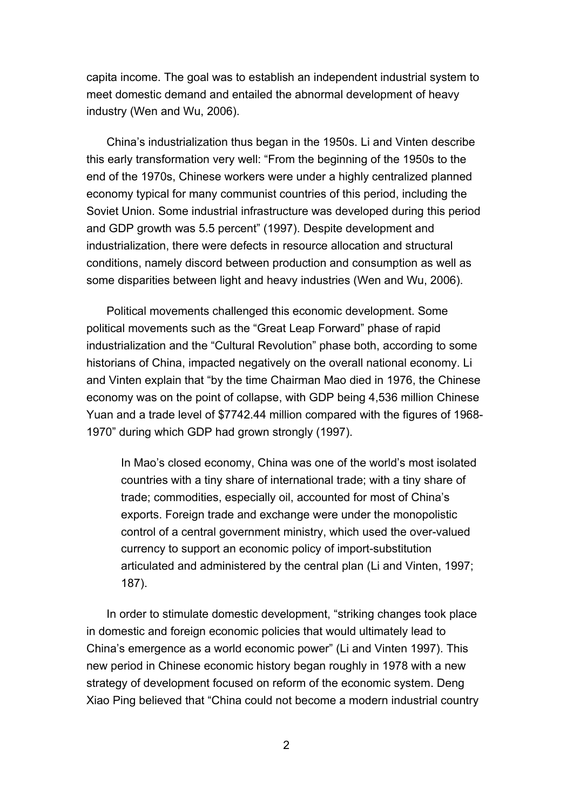capita income. The goal was to establish an independent industrial system to meet domestic demand and entailed the abnormal development of heavy industry (Wen and Wu, 2006).

China's industrialization thus began in the 1950s. Li and Vinten describe this early transformation very well: "From the beginning of the 1950s to the end of the 1970s, Chinese workers were under a highly centralized planned economy typical for many communist countries of this period, including the Soviet Union. Some industrial infrastructure was developed during this period and GDP growth was 5.5 percent" (1997). Despite development and industrialization, there were defects in resource allocation and structural conditions, namely discord between production and consumption as well as some disparities between light and heavy industries (Wen and Wu, 2006).

Political movements challenged this economic development. Some political movements such as the "Great Leap Forward" phase of rapid industrialization and the "Cultural Revolution" phase both, according to some historians of China, impacted negatively on the overall national economy. Li and Vinten explain that "by the time Chairman Mao died in 1976, the Chinese economy was on the point of collapse, with GDP being 4,536 million Chinese Yuan and a trade level of \$7742.44 million compared with the figures of 1968- 1970" during which GDP had grown strongly (1997).

In Mao's closed economy, China was one of the world's most isolated countries with a tiny share of international trade; with a tiny share of trade; commodities, especially oil, accounted for most of China's exports. Foreign trade and exchange were under the monopolistic control of a central government ministry, which used the over-valued currency to support an economic policy of import-substitution articulated and administered by the central plan (Li and Vinten, 1997; 187).

In order to stimulate domestic development, "striking changes took place in domestic and foreign economic policies that would ultimately lead to China's emergence as a world economic power" (Li and Vinten 1997). This new period in Chinese economic history began roughly in 1978 with a new strategy of development focused on reform of the economic system. Deng Xiao Ping believed that "China could not become a modern industrial country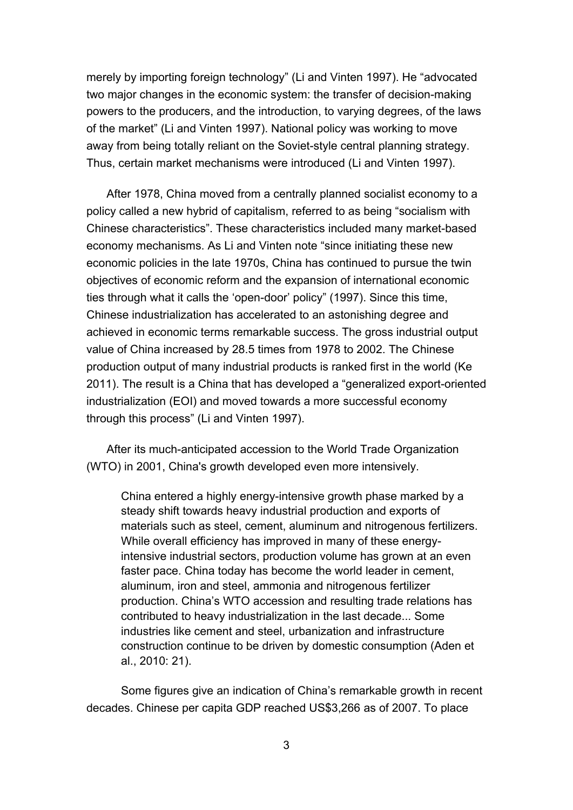merely by importing foreign technology" (Li and Vinten 1997). He "advocated two major changes in the economic system: the transfer of decision-making powers to the producers, and the introduction, to varying degrees, of the laws of the market" (Li and Vinten 1997). National policy was working to move away from being totally reliant on the Soviet-style central planning strategy. Thus, certain market mechanisms were introduced (Li and Vinten 1997).

After 1978, China moved from a centrally planned socialist economy to a policy called a new hybrid of capitalism, referred to as being "socialism with Chinese characteristics". These characteristics included many market-based economy mechanisms. As Li and Vinten note "since initiating these new economic policies in the late 1970s, China has continued to pursue the twin objectives of economic reform and the expansion of international economic ties through what it calls the 'open-door' policy" (1997). Since this time, Chinese industrialization has accelerated to an astonishing degree and achieved in economic terms remarkable success. The gross industrial output value of China increased by 28.5 times from 1978 to 2002. The Chinese production output of many industrial products is ranked first in the world (Ke 2011). The result is a China that has developed a "generalized export-oriented industrialization (EOI) and moved towards a more successful economy through this process" (Li and Vinten 1997).

After its much-anticipated accession to the World Trade Organization (WTO) in 2001, China's growth developed even more intensively.

China entered a highly energy-intensive growth phase marked by a steady shift towards heavy industrial production and exports of materials such as steel, cement, aluminum and nitrogenous fertilizers. While overall efficiency has improved in many of these energyintensive industrial sectors, production volume has grown at an even faster pace. China today has become the world leader in cement, aluminum, iron and steel, ammonia and nitrogenous fertilizer production. China's WTO accession and resulting trade relations has contributed to heavy industrialization in the last decade... Some industries like cement and steel, urbanization and infrastructure construction continue to be driven by domestic consumption (Aden et al., 2010: 21).

Some figures give an indication of China's remarkable growth in recent decades. Chinese per capita GDP reached US\$3,266 as of 2007. To place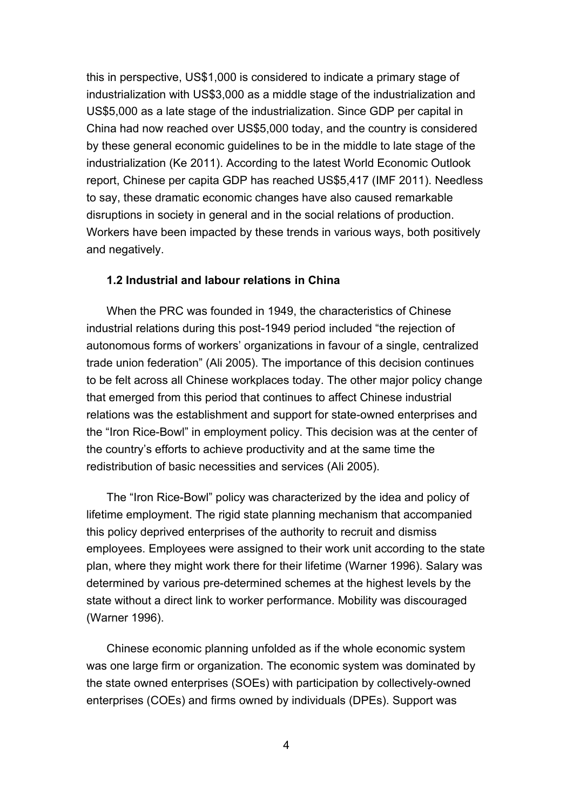this in perspective, US\$1,000 is considered to indicate a primary stage of industrialization with US\$3,000 as a middle stage of the industrialization and US\$5,000 as a late stage of the industrialization. Since GDP per capital in China had now reached over US\$5,000 today, and the country is considered by these general economic guidelines to be in the middle to late stage of the industrialization (Ke 2011). According to the latest World Economic Outlook report, Chinese per capita GDP has reached US\$5,417 (IMF 2011). Needless to say, these dramatic economic changes have also caused remarkable disruptions in society in general and in the social relations of production. Workers have been impacted by these trends in various ways, both positively and negatively.

### **1.2 Industrial and labour relations in China**

When the PRC was founded in 1949, the characteristics of Chinese industrial relations during this post-1949 period included "the rejection of autonomous forms of workers' organizations in favour of a single, centralized trade union federation" (Ali 2005). The importance of this decision continues to be felt across all Chinese workplaces today. The other major policy change that emerged from this period that continues to affect Chinese industrial relations was the establishment and support for state-owned enterprises and the "Iron Rice-Bowl" in employment policy. This decision was at the center of the country's efforts to achieve productivity and at the same time the redistribution of basic necessities and services (Ali 2005).

The "Iron Rice-Bowl" policy was characterized by the idea and policy of lifetime employment. The rigid state planning mechanism that accompanied this policy deprived enterprises of the authority to recruit and dismiss employees. Employees were assigned to their work unit according to the state plan, where they might work there for their lifetime (Warner 1996). Salary was determined by various pre-determined schemes at the highest levels by the state without a direct link to worker performance. Mobility was discouraged (Warner 1996).

Chinese economic planning unfolded as if the whole economic system was one large firm or organization. The economic system was dominated by the state owned enterprises (SOEs) with participation by collectively-owned enterprises (COEs) and firms owned by individuals (DPEs). Support was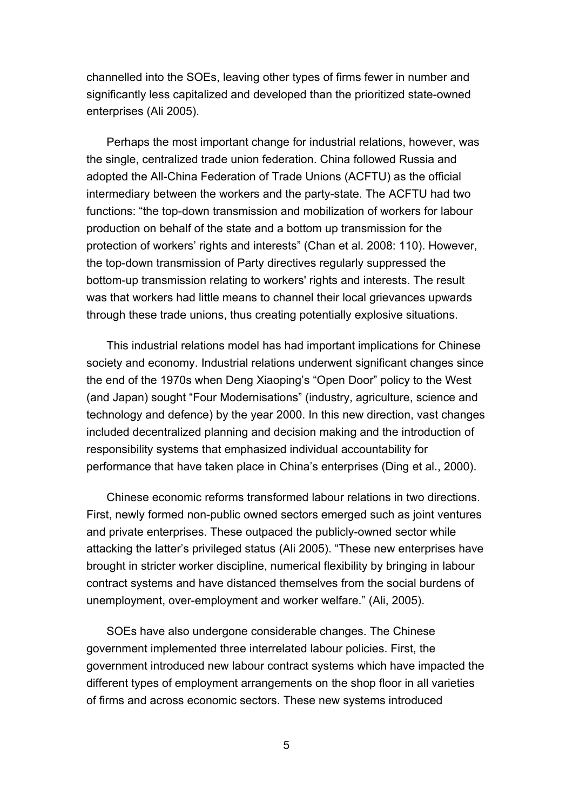channelled into the SOEs, leaving other types of firms fewer in number and significantly less capitalized and developed than the prioritized state-owned enterprises (Ali 2005).

Perhaps the most important change for industrial relations, however, was the single, centralized trade union federation. China followed Russia and adopted the All-China Federation of Trade Unions (ACFTU) as the official intermediary between the workers and the party-state. The ACFTU had two functions: "the top-down transmission and mobilization of workers for labour production on behalf of the state and a bottom up transmission for the protection of workers' rights and interests" (Chan et al. 2008: 110). However, the top-down transmission of Party directives regularly suppressed the bottom-up transmission relating to workers' rights and interests. The result was that workers had little means to channel their local grievances upwards through these trade unions, thus creating potentially explosive situations.

This industrial relations model has had important implications for Chinese society and economy. Industrial relations underwent significant changes since the end of the 1970s when Deng Xiaoping's "Open Door" policy to the West (and Japan) sought "Four Modernisations" (industry, agriculture, science and technology and defence) by the year 2000. In this new direction, vast changes included decentralized planning and decision making and the introduction of responsibility systems that emphasized individual accountability for performance that have taken place in China's enterprises (Ding et al., 2000).

Chinese economic reforms transformed labour relations in two directions. First, newly formed non-public owned sectors emerged such as joint ventures and private enterprises. These outpaced the publicly-owned sector while attacking the latter's privileged status (Ali 2005). "These new enterprises have brought in stricter worker discipline, numerical flexibility by bringing in labour contract systems and have distanced themselves from the social burdens of unemployment, over-employment and worker welfare." (Ali, 2005).

SOEs have also undergone considerable changes. The Chinese government implemented three interrelated labour policies. First, the government introduced new labour contract systems which have impacted the different types of employment arrangements on the shop floor in all varieties of firms and across economic sectors. These new systems introduced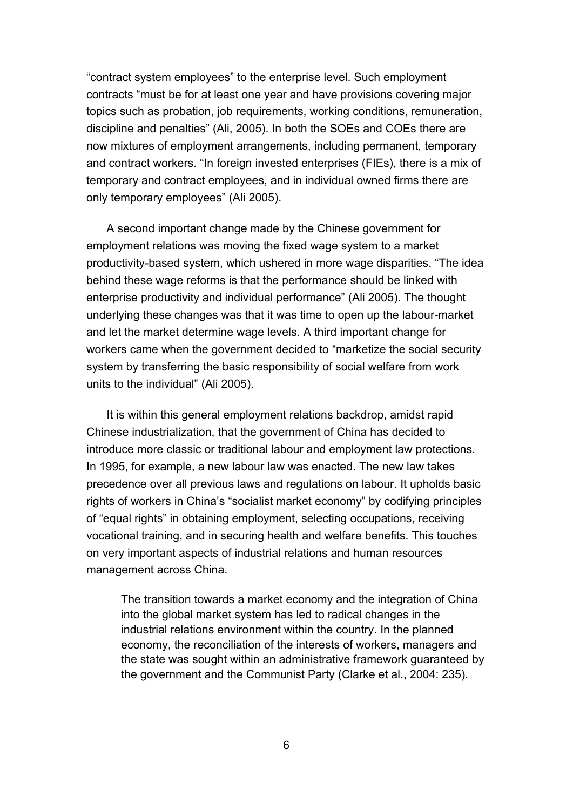"contract system employees" to the enterprise level. Such employment contracts "must be for at least one year and have provisions covering major topics such as probation, job requirements, working conditions, remuneration, discipline and penalties" (Ali, 2005). In both the SOEs and COEs there are now mixtures of employment arrangements, including permanent, temporary and contract workers. "In foreign invested enterprises (FIEs), there is a mix of temporary and contract employees, and in individual owned firms there are only temporary employees" (Ali 2005).

A second important change made by the Chinese government for employment relations was moving the fixed wage system to a market productivity-based system, which ushered in more wage disparities. "The idea behind these wage reforms is that the performance should be linked with enterprise productivity and individual performance" (Ali 2005). The thought underlying these changes was that it was time to open up the labour-market and let the market determine wage levels. A third important change for workers came when the government decided to "marketize the social security system by transferring the basic responsibility of social welfare from work units to the individual" (Ali 2005).

It is within this general employment relations backdrop, amidst rapid Chinese industrialization, that the government of China has decided to introduce more classic or traditional labour and employment law protections. In 1995, for example, a new labour law was enacted. The new law takes precedence over all previous laws and regulations on labour. It upholds basic rights of workers in China's "socialist market economy" by codifying principles of "equal rights" in obtaining employment, selecting occupations, receiving vocational training, and in securing health and welfare benefits. This touches on very important aspects of industrial relations and human resources management across China.

The transition towards a market economy and the integration of China into the global market system has led to radical changes in the industrial relations environment within the country. In the planned economy, the reconciliation of the interests of workers, managers and the state was sought within an administrative framework guaranteed by the government and the Communist Party (Clarke et al., 2004: 235).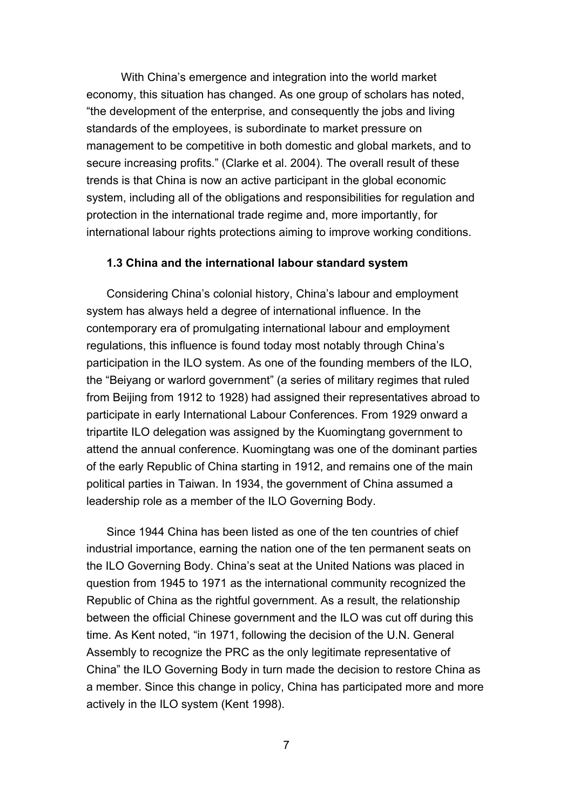With China's emergence and integration into the world market economy, this situation has changed. As one group of scholars has noted, "the development of the enterprise, and consequently the jobs and living standards of the employees, is subordinate to market pressure on management to be competitive in both domestic and global markets, and to secure increasing profits." (Clarke et al. 2004). The overall result of these trends is that China is now an active participant in the global economic system, including all of the obligations and responsibilities for regulation and protection in the international trade regime and, more importantly, for international labour rights protections aiming to improve working conditions.

### **1.3 China and the international labour standard system**

Considering China's colonial history, China's labour and employment system has always held a degree of international influence. In the contemporary era of promulgating international labour and employment regulations, this influence is found today most notably through China's participation in the ILO system. As one of the founding members of the ILO, the "Beiyang or warlord government" (a series of military regimes that ruled from Beijing from 1912 to 1928) had assigned their representatives abroad to participate in early International Labour Conferences. From 1929 onward a tripartite ILO delegation was assigned by the Kuomingtang government to attend the annual conference. Kuomingtang was one of the dominant parties of the early Republic of China starting in 1912, and remains one of the main [political](http://en.wikipedia.org/wiki/List_of_political_parties_in_the_Republic_of_China) [parties](http://en.wikipedia.org/wiki/List_of_political_parties_in_the_Republic_of_China) in [Taiwan.](http://en.wikipedia.org/wiki/Taiwan) In 1934, the government of China assumed a leadership role as a member of the ILO Governing Body.

Since 1944 China has been listed as one of the ten countries of chief industrial importance, earning the nation one of the ten permanent seats on the ILO Governing Body. China's seat at the United Nations was placed in question from 1945 to 1971 as the international community recognized the Republic of China as the rightful government. As a result, the relationship between the official Chinese government and the ILO was cut off during this time. As Kent noted, "in 1971, following the decision of the U.N. General Assembly to recognize the PRC as the only legitimate representative of China" the ILO Governing Body in turn made the decision to restore China as a member. Since this change in policy, China has participated more and more actively in the ILO system (Kent 1998).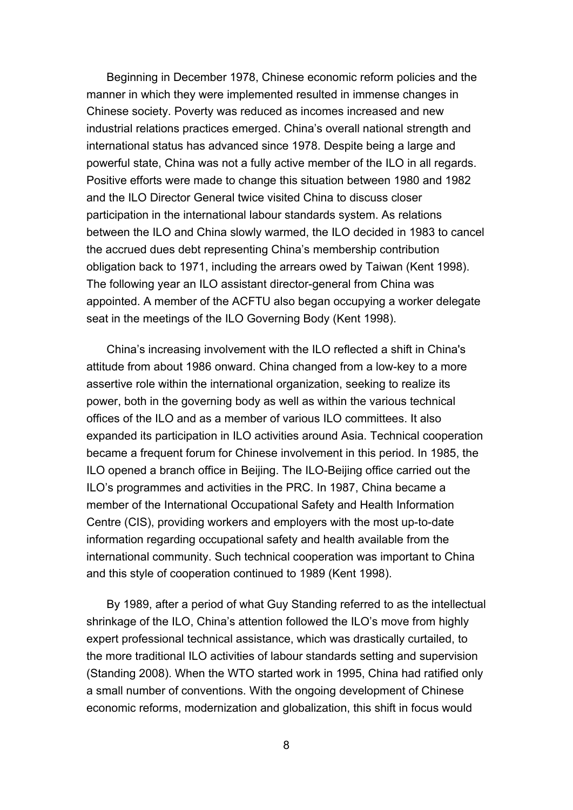Beginning in December 1978, Chinese economic reform policies and the manner in which they were implemented resulted in immense changes in Chinese society. Poverty was reduced as incomes increased and new industrial relations practices emerged. China's overall national strength and international status has advanced since 1978. Despite being a large and powerful state, China was not a fully active member of the ILO in all regards. Positive efforts were made to change this situation between 1980 and 1982 and the ILO Director General twice visited China to discuss closer participation in the international labour standards system. As relations between the ILO and China slowly warmed, the ILO decided in 1983 to cancel the accrued dues debt representing China's membership contribution obligation back to 1971, including the arrears owed by Taiwan (Kent 1998). The following year an ILO assistant director-general from China was appointed. A member of the ACFTU also began occupying a worker delegate seat in the meetings of the ILO Governing Body (Kent 1998).

China's increasing involvement with the ILO reflected a shift in China's attitude from about 1986 onward. China changed from a low-key to a more assertive role within the international organization, seeking to realize its power, both in the governing body as well as within the various technical offices of the ILO and as a member of various ILO committees. It also expanded its participation in ILO activities around Asia. Technical cooperation became a frequent forum for Chinese involvement in this period. In 1985, the ILO opened a branch office in Beijing. The ILO-Beijing office carried out the ILO's programmes and activities in the PRC. In 1987, China became a member of the International Occupational Safety and Health Information Centre (CIS), providing workers and employers with the most up-to-date information regarding occupational safety and health available from the international community. Such technical cooperation was important to China and this style of cooperation continued to 1989 (Kent 1998).

By 1989, after a period of what Guy Standing referred to as the intellectual shrinkage of the ILO, China's attention followed the ILO's move from highly expert professional technical assistance, which was drastically curtailed, to the more traditional ILO activities of labour standards setting and supervision (Standing 2008). When the WTO started work in 1995, China had ratified only a small number of conventions. With the ongoing development of Chinese economic reforms, modernization and globalization, this shift in focus would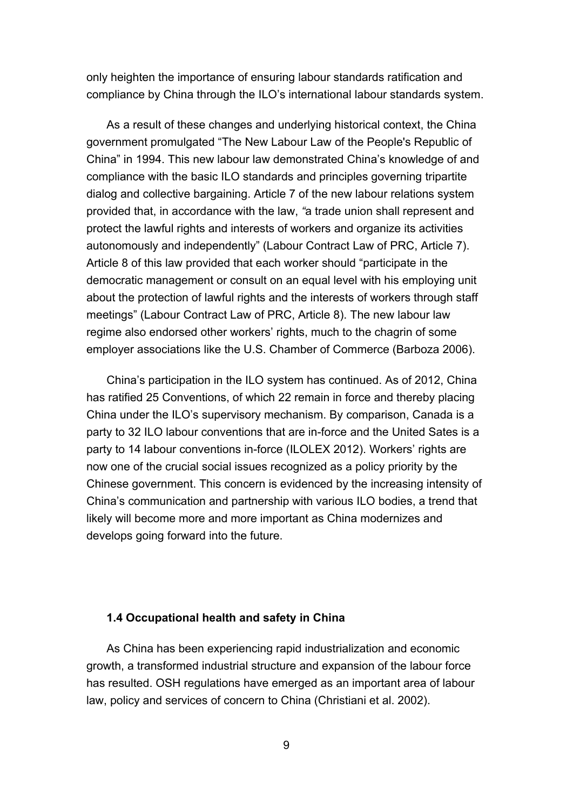only heighten the importance of ensuring labour standards ratification and compliance by China through the ILO's international labour standards system.

As a result of these changes and underlying historical context, the China government promulgated "The New Labour Law of the People's Republic of China" in 1994. This new labour law demonstrated China's knowledge of and compliance with the basic ILO standards and principles governing tripartite dialog and collective bargaining. Article 7 of the new labour relations system provided that, in accordance with the law, *"*a trade union shall represent and protect the lawful rights and interests of workers and organize its activities autonomously and independently" (Labour Contract Law of PRC, Article 7). Article 8 of this law provided that each worker should "participate in the democratic management or consult on an equal level with his employing unit about the protection of lawful rights and the interests of workers through staff meetings" (Labour Contract Law of PRC, Article 8). The new labour law regime also endorsed other workers' rights, much to the chagrin of some employer associations like the U.S. Chamber of Commerce (Barboza 2006).

China's participation in the ILO system has continued. As of 2012, China has ratified 25 Conventions, of which 22 remain in force and thereby placing China under the ILO's supervisory mechanism. By comparison, Canada is a party to 32 ILO labour conventions that are in-force and the United Sates is a party to 14 labour conventions in-force (ILOLEX 2012). Workers' rights are now one of the crucial social issues recognized as a policy priority by the Chinese government. This concern is evidenced by the increasing intensity of China's communication and partnership with various ILO bodies, a trend that likely will become more and more important as China modernizes and develops going forward into the future.

### **1.4 Occupational health and safety in China**

As China has been experiencing rapid industrialization and economic growth, a transformed industrial structure and expansion of the labour force has resulted. OSH regulations have emerged as an important area of labour law, policy and services of concern to China (Christiani et al. 2002).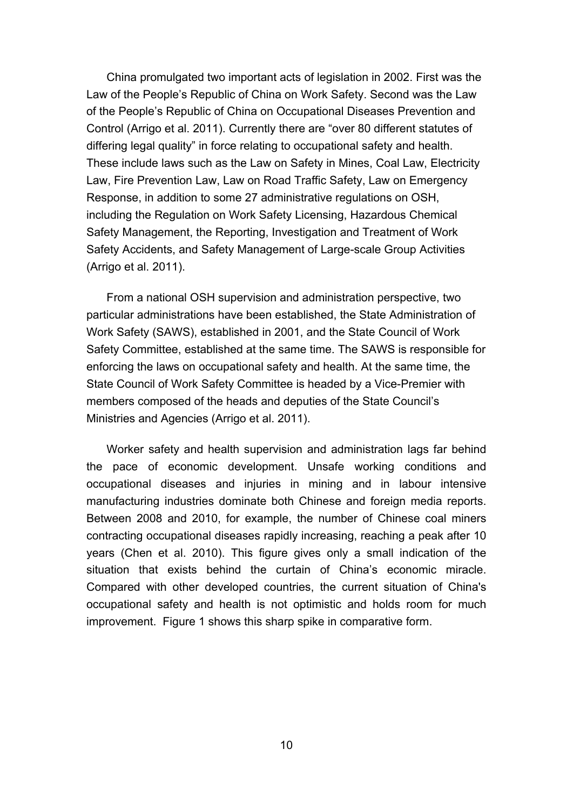China promulgated two important acts of legislation in 2002. First was the Law of the People's Republic of China on Work Safety. Second was the Law of the People's Republic of China on Occupational Diseases Prevention and Control (Arrigo et al. 2011). Currently there are "over 80 different statutes of differing legal quality" in force relating to occupational safety and health. These include laws such as the Law on Safety in Mines, Coal Law, Electricity Law, Fire Prevention Law, Law on Road Traffic Safety, Law on Emergency Response, in addition to some 27 administrative regulations on OSH, including the Regulation on Work Safety Licensing, Hazardous Chemical Safety Management, the Reporting, Investigation and Treatment of Work Safety Accidents, and Safety Management of Large-scale Group Activities (Arrigo et al. 2011).

From a national OSH supervision and administration perspective, two particular administrations have been established, the State Administration of Work Safety (SAWS), established in 2001, and the State Council of Work Safety Committee, established at the same time. The SAWS is responsible for enforcing the laws on occupational safety and health. At the same time, the State Council of Work Safety Committee is headed by a Vice-Premier with members composed of the heads and deputies of the State Council's Ministries and Agencies (Arrigo et al. 2011).

Worker safety and health supervision and administration lags far behind the pace of economic development. Unsafe working conditions and occupational diseases and injuries in mining and in labour intensive manufacturing industries dominate both Chinese and foreign media reports. Between 2008 and 2010, for example, the number of Chinese coal miners contracting occupational diseases rapidly increasing, reaching a peak after 10 years (Chen et al. 2010). This figure gives only a small indication of the situation that exists behind the curtain of China's economic miracle. Compared with other developed countries, the current situation of China's occupational safety and health is not optimistic and holds room for much improvement. Figure 1 shows this sharp spike in comparative form.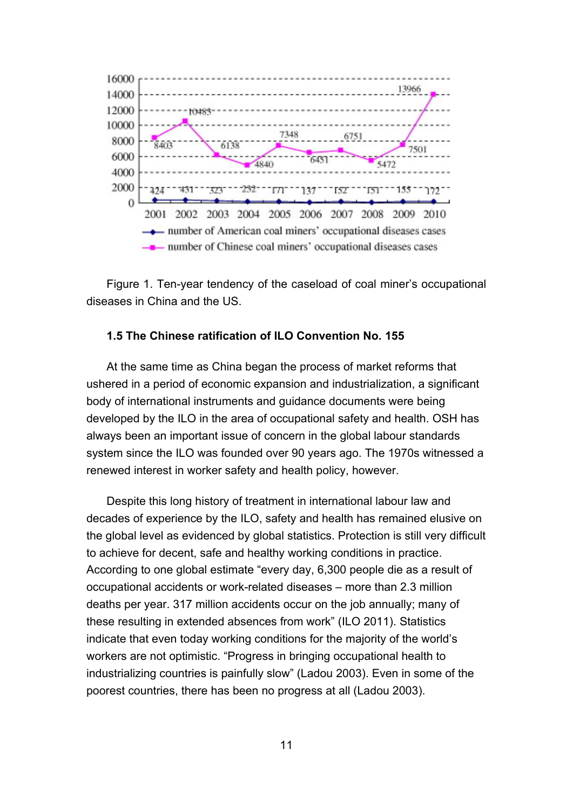

Figure 1. Ten-year tendency of the caseload of coal miner's occupational diseases in China and the US.

#### **1.5 The Chinese ratification of ILO Convention No. 155**

At the same time as China began the process of market reforms that ushered in a period of economic expansion and industrialization, a significant body of international instruments and guidance documents were being developed by the ILO in the area of occupational safety and health. OSH has always been an important issue of concern in the global labour standards system since the ILO was founded over 90 years ago. The 1970s witnessed a renewed interest in worker safety and health policy, however.

Despite this long history of treatment in international labour law and decades of experience by the ILO, safety and health has remained elusive on the global level as evidenced by global statistics. Protection is still very difficult to achieve for decent, safe and healthy working conditions in practice. According to one global estimate "every day, 6,300 people die as a result of occupational accidents or work-related diseases – more than 2.3 million deaths per year. 317 million accidents occur on the job annually; many of these resulting in extended absences from work" (ILO 2011). Statistics indicate that even today working conditions for the majority of the world's workers are not optimistic. "Progress in bringing occupational health to industrializing countries is painfully slow" (Ladou 2003). Even in some of the poorest countries, there has been no progress at all (Ladou 2003).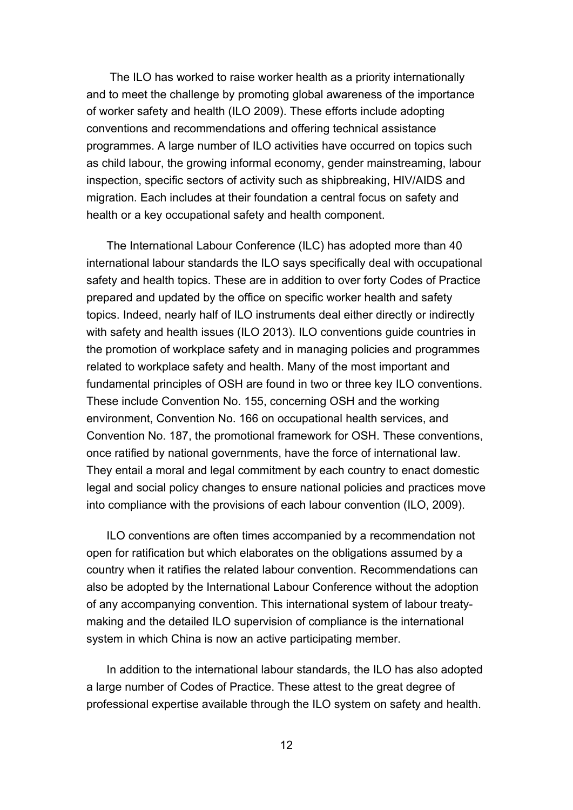The ILO has worked to raise worker health as a priority internationally and to meet the challenge by promoting global awareness of the importance of worker safety and health (ILO 2009). These efforts include adopting conventions and recommendations and offering technical assistance programmes. A large number of ILO activities have occurred on topics such as child labour, the growing informal economy, gender mainstreaming, labour inspection, specific sectors of activity such as shipbreaking, HIV/AIDS and migration. Each includes at their foundation a central focus on safety and health or a key occupational safety and health component.

The International Labour Conference (ILC) has adopted more than 40 international labour standards the ILO says specifically deal with occupational safety and health topics. These are in addition to over forty Codes of Practice prepared and updated by the office on specific worker health and safety topics. Indeed, nearly half of ILO instruments deal either directly or indirectly with safety and health issues (ILO 2013). ILO conventions guide countries in the promotion of workplace safety and in managing policies and programmes related to workplace safety and health. Many of the most important and fundamental principles of OSH are found in two or three key ILO conventions. These include Convention No. 155, concerning OSH and the working environment, Convention No. 166 on occupational health services, and Convention No. 187, the promotional framework for OSH. These conventions, once ratified by national governments, have the force of international law. They entail a moral and legal commitment by each country to enact domestic legal and social policy changes to ensure national policies and practices move into compliance with the provisions of each labour convention (ILO, 2009).

ILO conventions are often times accompanied by a recommendation not open for ratification but which elaborates on the obligations assumed by a country when it ratifies the related labour convention. Recommendations can also be adopted by the International Labour Conference without the adoption of any accompanying convention. This international system of labour treatymaking and the detailed ILO supervision of compliance is the international system in which China is now an active participating member.

In addition to the international labour standards, the ILO has also adopted a large number of Codes of Practice. These attest to the great degree of professional expertise available through the ILO system on safety and health.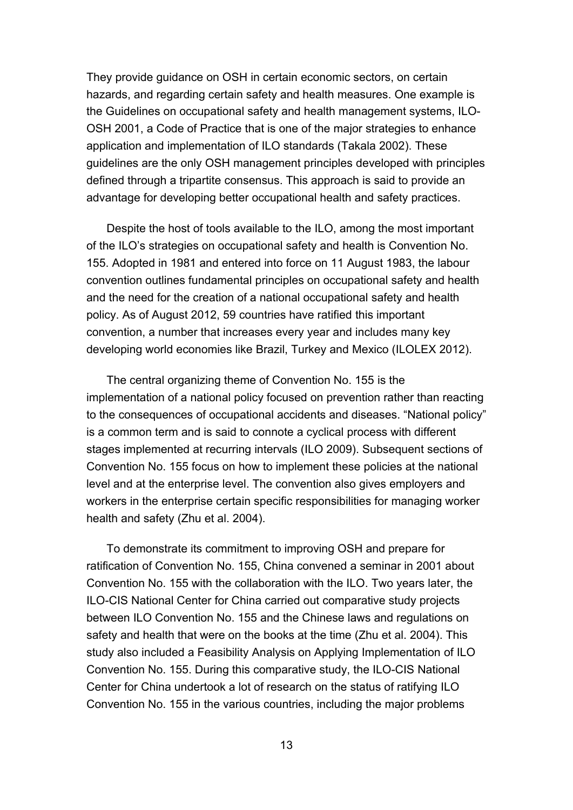They provide guidance on OSH in certain economic sectors, on certain hazards, and regarding certain safety and health measures. One example is the Guidelines on occupational safety and health management systems, ILO-OSH 2001, a Code of Practice that is one of the major strategies to enhance application and implementation of ILO standards (Takala 2002). These guidelines are the only OSH management principles developed with principles defined through a tripartite consensus. This approach is said to provide an advantage for developing better occupational health and safety practices.

Despite the host of tools available to the ILO, among the most important of the ILO's strategies on occupational safety and health is Convention No. 155. Adopted in 1981 and entered into force on 11 August 1983, the labour convention outlines fundamental principles on occupational safety and health and the need for the creation of a national occupational safety and health policy. As of August 2012, 59 countries have ratified this important convention, a number that increases every year and includes many key developing world economies like Brazil, Turkey and Mexico (ILOLEX 2012).

The central organizing theme of Convention No. 155 is the implementation of a national policy focused on prevention rather than reacting to the consequences of occupational accidents and diseases. "National policy" is a common term and is said to connote a cyclical process with different stages implemented at recurring intervals (ILO 2009). Subsequent sections of Convention No. 155 focus on how to implement these policies at the national level and at the enterprise level. The convention also gives employers and workers in the enterprise certain specific responsibilities for managing worker health and safety (Zhu et al. 2004).

To demonstrate its commitment to improving OSH and prepare for ratification of Convention No. 155, China convened a seminar in 2001 about Convention No. 155 with the collaboration with the ILO. Two years later, the ILO-CIS National Center for China carried out comparative study projects between ILO Convention No. 155 and the Chinese laws and regulations on safety and health that were on the books at the time (Zhu et al. 2004). This study also included a Feasibility Analysis on Applying Implementation of ILO Convention No. 155. During this comparative study, the ILO-CIS National Center for China undertook a lot of research on the status of ratifying ILO Convention No. 155 in the various countries, including the major problems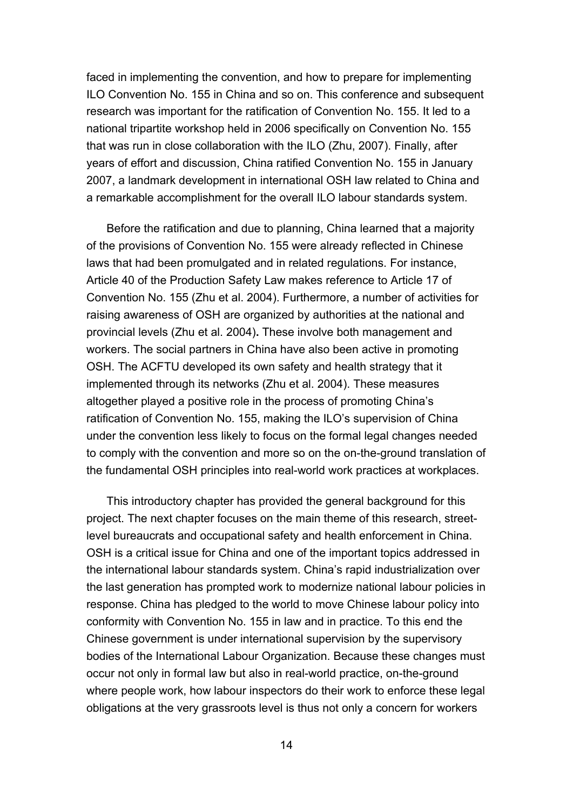faced in implementing the convention, and how to prepare for implementing ILO Convention No. 155 in China and so on. This conference and subsequent research was important for the ratification of Convention No. 155. It led to a national tripartite workshop held in 2006 specifically on Convention No. 155 that was run in close collaboration with the ILO (Zhu, 2007). Finally, after years of effort and discussion, China ratified Convention No. 155 in January 2007, a landmark development in international OSH law related to China and a remarkable accomplishment for the overall ILO labour standards system.

Before the ratification and due to planning, China learned that a majority of the provisions of Convention No. 155 were already reflected in Chinese laws that had been promulgated and in related regulations. For instance, Article 40 of the Production Safety Law makes reference to Article 17 of Convention No. 155 (Zhu et al. 2004). Furthermore, a number of activities for raising awareness of OSH are organized by authorities at the national and provincial levels (Zhu et al. 2004)**.** These involve both management and workers. The social partners in China have also been active in promoting OSH. The ACFTU developed its own safety and health strategy that it implemented through its networks (Zhu et al. 2004). These measures altogether played a positive role in the process of promoting China's ratification of Convention No. 155, making the ILO's supervision of China under the convention less likely to focus on the formal legal changes needed to comply with the convention and more so on the on-the-ground translation of the fundamental OSH principles into real-world work practices at workplaces.

This introductory chapter has provided the general background for this project. The next chapter focuses on the main theme of this research, streetlevel bureaucrats and occupational safety and health enforcement in China. OSH is a critical issue for China and one of the important topics addressed in the international labour standards system. China's rapid industrialization over the last generation has prompted work to modernize national labour policies in response. China has pledged to the world to move Chinese labour policy into conformity with Convention No. 155 in law and in practice. To this end the Chinese government is under international supervision by the supervisory bodies of the International Labour Organization. Because these changes must occur not only in formal law but also in real-world practice, on-the-ground where people work, how labour inspectors do their work to enforce these legal obligations at the very grassroots level is thus not only a concern for workers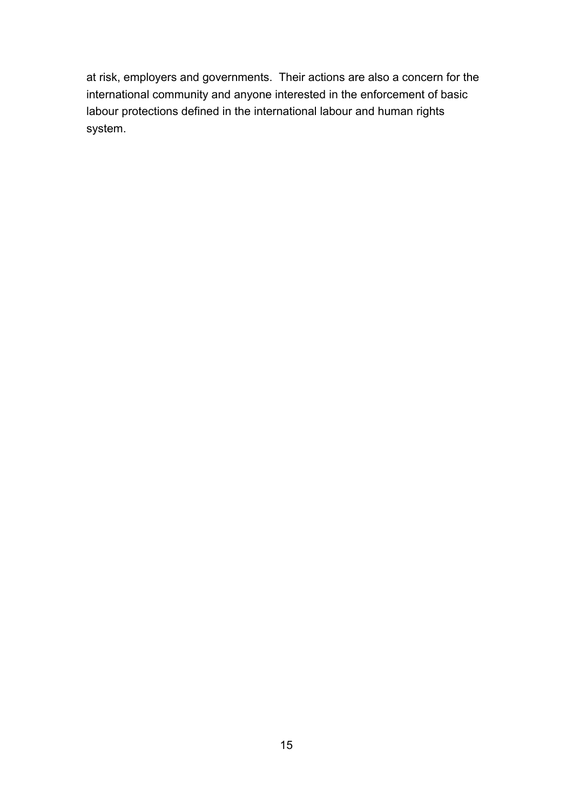at risk, employers and governments. Their actions are also a concern for the international community and anyone interested in the enforcement of basic labour protections defined in the international labour and human rights system.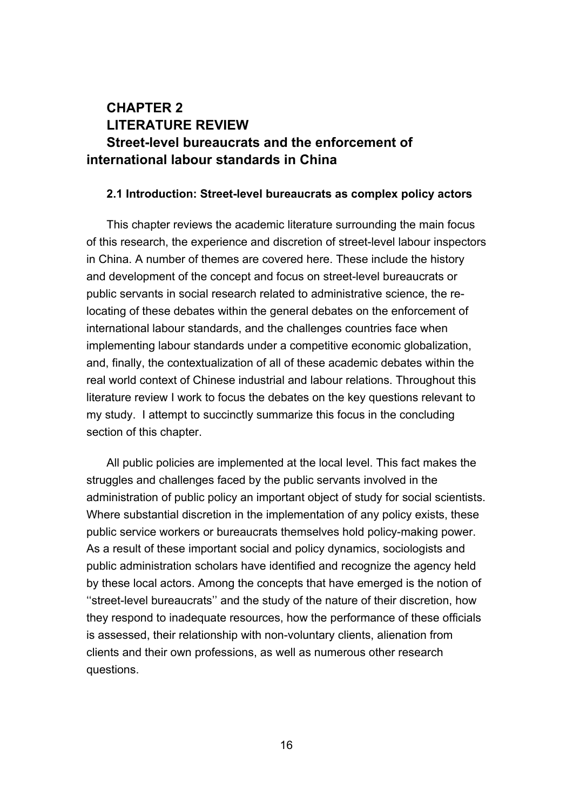## **CHAPTER 2 LITERATURE REVIEW Street-level bureaucrats and the enforcement of international labour standards in China**

### **2.1 Introduction: Street-level bureaucrats as complex policy actors**

This chapter reviews the academic literature surrounding the main focus of this research, the experience and discretion of street-level labour inspectors in China. A number of themes are covered here. These include the history and development of the concept and focus on street-level bureaucrats or public servants in social research related to administrative science, the relocating of these debates within the general debates on the enforcement of international labour standards, and the challenges countries face when implementing labour standards under a competitive economic globalization, and, finally, the contextualization of all of these academic debates within the real world context of Chinese industrial and labour relations. Throughout this literature review I work to focus the debates on the key questions relevant to my study. I attempt to succinctly summarize this focus in the concluding section of this chapter.

All public policies are implemented at the local level. This fact makes the struggles and challenges faced by the public servants involved in the administration of public policy an important object of study for social scientists. Where substantial discretion in the implementation of any policy exists, these public service workers or bureaucrats themselves hold policy-making power. As a result of these important social and policy dynamics, sociologists and public administration scholars have identified and recognize the agency held by these local actors. Among the concepts that have emerged is the notion of ''street-level bureaucrats'' and the study of the nature of their discretion, how they respond to inadequate resources, how the performance of these officials is assessed, their relationship with non-voluntary clients, alienation from clients and their own professions, as well as numerous other research questions.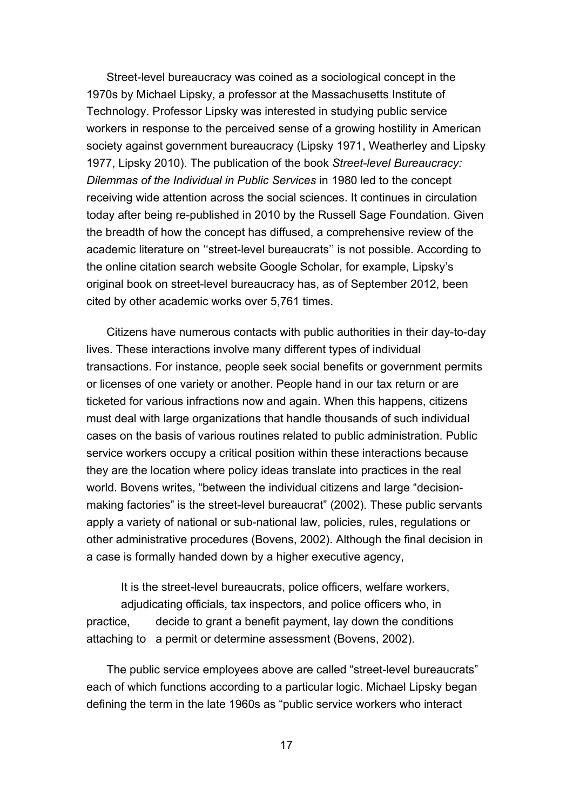Street-level bureaucracy was coined as a sociological concept in the 1970s by Michael Lipsky, a professor at the Massachusetts Institute of Technology. Professor Lipsky was interested in studying public service workers in response to the perceived sense of a growing hostility in American society against government bureaucracy (Lipsky 1971, Weatherley and Lipsky 1977, Lipsky 2010). The publication of the book *Street-level Bureaucracy: Dilemmas of the Individual in Public Services* in 1980 led to the concept receiving wide attention across the social sciences. It continues in circulation today after being re-published in 2010 by the Russell Sage Foundation. Given the breadth of how the concept has diffused, a comprehensive review of the academic literature on ''street-level bureaucrats'' is not possible. According to the online citation search website Google Scholar, for example, Lipsky's original book on street-level bureaucracy has, as of September 2012, been cited by other academic works over 5,761 times.

Citizens have numerous contacts with public authorities in their day-to-day lives. These interactions involve many different types of individual transactions. For instance, people seek social benefits or government permits or licenses of one variety or another. People hand in our tax return or are ticketed for various infractions now and again. When this happens, citizens must deal with large organizations that handle thousands of such individual cases on the basis of various routines related to public administration. Public service workers occupy a critical position within these interactions because they are the location where policy ideas translate into practices in the real world. Bovens writes, "between the individual citizens and large "decisionmaking factories" is the street-level bureaucrat" (2002). These public servants apply a variety of national or sub-national law, policies, rules, regulations or other administrative procedures (Bovens, 2002). Although the final decision in a case is formally handed down by a higher executive agency,

It is the street-level bureaucrats, police officers, welfare workers, adjudicating officials, tax inspectors, and police officers who, in practice, decide to grant a benefit payment, lay down the conditions attaching to a permit or determine assessment (Bovens, 2002).

The public service employees above are called "street-level bureaucrats" each of which functions according to a particular logic. Michael Lipsky began defining the term in the late 1960s as "public service workers who interact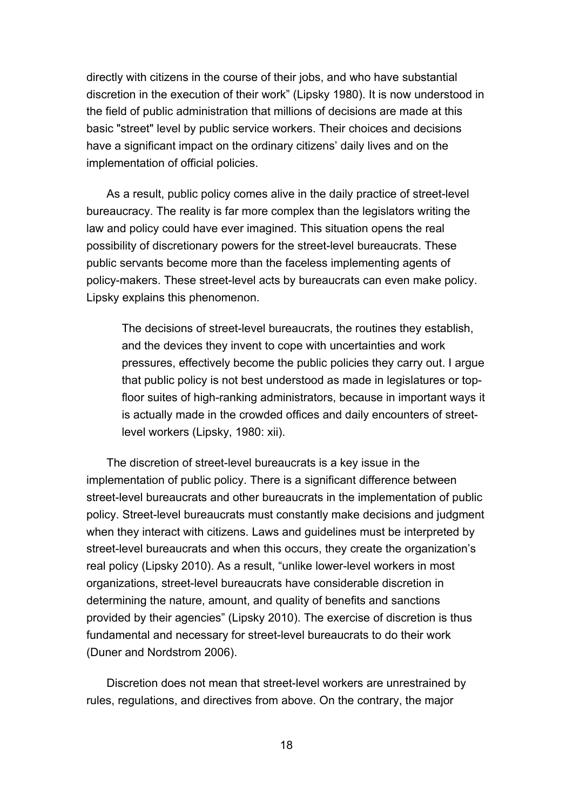directly with citizens in the course of their jobs, and who have substantial discretion in the execution of their work" (Lipsky 1980). It is now understood in the field of public administration that millions of decisions are made at this basic "street" level by public service workers. Their choices and decisions have a significant impact on the ordinary citizens' daily lives and on the implementation of official policies.

As a result, public policy comes alive in the daily practice of street-level bureaucracy. The reality is far more complex than the legislators writing the law and policy could have ever imagined. This situation opens the real possibility of discretionary powers for the street-level bureaucrats. These public servants become more than the faceless implementing agents of policy-makers. These street-level acts by bureaucrats can even make policy. Lipsky explains this phenomenon.

The decisions of street-level bureaucrats, the routines they establish, and the devices they invent to cope with uncertainties and work pressures, effectively become the public policies they carry out. I argue that public policy is not best understood as made in legislatures or topfloor suites of high-ranking administrators, because in important ways it is actually made in the crowded offices and daily encounters of streetlevel workers (Lipsky, 1980: xii).

The discretion of street-level bureaucrats is a key issue in the implementation of public policy. There is a significant difference between street-level bureaucrats and other bureaucrats in the implementation of public policy. Street-level bureaucrats must constantly make decisions and judgment when they interact with citizens. Laws and guidelines must be interpreted by street-level bureaucrats and when this occurs, they create the organization's real policy (Lipsky 2010). As a result, "unlike lower-level workers in most organizations, street-level bureaucrats have considerable discretion in determining the nature, amount, and quality of benefits and sanctions provided by their agencies" (Lipsky 2010). The exercise of discretion is thus fundamental and necessary for street-level bureaucrats to do their work (Duner and Nordstrom 2006).

Discretion does not mean that street-level workers are unrestrained by rules, regulations, and directives from above. On the contrary, the major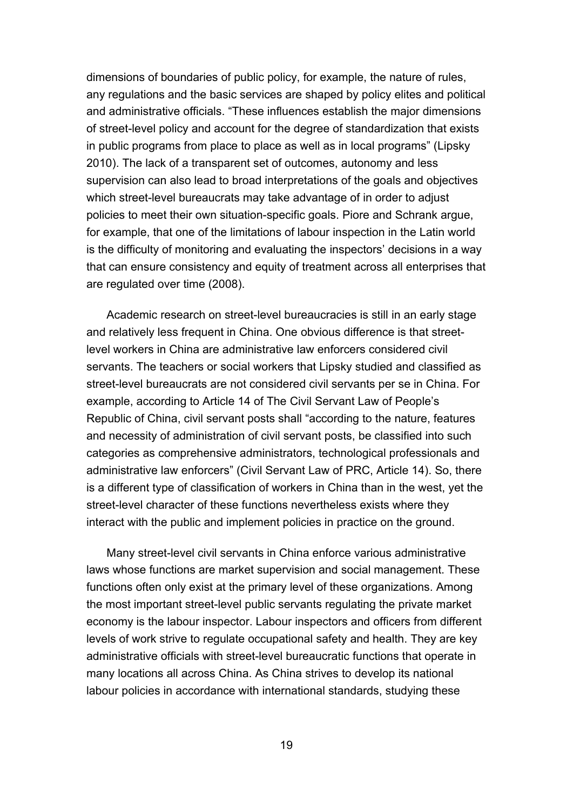dimensions of boundaries of public policy, for example, the nature of rules, any regulations and the basic services are shaped by policy elites and political and administrative officials. "These influences establish the major dimensions of street-level policy and account for the degree of standardization that exists in public programs from place to place as well as in local programs" (Lipsky 2010). The lack of a transparent set of outcomes, autonomy and less supervision can also lead to broad interpretations of the goals and objectives which street-level bureaucrats may take advantage of in order to adjust policies to meet their own situation-specific goals. Piore and Schrank argue, for example, that one of the limitations of labour inspection in the Latin world is the difficulty of monitoring and evaluating the inspectors' decisions in a way that can ensure consistency and equity of treatment across all enterprises that are regulated over time (2008).

Academic research on street-level bureaucracies is still in an early stage and relatively less frequent in China. One obvious difference is that streetlevel workers in China are administrative law enforcers considered civil servants. The teachers or social workers that Lipsky studied and classified as street-level bureaucrats are not considered civil servants per se in China. For example, according to Article 14 of The Civil Servant Law of People's Republic of China, civil servant posts shall "according to the nature, features and necessity of administration of civil servant posts, be classified into such categories as comprehensive administrators, technological professionals and administrative law enforcers" (Civil Servant Law of PRC, Article 14). So, there is a different type of classification of workers in China than in the west, yet the street-level character of these functions nevertheless exists where they interact with the public and implement policies in practice on the ground.

Many street-level civil servants in China enforce various administrative laws whose functions are market supervision and social management. These functions often only exist at the primary level of these organizations. Among the most important street-level public servants regulating the private market economy is the labour inspector. Labour inspectors and officers from different levels of work strive to regulate occupational safety and health. They are key administrative officials with street-level bureaucratic functions that operate in many locations all across China. As China strives to develop its national labour policies in accordance with international standards, studying these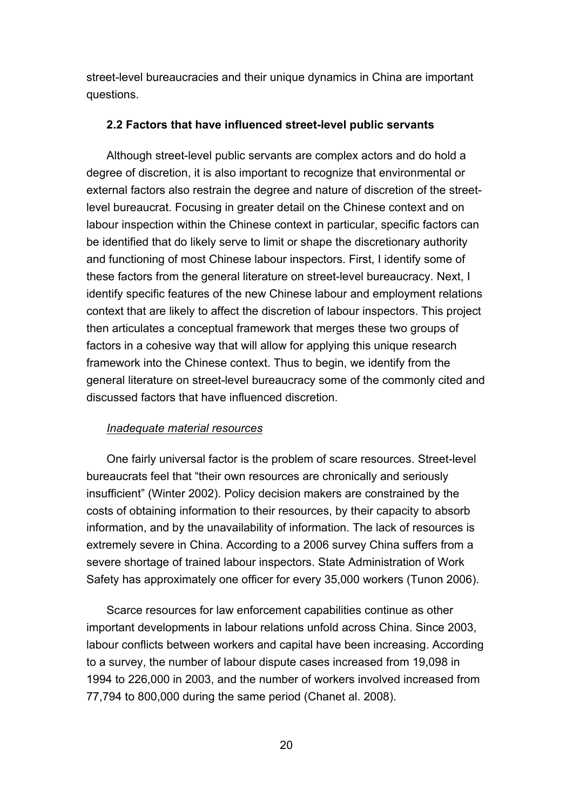street-level bureaucracies and their unique dynamics in China are important questions.

### **2.2 Factors that have influenced street-level public servants**

Although street-level public servants are complex actors and do hold a degree of discretion, it is also important to recognize that environmental or external factors also restrain the degree and nature of discretion of the streetlevel bureaucrat. Focusing in greater detail on the Chinese context and on labour inspection within the Chinese context in particular, specific factors can be identified that do likely serve to limit or shape the discretionary authority and functioning of most Chinese labour inspectors. First, I identify some of these factors from the general literature on street-level bureaucracy. Next, I identify specific features of the new Chinese labour and employment relations context that are likely to affect the discretion of labour inspectors. This project then articulates a conceptual framework that merges these two groups of factors in a cohesive way that will allow for applying this unique research framework into the Chinese context. Thus to begin, we identify from the general literature on street-level bureaucracy some of the commonly cited and discussed factors that have influenced discretion.

### *Inadequate material resources*

One fairly universal factor is the problem of scare resources. Street-level bureaucrats feel that "their own resources are chronically and seriously insufficient" (Winter 2002). Policy decision makers are constrained by the costs of obtaining information to their resources, by their capacity to absorb information, and by the unavailability of information. The lack of resources is extremely severe in China. According to a 2006 survey China suffers from a severe shortage of trained labour inspectors. State Administration of Work Safety has approximately one officer for every 35,000 workers (Tunon 2006).

Scarce resources for law enforcement capabilities continue as other important developments in labour relations unfold across China. Since 2003, labour conflicts between workers and capital have been increasing. According to a survey, the number of labour dispute cases increased from 19,098 in 1994 to 226,000 in 2003, and the number of workers involved increased from 77,794 to 800,000 during the same period (Chanet al. 2008).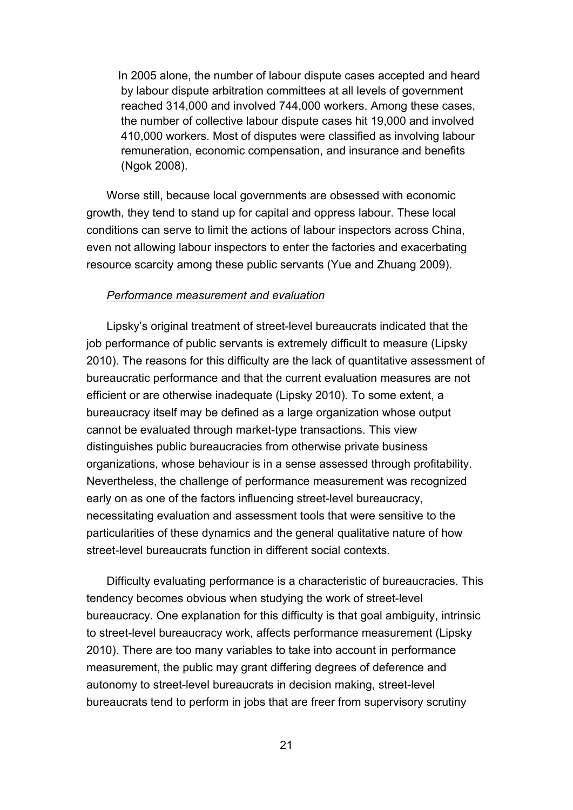In 2005 alone, the number of labour dispute cases accepted and heard by labour dispute arbitration committees at all levels of government reached 314,000 and involved 744,000 workers. Among these cases, the number of collective labour dispute cases hit 19,000 and involved 410,000 workers. Most of disputes were classified as involving labour remuneration, economic compensation, and insurance and benefits (Ngok 2008).

Worse still, because local governments are obsessed with economic growth, they tend to stand up for capital and oppress labour. These local conditions can serve to limit the actions of labour inspectors across China, even not allowing labour inspectors to enter the factories and exacerbating resource scarcity among these public servants (Yue and Zhuang 2009).

#### *Performance measurement and evaluation*

Lipsky's original treatment of street-level bureaucrats indicated that the job performance of public servants is extremely difficult to measure (Lipsky 2010). The reasons for this difficulty are the lack of quantitative assessment of bureaucratic performance and that the current evaluation measures are not efficient or are otherwise inadequate (Lipsky 2010). To some extent, a bureaucracy itself may be defined as a large organization whose output cannot be evaluated through market-type transactions. This view distinguishes public bureaucracies from otherwise private business organizations, whose behaviour is in a sense assessed through profitability. Nevertheless, the challenge of performance measurement was recognized early on as one of the factors influencing street-level bureaucracy, necessitating evaluation and assessment tools that were sensitive to the particularities of these dynamics and the general qualitative nature of how street-level bureaucrats function in different social contexts.

Difficulty evaluating performance is a characteristic of bureaucracies. This tendency becomes obvious when studying the work of street-level bureaucracy. One explanation for this difficulty is that goal ambiguity, intrinsic to street-level bureaucracy work, affects performance measurement (Lipsky 2010). There are too many variables to take into account in performance measurement, the public may grant differing degrees of deference and autonomy to street-level bureaucrats in decision making, street-level bureaucrats tend to perform in jobs that are freer from supervisory scrutiny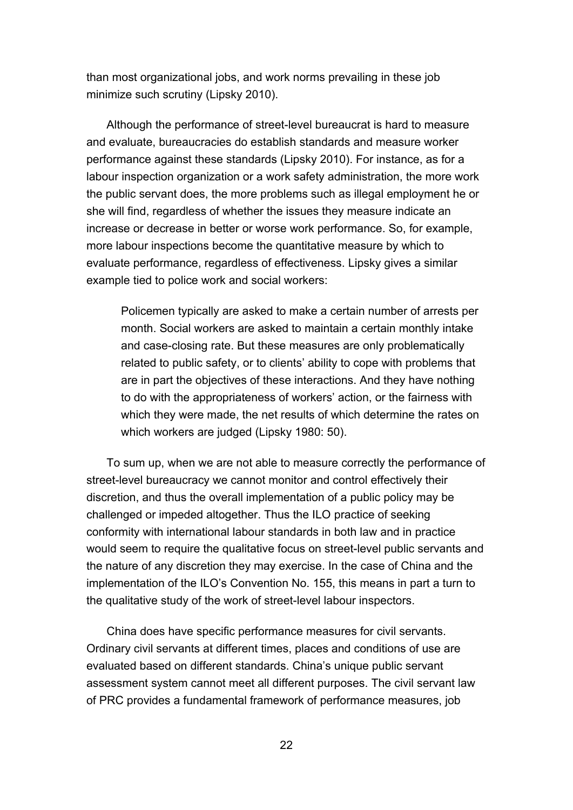than most organizational jobs, and work norms prevailing in these job minimize such scrutiny (Lipsky 2010).

Although the performance of street-level bureaucrat is hard to measure and evaluate, bureaucracies do establish standards and measure worker performance against these standards (Lipsky 2010). For instance, as for a labour inspection organization or a work safety administration, the more work the public servant does, the more problems such as illegal employment he or she will find, regardless of whether the issues they measure indicate an increase or decrease in better or worse work performance. So, for example, more labour inspections become the quantitative measure by which to evaluate performance, regardless of effectiveness. Lipsky gives a similar example tied to police work and social workers:

Policemen typically are asked to make a certain number of arrests per month. Social workers are asked to maintain a certain monthly intake and case-closing rate. But these measures are only problematically related to public safety, or to clients' ability to cope with problems that are in part the objectives of these interactions. And they have nothing to do with the appropriateness of workers' action, or the fairness with which they were made, the net results of which determine the rates on which workers are judged (Lipsky 1980: 50).

To sum up, when we are not able to measure correctly the performance of street-level bureaucracy we cannot monitor and control effectively their discretion, and thus the overall implementation of a public policy may be challenged or impeded altogether. Thus the ILO practice of seeking conformity with international labour standards in both law and in practice would seem to require the qualitative focus on street-level public servants and the nature of any discretion they may exercise. In the case of China and the implementation of the ILO's Convention No. 155, this means in part a turn to the qualitative study of the work of street-level labour inspectors.

China does have specific performance measures for civil servants. Ordinary [civil](http://eng.hi138.com/?k=civil+servants) [servants](http://eng.hi138.com/?k=civil+servants) at different times, places and conditions of use are evaluated based on different standards. China's unique public servant assessment system cannot meet all different purposes. The civil servant law of PRC provides a fundamental framework of performance measures, job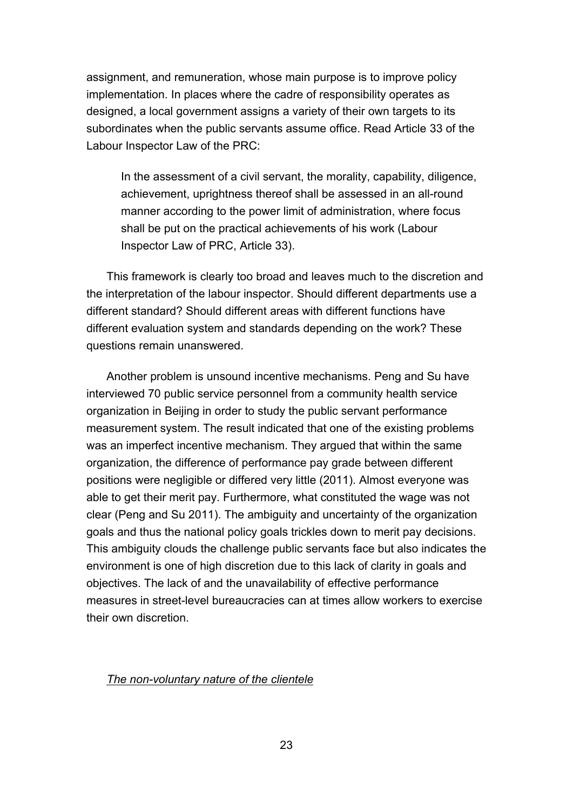assignment, and remuneration, whose main purpose is to improve policy implementation. In places where the cadre of responsibility operates as designed, a local government assigns a variety of their own targets to its subordinates when the public servants assume office. Read Article 33 of the Labour Inspector Law of the PRC:

In the assessment of a civil servant, the morality, capability, diligence, achievement, uprightness thereof shall be assessed in an all-round manner according to the power limit of administration, where focus shall be put on the practical achievements of his work (Labour Inspector Law of PRC, Article 33).

This framework is clearly too broad and leaves much to the discretion and the interpretation of the labour inspector. Should different departments use a different standard? Should different areas with different functions have different evaluation system and standards depending on the work? These questions remain unanswered.

Another problem is unsound incentive mechanisms. Peng and Su have interviewed 70 public service personnel from a community health service organization in Beijing in order to study the public servant performance measurement system. The result indicated that one of the existing problems was an imperfect incentive mechanism. They argued that within the same organization, the difference of performance pay grade between different positions were negligible or differed very little (2011). Almost everyone was able to get their merit pay. Furthermore, what constituted the wage was not clear (Peng and Su 2011). The ambiguity and uncertainty of the organization goals and thus the national policy goals trickles down to merit pay decisions. This ambiguity clouds the challenge public servants face but also indicates the environment is one of high discretion due to this lack of clarity in goals and objectives. The lack of and the unavailability of effective performance measures in street-level bureaucracies can at times allow workers to exercise their own discretion.

### *The non-voluntary nature of the clientele*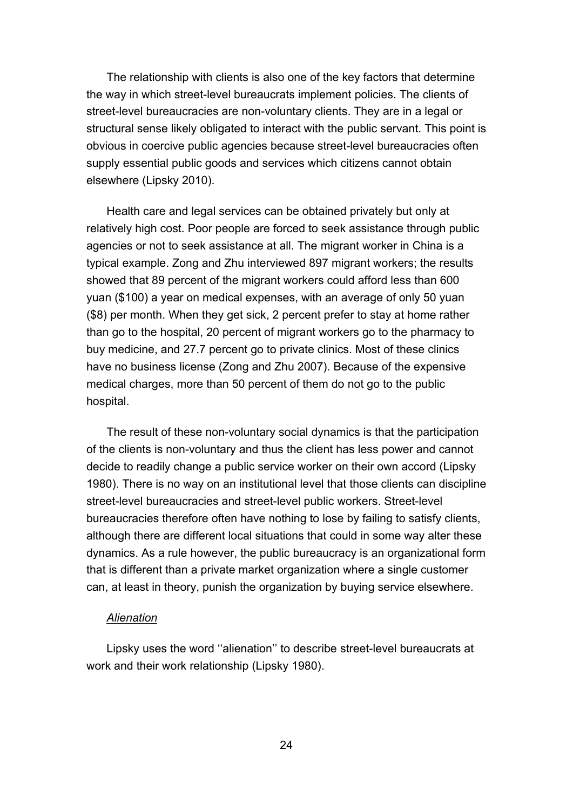The relationship with clients is also one of the key factors that determine the way in which street-level bureaucrats implement policies. The clients of street-level bureaucracies are non-voluntary clients. They are in a legal or structural sense likely obligated to interact with the public servant. This point is obvious in coercive public agencies because street-level bureaucracies often supply essential public goods and services which citizens cannot obtain elsewhere (Lipsky 2010).

Health care and legal services can be obtained privately but only at relatively high cost. Poor people are forced to seek assistance through public agencies or not to seek assistance at all. The migrant worker in China is a typical example. Zong and Zhu interviewed 897 migrant workers; the results showed that 89 percent of the migrant workers could afford less than 600 yuan (\$100) a year on medical expenses, with an average of only 50 yuan (\$8) per month. When they get sick, 2 percent prefer to stay at home rather than go to the hospital, 20 percent of migrant workers go to the pharmacy to buy medicine, and 27.7 percent go to private clinics. Most of these clinics have no business license (Zong and Zhu 2007). Because of the expensive medical charges, more than 50 percent of them do not go to the public hospital.

The result of these non-voluntary social dynamics is that the participation of the clients is non-voluntary and thus the client has less power and cannot decide to readily change a public service worker on their own accord (Lipsky 1980). There is no way on an institutional level that those clients can discipline street-level bureaucracies and street-level public workers. Street-level bureaucracies therefore often have nothing to lose by failing to satisfy clients, although there are different local situations that could in some way alter these dynamics. As a rule however, the public bureaucracy is an organizational form that is different than a private market organization where a single customer can, at least in theory, punish the organization by buying service elsewhere.

#### *Alienation*

Lipsky uses the word ''alienation'' to describe street-level bureaucrats at work and their work relationship (Lipsky 1980).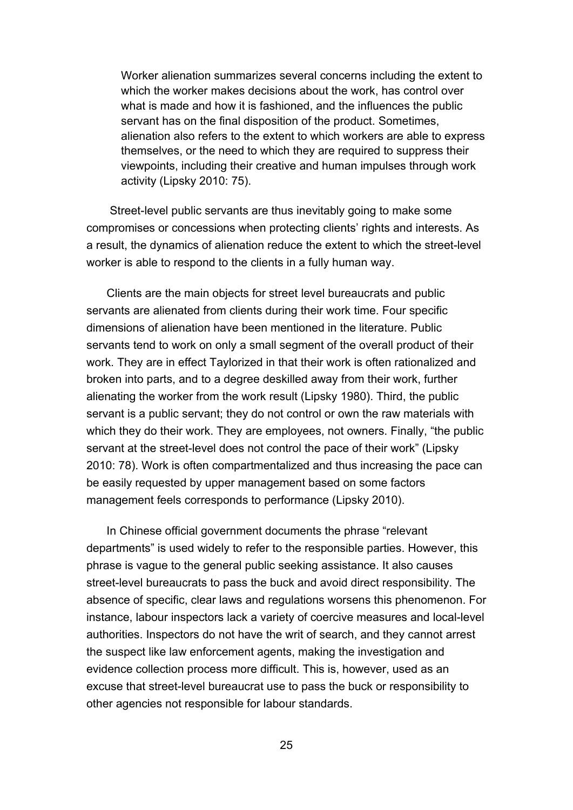Worker alienation summarizes several concerns including the extent to which the worker makes decisions about the work, has control over what is made and how it is fashioned, and the influences the public servant has on the final disposition of the product. Sometimes, alienation also refers to the extent to which workers are able to express themselves, or the need to which they are required to suppress their viewpoints, including their creative and human impulses through work activity (Lipsky 2010: 75).

Street-level public servants are thus inevitably going to make some compromises or concessions when protecting clients' rights and interests. As a result, the dynamics of alienation reduce the extent to which the street-level worker is able to respond to the clients in a fully human way.

Clients are the main objects for street level bureaucrats and public servants are alienated from clients during their work time. Four specific dimensions of alienation have been mentioned in the literature. Public servants tend to work on only a small segment of the overall product of their work. They are in effect Taylorized in that their work is often rationalized and broken into parts, and to a degree deskilled away from their work, further alienating the worker from the work result (Lipsky 1980). Third, the public servant is a public servant; they do not control or own the raw materials with which they do their work. They are employees, not owners. Finally, "the public servant at the street-level does not control the pace of their work" (Lipsky 2010: 78). Work is often compartmentalized and thus increasing the pace can be easily requested by upper management based on some factors management feels corresponds to performance (Lipsky 2010).

In Chinese official government documents the phrase "relevant departments" is used widely to refer to the responsible parties. However, this phrase is vague to the general public seeking assistance. It also causes street-level bureaucrats to pass the buck and avoid direct responsibility. The absence of specific, clear laws and regulations worsens this phenomenon. For instance, labour inspectors lack a variety of coercive measures and local-level authorities. Inspectors do not have the writ of search, and they cannot arrest the suspect like law enforcement agents, making the investigation and evidence collection process more difficult. This is, however, used as an excuse that street-level bureaucrat use to pass the buck or responsibility to other agencies not responsible for labour standards.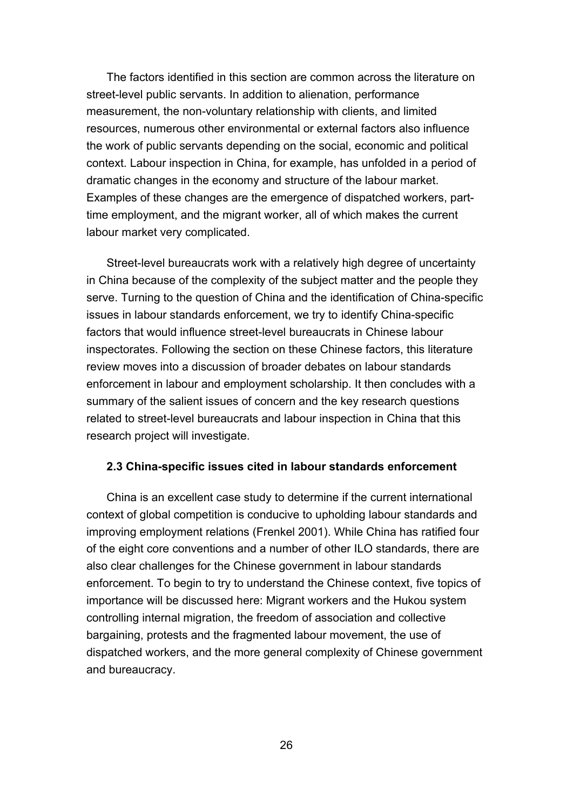The factors identified in this section are common across the literature on street-level public servants. In addition to alienation, performance measurement, the non-voluntary relationship with clients, and limited resources, numerous other environmental or external factors also influence the work of public servants depending on the social, economic and political context. Labour inspection in China, for example, has unfolded in a period of dramatic changes in the economy and structure of the labour market. Examples of these changes are the emergence of dispatched workers, parttime employment, and the migrant worker, all of which makes the current labour market very complicated.

Street-level bureaucrats work with a relatively high degree of uncertainty in China because of the complexity of the subject matter and the people they serve. Turning to the question of China and the identification of China-specific issues in labour standards enforcement, we try to identify China-specific factors that would influence street-level bureaucrats in Chinese labour inspectorates. Following the section on these Chinese factors, this literature review moves into a discussion of broader debates on labour standards enforcement in labour and employment scholarship. It then concludes with a summary of the salient issues of concern and the key research questions related to street-level bureaucrats and labour inspection in China that this research project will investigate.

### **2.3 China-specific issues cited in labour standards enforcement**

China is an excellent case study to determine if the current international context of global competition is conducive to upholding labour standards and improving employment relations (Frenkel 2001). While China has ratified four of the eight core conventions and a number of other ILO standards, there are also clear challenges for the Chinese government in labour standards enforcement. To begin to try to understand the Chinese context, five topics of importance will be discussed here: Migrant workers and the Hukou system controlling internal migration, the freedom of association and collective bargaining, protests and the fragmented labour movement, the use of dispatched workers, and the more general complexity of Chinese government and bureaucracy.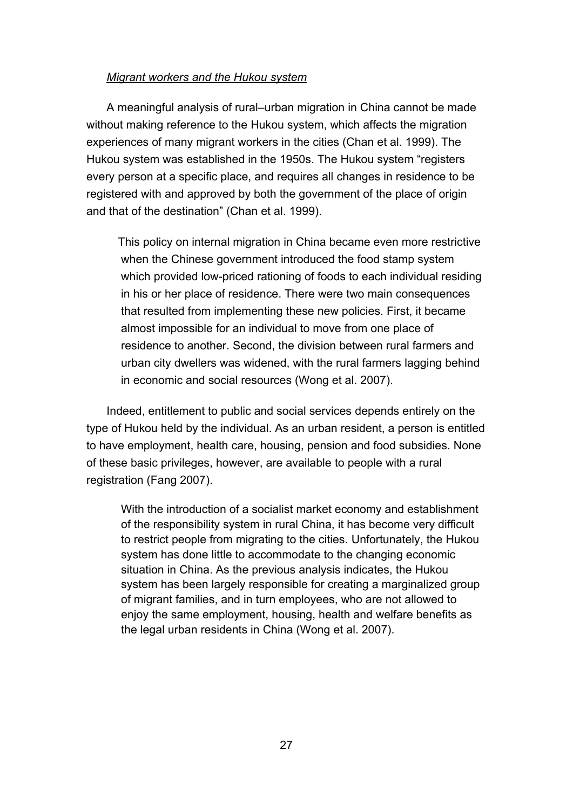# *Migrant workers and the Hukou system*

A meaningful analysis of rural–urban migration in China cannot be made without making reference to the Hukou system, which affects the migration experiences of many migrant workers in the cities (Chan et al. 1999). The Hukou system was established in the 1950s. The Hukou system "registers every person at a specific place, and requires all changes in residence to be registered with and approved by both the government of the place of origin and that of the destination" (Chan et al. 1999).

 This policy on internal migration in China became even more restrictive when the Chinese government introduced the food stamp system which provided low-priced rationing of foods to each individual residing in his or her place of residence. There were two main consequences that resulted from implementing these new policies. First, it became almost impossible for an individual to move from one place of residence to another. Second, the division between rural farmers and urban city dwellers was widened, with the rural farmers lagging behind in economic and social resources (Wong et al. 2007).

Indeed, entitlement to public and social services depends entirely on the type of Hukou held by the individual. As an urban resident, a person is entitled to have employment, health care, housing, pension and food subsidies. None of these basic privileges, however, are available to people with a rural registration (Fang 2007).

With the introduction of a socialist market economy and establishment of the responsibility system in rural China, it has become very difficult to restrict people from migrating to the cities. Unfortunately, the Hukou system has done little to accommodate to the changing economic situation in China. As the previous analysis indicates, the Hukou system has been largely responsible for creating a marginalized group of migrant families, and in turn employees, who are not allowed to enjoy the same employment, housing, health and welfare benefits as the legal urban residents in China (Wong et al. 2007).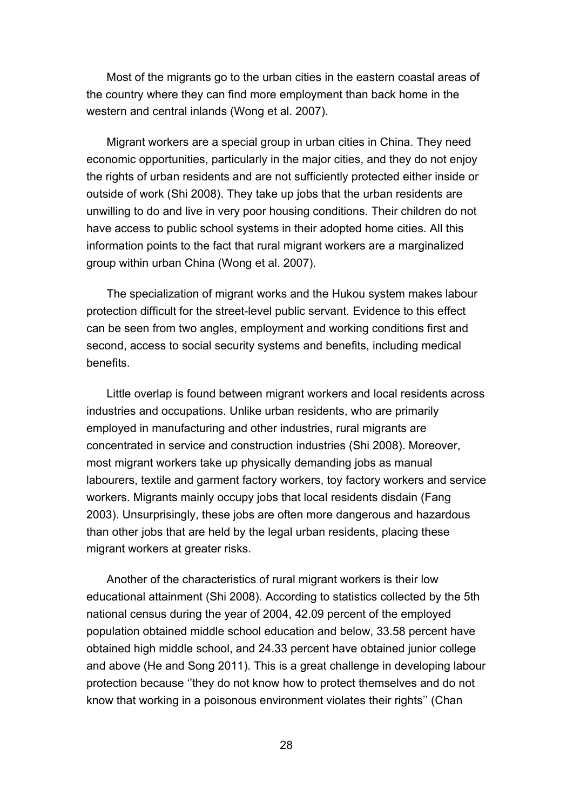Most of the migrants go to the urban cities in the eastern coastal areas of the country where they can find more employment than back home in the western and central inlands (Wong et al. 2007).

Migrant workers are a special group in urban cities in China. They need economic opportunities, particularly in the major cities, and they do not enjoy the rights of urban residents and are not sufficiently protected either inside or outside of work (Shi 2008). They take up jobs that the urban residents are unwilling to do and live in very poor housing conditions. Their children do not have access to public school systems in their adopted home cities. All this information points to the fact that rural migrant workers are a marginalized group within urban China (Wong et al. 2007).

The specialization of migrant works and the Hukou system makes labour protection difficult for the street-level public servant. Evidence to this effect can be seen from two angles, employment and working conditions first and second, access to social security systems and benefits, including medical benefits.

Little overlap is found between migrant workers and local residents across industries and occupations. Unlike urban residents, who are primarily employed in manufacturing and other industries, rural migrants are concentrated in service and construction industries (Shi 2008). Moreover, most migrant workers take up physically demanding jobs as manual labourers, textile and garment factory workers, toy factory workers and service workers. Migrants mainly occupy jobs that local residents disdain (Fang 2003). Unsurprisingly, these jobs are often more dangerous and hazardous than other jobs that are held by the legal urban residents, placing these migrant workers at greater risks.

Another of the characteristics of rural migrant workers is their low educational attainment (Shi 2008). According to statistics collected by the 5th national census during the year of 2004, 42.09 percent of the employed population obtained middle school education and below, 33.58 percent have obtained high middle school, and 24.33 percent have obtained junior college and above (He and Song 2011). This is a great challenge in developing labour protection because ''they do not know how to protect themselves and do not know that working in a poisonous environment violates their rights'' (Chan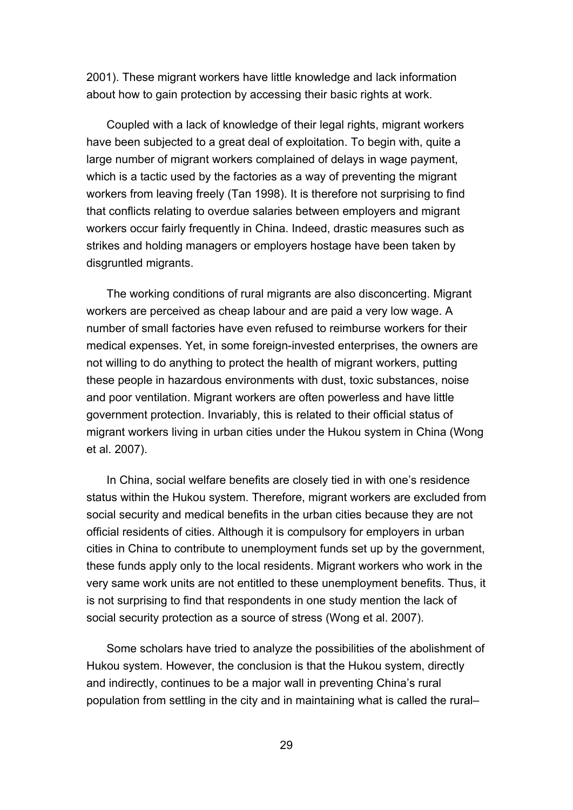2001). These migrant workers have little knowledge and lack information about how to gain protection by accessing their basic rights at work.

Coupled with a lack of knowledge of their legal rights, migrant workers have been subjected to a great deal of exploitation. To begin with, quite a large number of migrant workers complained of delays in wage payment, which is a tactic used by the factories as a way of preventing the migrant workers from leaving freely (Tan 1998). It is therefore not surprising to find that conflicts relating to overdue salaries between employers and migrant workers occur fairly frequently in China. Indeed, drastic measures such as strikes and holding managers or employers hostage have been taken by disgruntled migrants.

The working conditions of rural migrants are also disconcerting. Migrant workers are perceived as cheap labour and are paid a very low wage. A number of small factories have even refused to reimburse workers for their medical expenses. Yet, in some foreign-invested enterprises, the owners are not willing to do anything to protect the health of migrant workers, putting these people in hazardous environments with dust, toxic substances, noise and poor ventilation. Migrant workers are often powerless and have little government protection. Invariably, this is related to their official status of migrant workers living in urban cities under the Hukou system in China (Wong et al. 2007).

In China, social welfare benefits are closely tied in with one's residence status within the Hukou system. Therefore, migrant workers are excluded from social security and medical benefits in the urban cities because they are not official residents of cities. Although it is compulsory for employers in urban cities in China to contribute to unemployment funds set up by the government, these funds apply only to the local residents. Migrant workers who work in the very same work units are not entitled to these unemployment benefits. Thus, it is not surprising to find that respondents in one study mention the lack of social security protection as a source of stress (Wong et al. 2007).

Some scholars have tried to analyze the possibilities of the abolishment of Hukou system. However, the conclusion is that the Hukou system, directly and indirectly, continues to be a major wall in preventing China's rural population from settling in the city and in maintaining what is called the rural–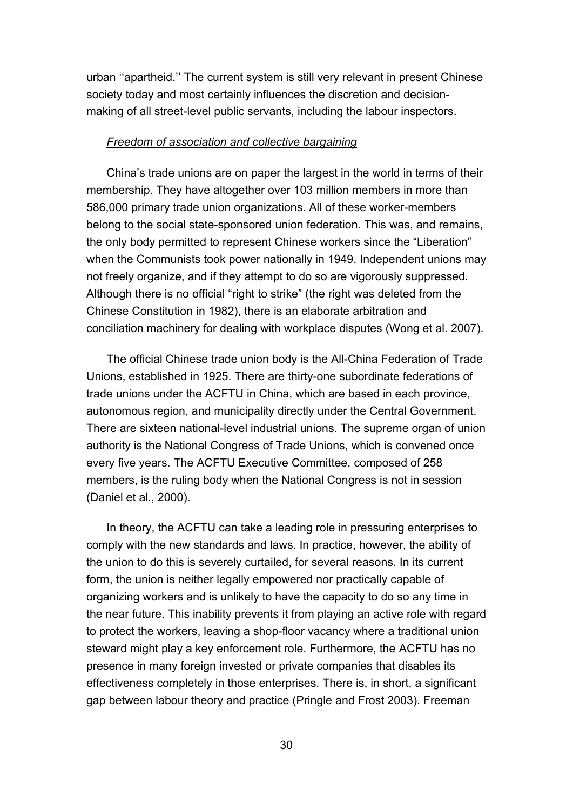urban ''apartheid.'' The current system is still very relevant in present Chinese society today and most certainly influences the discretion and decisionmaking of all street-level public servants, including the labour inspectors.

#### *Freedom of association and collective bargaining*

China's trade unions are on paper the largest in the world in terms of their membership. They have altogether over 103 million members in more than 586,000 primary trade union organizations. All of these worker-members belong to the social state-sponsored union federation. This was, and remains, the only body permitted to represent Chinese workers since the "Liberation" when the Communists took power nationally in 1949. Independent unions may not freely organize, and if they attempt to do so are vigorously suppressed. Although there is no official "right to strike" (the right was deleted from the Chinese Constitution in 1982), there is an elaborate arbitration and conciliation machinery for dealing with workplace disputes (Wong et al. 2007).

The official Chinese trade union body is the All-China Federation of Trade Unions, established in 1925. There are thirty-one subordinate federations of trade unions under the ACFTU in China, which are based in each province, autonomous region, and municipality directly under the Central Government. There are sixteen national-level industrial unions. The supreme organ of union authority is the National Congress of Trade Unions, which is convened once every five years. The ACFTU Executive Committee, composed of 258 members, is the ruling body when the National Congress is not in session (Daniel et al., 2000).

In theory, the ACFTU can take a leading role in pressuring enterprises to comply with the new standards and laws. In practice, however, the ability of the union to do this is severely curtailed, for several reasons. In its current form, the union is neither legally empowered nor practically capable of organizing workers and is unlikely to have the capacity to do so any time in the near future. This inability prevents it from playing an active role with regard to protect the workers, leaving a shop-floor vacancy where a traditional union steward might play a key enforcement role. Furthermore, the ACFTU has no presence in many foreign invested or private companies that disables its effectiveness completely in those enterprises. There is, in short, a significant gap between labour theory and practice (Pringle and Frost 2003). Freeman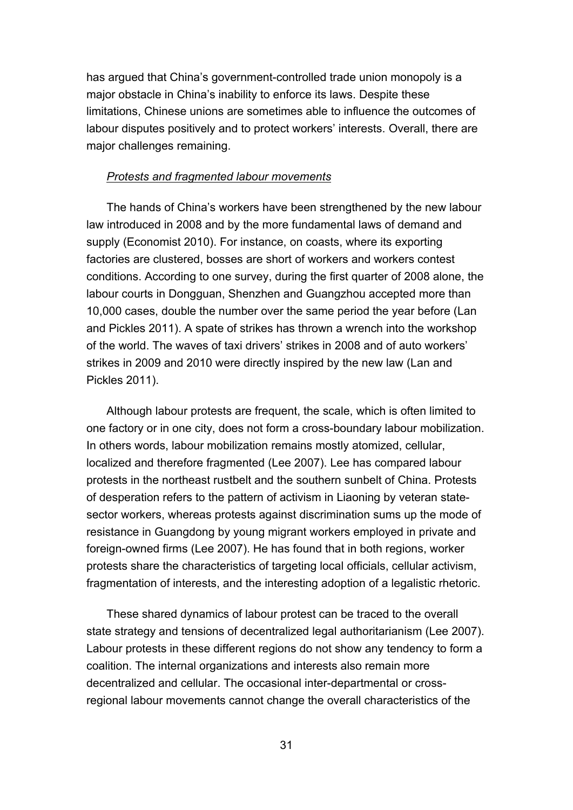has argued that China's government-controlled trade union monopoly is a major obstacle in China's inability to enforce its laws. Despite these limitations, Chinese unions are sometimes able to influence the outcomes of labour disputes positively and to protect workers' interests. Overall, there are major challenges remaining.

### *Protests and fragmented labour movements*

The hands of China's workers have been strengthened by the new labour law introduced in 2008 and by the more fundamental laws of demand and supply (Economist 2010). For instance, on coasts, where its exporting factories are clustered, bosses are short of workers and workers contest conditions. According to one survey, during the first quarter of 2008 alone, the labour courts in Dongguan, Shenzhen and Guangzhou accepted more than 10,000 cases, double the number over the same period the year before (Lan and Pickles 2011). A spate of strikes has thrown a wrench into the workshop of the world. The waves of taxi drivers' strikes in 2008 and of auto workers' strikes in 2009 and 2010 were directly inspired by the new law (Lan and Pickles 2011).

Although labour protests are frequent, the scale, which is often limited to one factory or in one city, does not form a cross-boundary labour mobilization. In others words, labour mobilization remains mostly atomized, cellular, localized and therefore fragmented (Lee 2007). Lee has compared labour protests in the northeast rustbelt and the southern sunbelt of China. Protests of desperation refers to the pattern of activism in Liaoning by veteran statesector workers, whereas protests against discrimination sums up the mode of resistance in Guangdong by young migrant workers employed in private and foreign-owned firms (Lee 2007). He has found that in both regions, worker protests share the characteristics of targeting local officials, cellular activism, fragmentation of interests, and the interesting adoption of a legalistic rhetoric.

These shared dynamics of labour protest can be traced to the overall state strategy and tensions of decentralized legal authoritarianism (Lee 2007). Labour protests in these different regions do not show any tendency to form a coalition. The internal organizations and interests also remain more decentralized and cellular. The occasional inter-departmental or crossregional labour movements cannot change the overall characteristics of the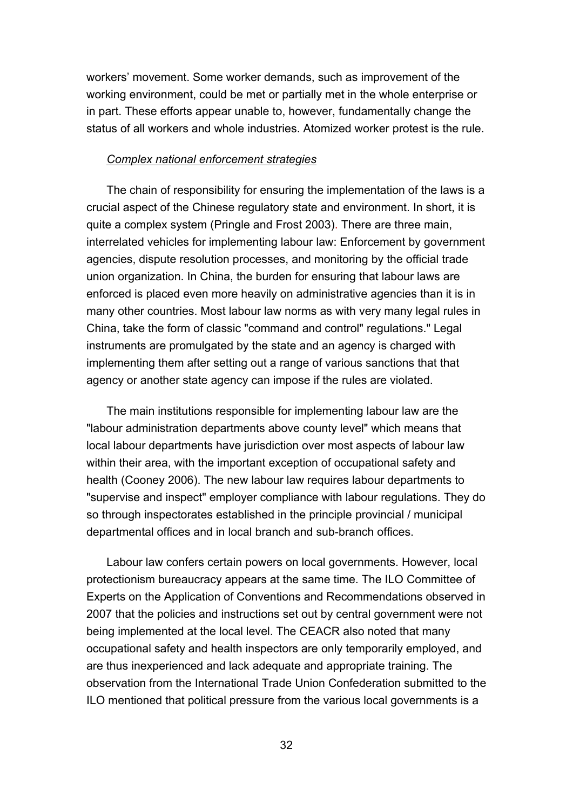workers' movement. Some worker demands, such as improvement of the working environment, could be met or partially met in the whole enterprise or in part. These efforts appear unable to, however, fundamentally change the status of all workers and whole industries. Atomized worker protest is the rule.

#### *Complex national enforcement strategies*

The chain of responsibility for ensuring the implementation of the laws is a crucial aspect of the Chinese regulatory state and environment. In short, it is quite a complex system (Pringle and Frost 2003). There are three main, interrelated vehicles for implementing labour law: Enforcement by government agencies, dispute resolution processes, and monitoring by the official trade union organization. In China, the burden for ensuring that labour laws are enforced is placed even more heavily on administrative agencies than it is in many other countries. Most labour law norms as with very many legal rules in China, take the form of classic "command and control" regulations." Legal instruments are promulgated by the state and an agency is charged with implementing them after setting out a range of various sanctions that that agency or another state agency can impose if the rules are violated.

The main institutions responsible for implementing labour law are the "labour administration departments above county level" which means that local labour departments have jurisdiction over most aspects of labour law within their area, with the important exception of occupational safety and health (Cooney 2006). The new labour law requires labour departments to "supervise and inspect" employer compliance with labour regulations. They do so through inspectorates established in the principle provincial / municipal departmental offices and in local branch and sub-branch offices.

Labour law confers certain powers on local governments. However, local protectionism bureaucracy appears at the same time. The ILO Committee of Experts on the Application of Conventions and Recommendations observed in 2007 that the policies and instructions set out by central government were not being implemented at the local level. The CEACR also noted that many occupational safety and health inspectors are only temporarily employed, and are thus inexperienced and lack adequate and appropriate training. The observation from the International Trade Union Confederation submitted to the ILO mentioned that political pressure from the various local governments is a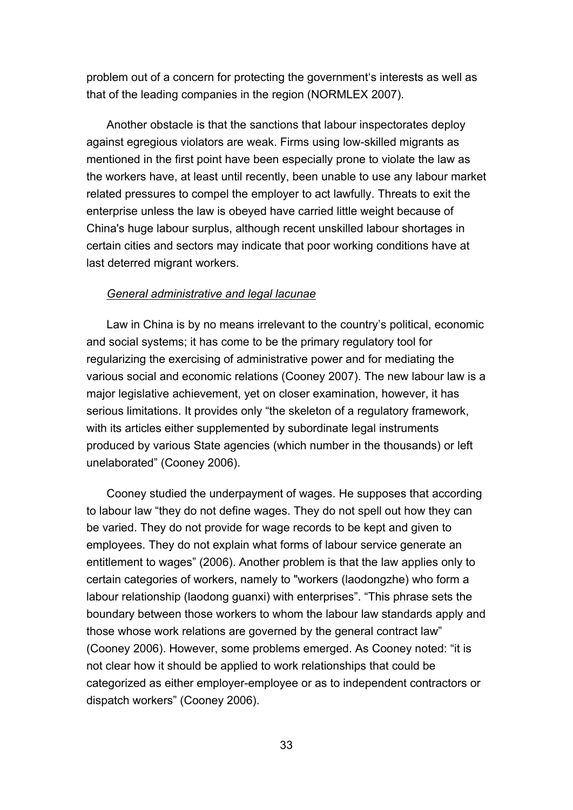problem out of a concern for protecting the government's interests as well as that of the leading companies in the region (NORMLEX 2007).

Another obstacle is that the sanctions that labour inspectorates deploy against egregious violators are weak. Firms using low-skilled migrants as mentioned in the first point have been especially prone to violate the law as the workers have, at least until recently, been unable to use any labour market related pressures to compel the employer to act lawfully. Threats to exit the enterprise unless the law is obeyed have carried little weight because of China's huge labour surplus, although recent unskilled labour shortages in certain cities and sectors may indicate that poor working conditions have at last deterred migrant workers.

#### *General administrative and legal lacunae*

Law in China is by no means irrelevant to the country's political, economic and social systems; it has come to be the primary regulatory tool for regularizing the exercising of administrative power and for mediating the various social and economic relations (Cooney 2007). The new labour law is a major legislative achievement, yet on closer examination, however, it has serious limitations. It provides only "the skeleton of a regulatory framework, with its articles either supplemented by subordinate legal instruments produced by various State agencies (which number in the thousands) or left unelaborated" (Cooney 2006).

Cooney studied the underpayment of wages. He supposes that according to labour law "they do not define wages. They do not spell out how they can be varied. They do not provide for wage records to be kept and given to employees. They do not explain what forms of labour service generate an entitlement to wages" (2006). Another problem is that the law applies only to certain categories of workers, namely to "workers (laodongzhe) who form a labour relationship (laodong guanxi) with enterprises". "This phrase sets the boundary between those workers to whom the labour law standards apply and those whose work relations are governed by the general contract law" (Cooney 2006). However, some problems emerged. As Cooney noted: "it is not clear how it should be applied to work relationships that could be categorized as either employer-employee or as to independent contractors or dispatch workers" (Cooney 2006).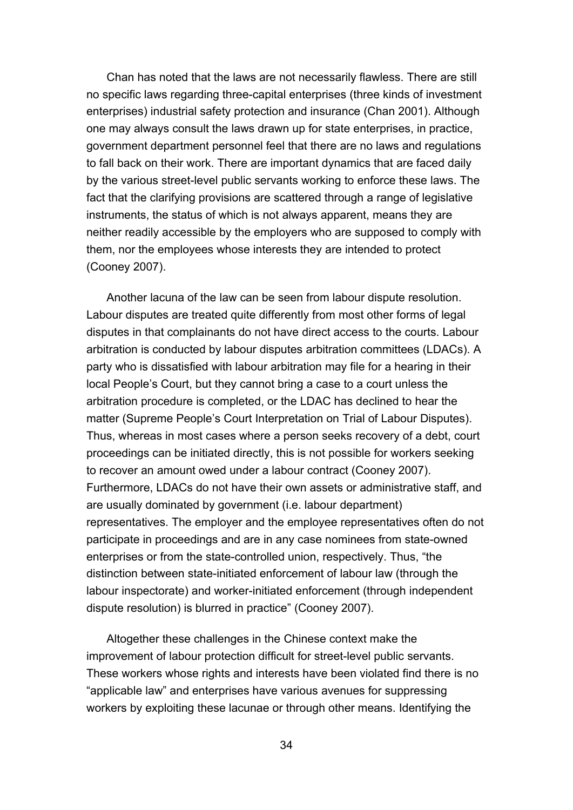Chan has noted that the laws are not necessarily flawless. There are still no specific laws regarding three-capital enterprises (three kinds of investment enterprises) industrial safety protection and insurance (Chan 2001). Although one may always consult the laws drawn up for state enterprises, in practice, government department personnel feel that there are no laws and regulations to fall back on their work. There are important dynamics that are faced daily by the various street-level public servants working to enforce these laws. The fact that the clarifying provisions are scattered through a range of legislative instruments, the status of which is not always apparent, means they are neither readily accessible by the employers who are supposed to comply with them, nor the employees whose interests they are intended to protect (Cooney 2007).

Another lacuna of the law can be seen from labour dispute resolution. Labour disputes are treated quite differently from most other forms of legal disputes in that complainants do not have direct access to the courts. Labour arbitration is conducted by labour disputes arbitration committees (LDACs). A party who is dissatisfied with labour arbitration may file for a hearing in their local People's Court, but they cannot bring a case to a court unless the arbitration procedure is completed, or the LDAC has declined to hear the matter (Supreme People's Court Interpretation on Trial of Labour Disputes). Thus, whereas in most cases where a person seeks recovery of a debt, court proceedings can be initiated directly, this is not possible for workers seeking to recover an amount owed under a labour contract (Cooney 2007). Furthermore, LDACs do not have their own assets or administrative staff, and are usually dominated by government (i.e. labour department) representatives. The employer and the employee representatives often do not participate in proceedings and are in any case nominees from state-owned enterprises or from the state-controlled union, respectively. Thus, "the distinction between state-initiated enforcement of labour law (through the labour inspectorate) and worker-initiated enforcement (through independent dispute resolution) is blurred in practice" (Cooney 2007).

Altogether these challenges in the Chinese context make the improvement of labour protection difficult for street-level public servants. These workers whose rights and interests have been violated find there is no "applicable law" and enterprises have various avenues for suppressing workers by exploiting these lacunae or through other means. Identifying the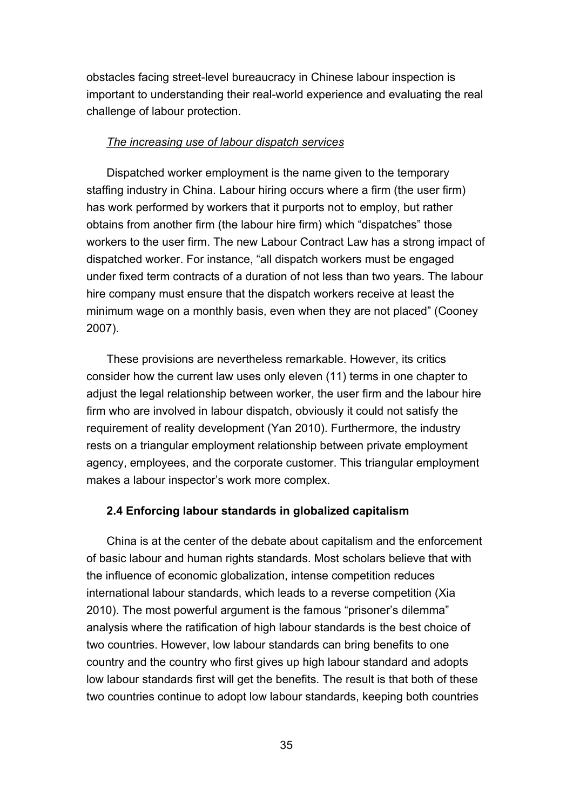obstacles facing street-level bureaucracy in Chinese labour inspection is important to understanding their real-world experience and evaluating the real challenge of labour protection.

### *The increasing use of labour dispatch services*

Dispatched worker employment is the name given to the temporary staffing industry in China. Labour hiring occurs where a firm (the user firm) has work performed by workers that it purports not to employ, but rather obtains from another firm (the labour hire firm) which "dispatches" those workers to the user firm. The new Labour Contract Law has a strong impact of dispatched worker. For instance, "all dispatch workers must be engaged under fixed term contracts of a duration of not less than two years. The labour hire company must ensure that the dispatch workers receive at least the minimum wage on a monthly basis, even when they are not placed" (Cooney 2007).

These provisions are nevertheless remarkable. However, its critics consider how the current law uses only eleven (11) terms in one chapter to adjust the legal relationship between worker, the user firm and the labour hire firm who are involved in labour dispatch, obviously it could not satisfy the requirement of reality development (Yan 2010). Furthermore, the industry rests on a triangular employment relationship between private employment agency, employees, and the corporate customer. This triangular employment makes a labour inspector's work more complex.

### **2.4 Enforcing labour standards in globalized capitalism**

China is at the center of the debate about capitalism and the enforcement of basic labour and human rights standards. Most scholars believe that with the influence of economic globalization, intense competition reduces international labour standards, which leads to a reverse competition (Xia 2010). The most powerful argument is the famous "prisoner's dilemma" analysis where the ratification of high labour standards is the best choice of two countries. However, low labour standards can bring benefits to one country and the country who first gives up high labour standard and adopts low labour standards first will get the benefits. The result is that both of these two countries continue to adopt low labour standards, keeping both countries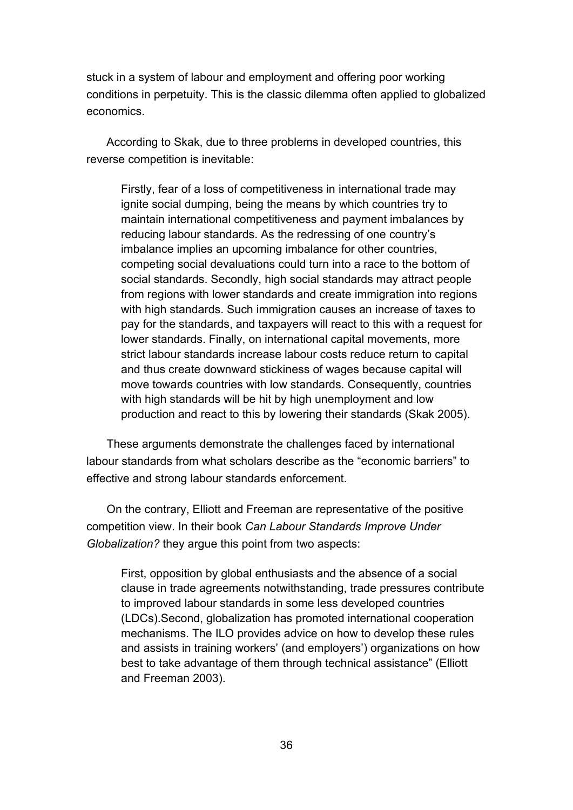stuck in a system of labour and employment and offering poor working conditions in perpetuity. This is the classic dilemma often applied to globalized economics.

According to Skak, due to three problems in developed countries, this reverse competition is inevitable:

Firstly, fear of a loss of competitiveness in international trade may ignite social dumping, being the means by which countries try to maintain international competitiveness and payment imbalances by reducing labour standards. As the redressing of one country's imbalance implies an upcoming imbalance for other countries, competing social devaluations could turn into a race to the bottom of social standards. Secondly, high social standards may attract people from regions with lower standards and create immigration into regions with high standards. Such immigration causes an increase of taxes to pay for the standards, and taxpayers will react to this with a request for lower standards. Finally, on international capital movements, more strict labour standards increase labour costs reduce return to capital and thus create downward stickiness of wages because capital will move towards countries with low standards. Consequently, countries with high standards will be hit by high unemployment and low production and react to this by lowering their standards (Skak 2005).

These arguments demonstrate the challenges faced by international labour standards from what scholars describe as the "economic barriers" to effective and strong labour standards enforcement.

On the contrary, Elliott and Freeman are representative of the positive competition view. In their book *Can Labour Standards Improve Under Globalization?* they argue this point from two aspects:

First, opposition by global enthusiasts and the absence of a social clause in trade agreements notwithstanding, trade pressures contribute to improved labour standards in some less developed countries (LDCs).Second, globalization has promoted international cooperation mechanisms. The ILO provides advice on how to develop these rules and assists in training workers' (and employers') organizations on how best to take advantage of them through technical assistance" (Elliott and Freeman 2003).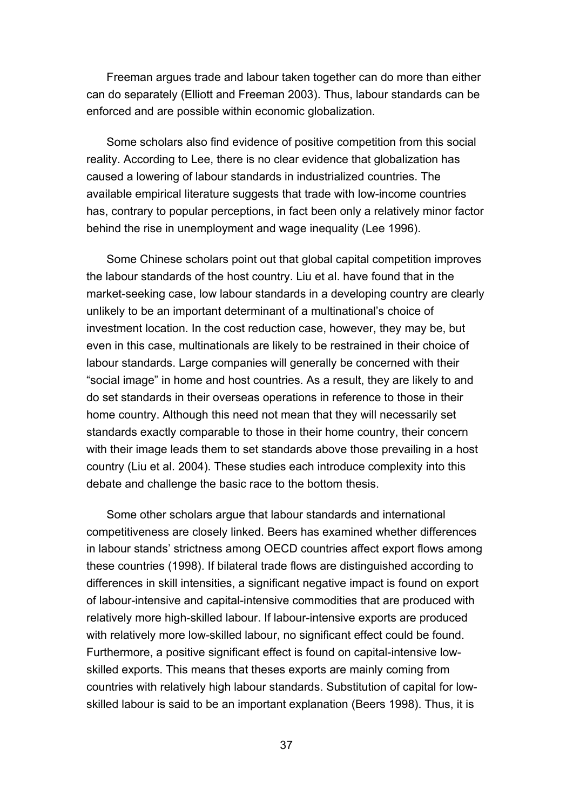Freeman argues trade and labour taken together can do more than either can do separately (Elliott and Freeman 2003). Thus, labour standards can be enforced and are possible within economic globalization.

Some scholars also find evidence of positive competition from this social reality. According to Lee, there is no clear evidence that globalization has caused a lowering of labour standards in industrialized countries. The available empirical literature suggests that trade with low-income countries has, contrary to popular perceptions, in fact been only a relatively minor factor behind the rise in unemployment and wage inequality (Lee 1996).

Some Chinese scholars point out that global capital competition improves the labour standards of the host country. Liu et al. have found that in the market-seeking case, low labour standards in a developing country are clearly unlikely to be an important determinant of a multinational's choice of investment location. In the cost reduction case, however, they may be, but even in this case, multinationals are likely to be restrained in their choice of labour standards. Large companies will generally be concerned with their "social image" in home and host countries. As a result, they are likely to and do set standards in their overseas operations in reference to those in their home country. Although this need not mean that they will necessarily set standards exactly comparable to those in their home country, their concern with their image leads them to set standards above those prevailing in a host country (Liu et al. 2004). These studies each introduce complexity into this debate and challenge the basic race to the bottom thesis.

Some other scholars argue that labour standards and international competitiveness are closely linked. Beers has examined whether differences in labour stands' strictness among OECD countries affect export flows among these countries (1998). If bilateral trade flows are distinguished according to differences in skill intensities, a significant negative impact is found on export of labour-intensive and capital-intensive commodities that are produced with relatively more high-skilled labour. If labour-intensive exports are produced with relatively more low-skilled labour, no significant effect could be found. Furthermore, a positive significant effect is found on capital-intensive lowskilled exports. This means that theses exports are mainly coming from countries with relatively high labour standards. Substitution of capital for lowskilled labour is said to be an important explanation (Beers 1998). Thus, it is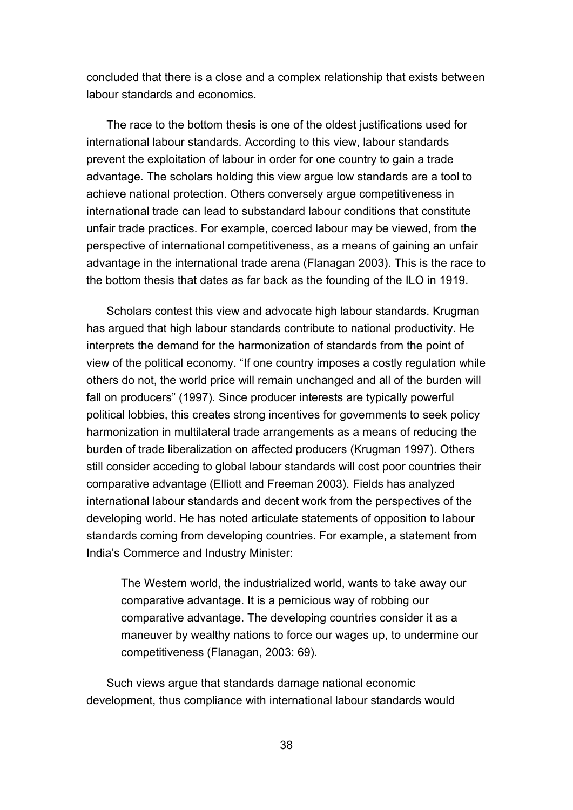concluded that there is a close and a complex relationship that exists between labour standards and economics.

The race to the bottom thesis is one of the oldest justifications used for international labour standards. According to this view, labour standards prevent the exploitation of labour in order for one country to gain a trade advantage. The scholars holding this view argue low standards are a tool to achieve national protection. Others conversely argue competitiveness in international trade can lead to substandard labour conditions that constitute unfair trade practices. For example, coerced labour may be viewed, from the perspective of international competitiveness, as a means of gaining an unfair advantage in the international trade arena (Flanagan 2003). This is the race to the bottom thesis that dates as far back as the founding of the ILO in 1919.

Scholars contest this view and advocate high labour standards. Krugman has argued that high labour standards contribute to national productivity. He interprets the demand for the harmonization of standards from the point of view of the political economy. "If one country imposes a costly regulation while others do not, the world price will remain unchanged and all of the burden will fall on producers" (1997). Since producer interests are typically powerful political lobbies, this creates strong incentives for governments to seek policy harmonization in multilateral trade arrangements as a means of reducing the burden of trade liberalization on affected producers (Krugman 1997). Others still consider acceding to global labour standards will cost poor countries their comparative advantage (Elliott and Freeman 2003). Fields has analyzed international labour standards and decent work from the perspectives of the developing world. He has noted articulate statements of opposition to labour standards coming from developing countries. For example, a statement from India's Commerce and Industry Minister:

The Western world, the industrialized world, wants to take away our comparative advantage. It is a pernicious way of robbing our comparative advantage. The developing countries consider it as a maneuver by wealthy nations to force our wages up, to undermine our competitiveness (Flanagan, 2003: 69).

Such views argue that standards damage national economic development, thus compliance with international labour standards would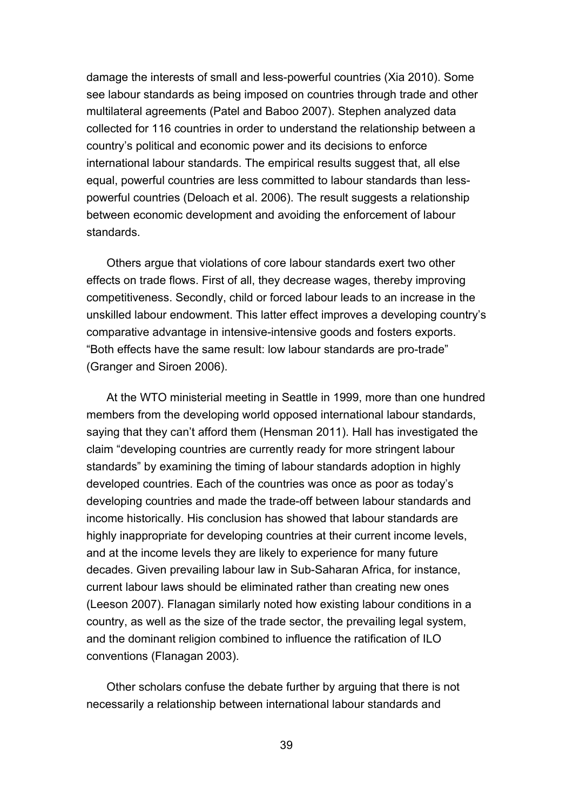damage the interests of small and less-powerful countries (Xia 2010). Some see labour standards as being imposed on countries through trade and other multilateral agreements (Patel and Baboo 2007). Stephen analyzed data collected for 116 countries in order to understand the relationship between a country's political and economic power and its decisions to enforce international labour standards. The empirical results suggest that, all else equal, powerful countries are less committed to labour standards than lesspowerful countries (Deloach et al. 2006). The result suggests a relationship between economic development and avoiding the enforcement of labour standards.

Others argue that violations of core labour standards exert two other effects on trade flows. First of all, they decrease wages, thereby improving competitiveness. Secondly, child or forced labour leads to an increase in the unskilled labour endowment. This latter effect improves a developing country's comparative advantage in intensive-intensive goods and fosters exports. "Both effects have the same result: low labour standards are pro-trade" (Granger and Siroen 2006).

At the WTO ministerial meeting in Seattle in 1999, more than one hundred members from the developing world opposed international labour standards, saying that they can't afford them (Hensman 2011). Hall has investigated the claim "developing countries are currently ready for more stringent labour standards" by examining the timing of labour standards adoption in highly developed countries. Each of the countries was once as poor as today's developing countries and made the trade-off between labour standards and income historically. His conclusion has showed that labour standards are highly inappropriate for developing countries at their current income levels, and at the income levels they are likely to experience for many future decades. Given prevailing labour law in Sub-Saharan Africa, for instance, current labour laws should be eliminated rather than creating new ones (Leeson 2007). Flanagan similarly noted how existing labour conditions in a country, as well as the size of the trade sector, the prevailing legal system, and the dominant religion combined to influence the ratification of ILO conventions (Flanagan 2003).

Other scholars confuse the debate further by arguing that there is not necessarily a relationship between international labour standards and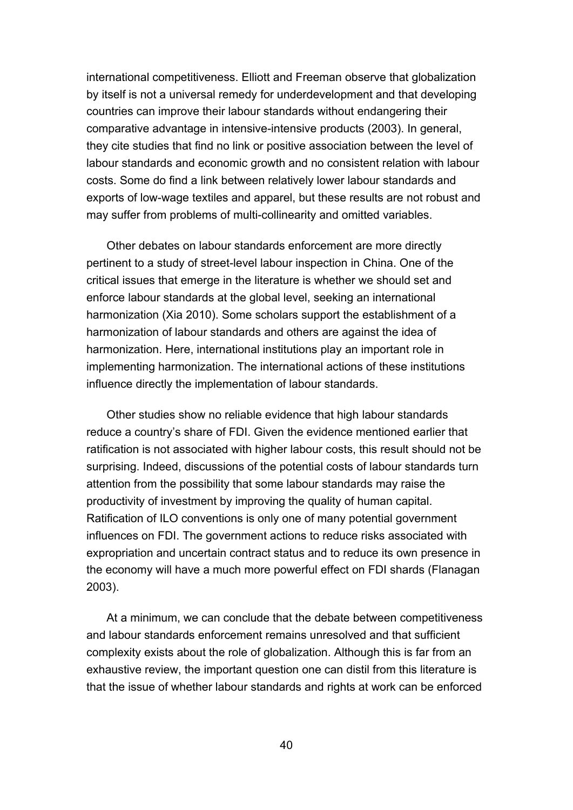international competitiveness. Elliott and Freeman observe that globalization by itself is not a universal remedy for underdevelopment and that developing countries can improve their labour standards without endangering their comparative advantage in intensive-intensive products (2003). In general, they cite studies that find no link or positive association between the level of labour standards and economic growth and no consistent relation with labour costs. Some do find a link between relatively lower labour standards and exports of low-wage textiles and apparel, but these results are not robust and may suffer from problems of multi-collinearity and omitted variables.

Other debates on labour standards enforcement are more directly pertinent to a study of street-level labour inspection in China. One of the critical issues that emerge in the literature is whether we should set and enforce labour standards at the global level, seeking an international harmonization (Xia 2010). Some scholars support the establishment of a harmonization of labour standards and others are against the idea of harmonization. Here, international institutions play an important role in implementing harmonization. The international actions of these institutions influence directly the implementation of labour standards.

Other studies show no reliable evidence that high labour standards reduce a country's share of FDI. Given the evidence mentioned earlier that ratification is not associated with higher labour costs, this result should not be surprising. Indeed, discussions of the potential costs of labour standards turn attention from the possibility that some labour standards may raise the productivity of investment by improving the quality of human capital. Ratification of ILO conventions is only one of many potential government influences on FDI. The government actions to reduce risks associated with expropriation and uncertain contract status and to reduce its own presence in the economy will have a much more powerful effect on FDI shards (Flanagan 2003).

At a minimum, we can conclude that the debate between competitiveness and labour standards enforcement remains unresolved and that sufficient complexity exists about the role of globalization. Although this is far from an exhaustive review, the important question one can distil from this literature is that the issue of whether labour standards and rights at work can be enforced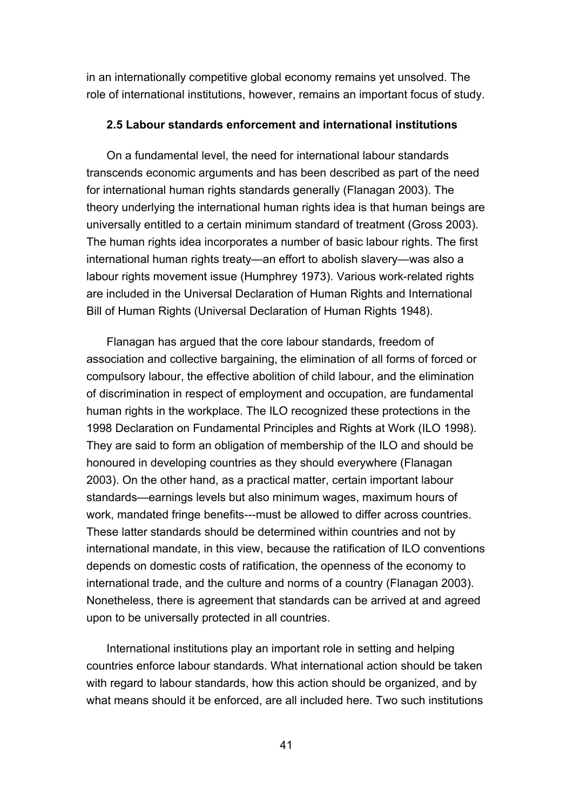in an internationally competitive global economy remains yet unsolved. The role of international institutions, however, remains an important focus of study.

### **2.5 Labour standards enforcement and international institutions**

On a fundamental level, the need for international labour standards transcends economic arguments and has been described as part of the need for international human rights standards generally (Flanagan 2003). The theory underlying the international human rights idea is that human beings are universally entitled to a certain minimum standard of treatment (Gross 2003). The human rights idea incorporates a number of basic labour rights. The first international human rights treaty—an effort to abolish slavery—was also a labour rights movement issue (Humphrey 1973). Various work-related rights are included in the Universal Declaration of Human Rights and International Bill of Human Rights (Universal Declaration of Human Rights 1948).

Flanagan has argued that the core labour standards, freedom of association and collective bargaining, the elimination of all forms of forced or compulsory labour, the effective abolition of child labour, and the elimination of discrimination in respect of employment and occupation, are fundamental human rights in the workplace. The ILO recognized these protections in the 1998 Declaration on Fundamental Principles and Rights at Work (ILO 1998). They are said to form an obligation of membership of the ILO and should be honoured in developing countries as they should everywhere (Flanagan 2003). On the other hand, as a practical matter, certain important labour standards—earnings levels but also minimum wages, maximum hours of work, mandated fringe benefits---must be allowed to differ across countries. These latter standards should be determined within countries and not by international mandate, in this view, because the ratification of ILO conventions depends on domestic costs of ratification, the openness of the economy to international trade, and the culture and norms of a country (Flanagan 2003). Nonetheless, there is agreement that standards can be arrived at and agreed upon to be universally protected in all countries.

International institutions play an important role in setting and helping countries enforce labour standards. What international action should be taken with regard to labour standards, how this action should be organized, and by what means should it be enforced, are all included here. Two such institutions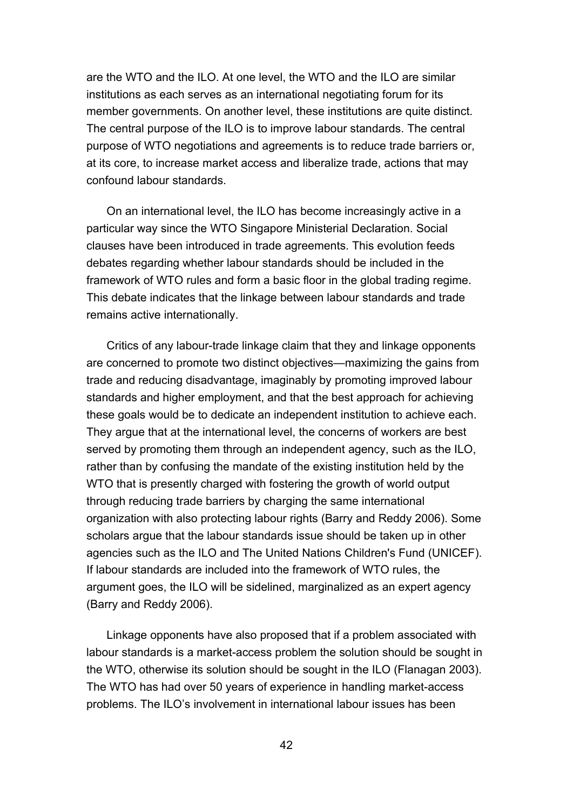are the WTO and the ILO. At one level, the WTO and the ILO are similar institutions as each serves as an international negotiating forum for its member governments. On another level, these institutions are quite distinct. The central purpose of the ILO is to improve labour standards. The central purpose of WTO negotiations and agreements is to reduce trade barriers or, at its core, to increase market access and liberalize trade, actions that may confound labour standards.

On an international level, the ILO has become increasingly active in a particular way since the WTO Singapore Ministerial Declaration. Social clauses have been introduced in trade agreements. This evolution feeds debates regarding whether labour standards should be included in the framework of WTO rules and form a basic floor in the global trading regime. This debate indicates that the linkage between labour standards and trade remains active internationally.

Critics of any labour-trade linkage claim that they and linkage opponents are concerned to promote two distinct objectives—maximizing the gains from trade and reducing disadvantage, imaginably by promoting improved labour standards and higher employment, and that the best approach for achieving these goals would be to dedicate an independent institution to achieve each. They argue that at the international level, the concerns of workers are best served by promoting them through an independent agency, such as the ILO, rather than by confusing the mandate of the existing institution held by the WTO that is presently charged with fostering the growth of world output through reducing trade barriers by charging the same international organization with also protecting labour rights (Barry and Reddy 2006). Some scholars argue that the labour standards issue should be taken up in other agencies such as the ILO and The United Nations Children's Fund (UNICEF). If labour standards are included into the framework of WTO rules, the argument goes, the ILO will be sidelined, marginalized as an expert agency (Barry and Reddy 2006).

Linkage opponents have also proposed that if a problem associated with labour standards is a market-access problem the solution should be sought in the WTO, otherwise its solution should be sought in the ILO (Flanagan 2003). The WTO has had over 50 years of experience in handling market-access problems. The ILO's involvement in international labour issues has been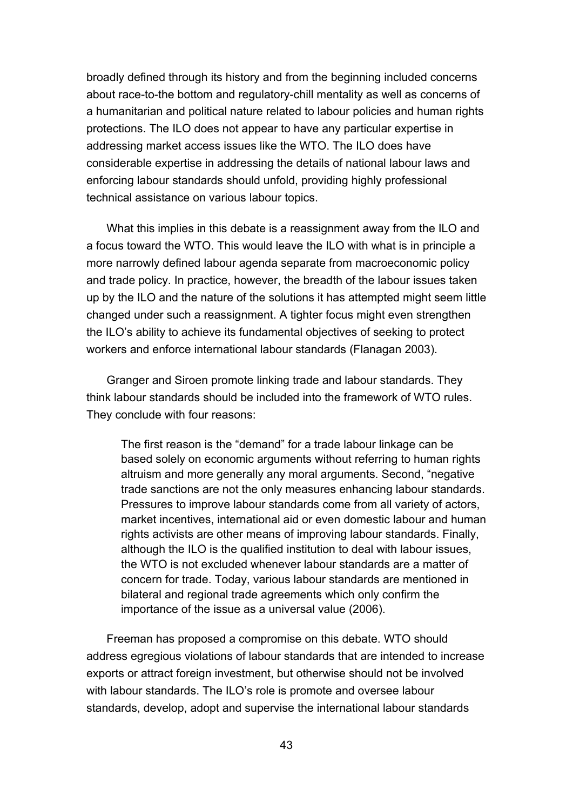broadly defined through its history and from the beginning included concerns about race-to-the bottom and regulatory-chill mentality as well as concerns of a humanitarian and political nature related to labour policies and human rights protections. The ILO does not appear to have any particular expertise in addressing market access issues like the WTO. The ILO does have considerable expertise in addressing the details of national labour laws and enforcing labour standards should unfold, providing highly professional technical assistance on various labour topics.

What this implies in this debate is a reassignment away from the ILO and a focus toward the WTO. This would leave the ILO with what is in principle a more narrowly defined labour agenda separate from macroeconomic policy and trade policy. In practice, however, the breadth of the labour issues taken up by the ILO and the nature of the solutions it has attempted might seem little changed under such a reassignment. A tighter focus might even strengthen the ILO's ability to achieve its fundamental objectives of seeking to protect workers and enforce international labour standards (Flanagan 2003).

Granger and Siroen promote linking trade and labour standards. They think labour standards should be included into the framework of WTO rules. They conclude with four reasons:

The first reason is the "demand" for a trade labour linkage can be based solely on economic arguments without referring to human rights altruism and more generally any moral arguments. Second, "negative trade sanctions are not the only measures enhancing labour standards. Pressures to improve labour standards come from all variety of actors, market incentives, international aid or even domestic labour and human rights activists are other means of improving labour standards. Finally, although the ILO is the qualified institution to deal with labour issues, the WTO is not excluded whenever labour standards are a matter of concern for trade. Today, various labour standards are mentioned in bilateral and regional trade agreements which only confirm the importance of the issue as a universal value (2006).

Freeman has proposed a compromise on this debate. WTO should address egregious violations of labour standards that are intended to increase exports or attract foreign investment, but otherwise should not be involved with labour standards. The ILO's role is promote and oversee labour standards, develop, adopt and supervise the international labour standards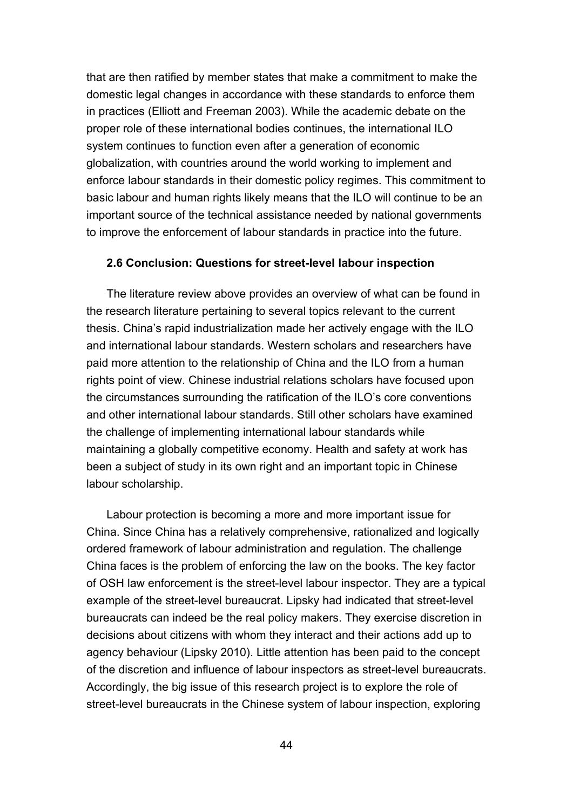that are then ratified by member states that make a commitment to make the domestic legal changes in accordance with these standards to enforce them in practices (Elliott and Freeman 2003). While the academic debate on the proper role of these international bodies continues, the international ILO system continues to function even after a generation of economic globalization, with countries around the world working to implement and enforce labour standards in their domestic policy regimes. This commitment to basic labour and human rights likely means that the ILO will continue to be an important source of the technical assistance needed by national governments to improve the enforcement of labour standards in practice into the future.

### **2.6 Conclusion: Questions for street-level labour inspection**

The literature review above provides an overview of what can be found in the research literature pertaining to several topics relevant to the current thesis. China's rapid industrialization made her actively engage with the ILO and international labour standards. Western scholars and researchers have paid more attention to the relationship of China and the ILO from a human rights point of view. Chinese industrial relations scholars have focused upon the circumstances surrounding the ratification of the ILO's core conventions and other international labour standards. Still other scholars have examined the challenge of implementing international labour standards while maintaining a globally competitive economy. Health and safety at work has been a subject of study in its own right and an important topic in Chinese labour scholarship.

Labour protection is becoming a more and more important issue for China. Since China has a relatively comprehensive, rationalized and logically ordered framework of labour administration and regulation. The challenge China faces is the problem of enforcing the law on the books. The key factor of OSH law enforcement is the street-level labour inspector. They are a typical example of the street-level bureaucrat. Lipsky had indicated that street-level bureaucrats can indeed be the real policy makers. They exercise discretion in decisions about citizens with whom they interact and their actions add up to agency behaviour (Lipsky 2010). Little attention has been paid to the concept of the discretion and influence of labour inspectors as street-level bureaucrats. Accordingly, the big issue of this research project is to explore the role of street-level bureaucrats in the Chinese system of labour inspection, exploring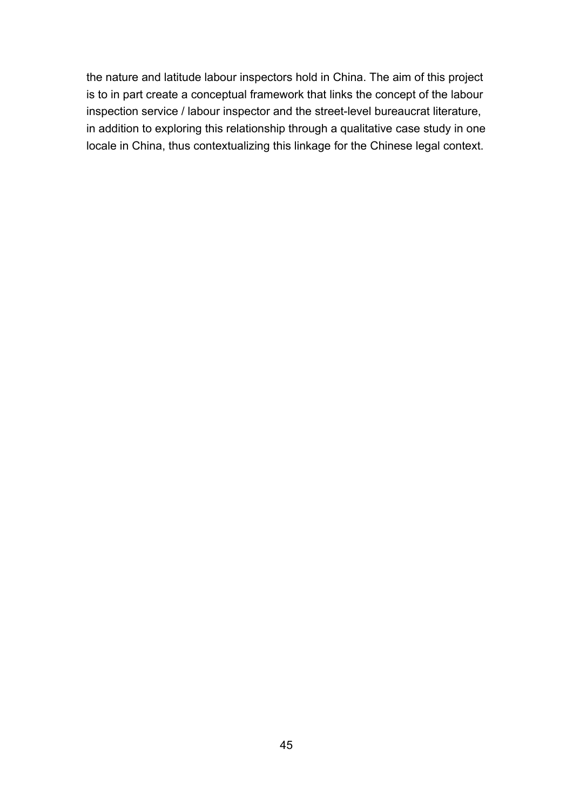the nature and latitude labour inspectors hold in China. The aim of this project is to in part create a conceptual framework that links the concept of the labour inspection service / labour inspector and the street-level bureaucrat literature, in addition to exploring this relationship through a qualitative case study in one locale in China, thus contextualizing this linkage for the Chinese legal context.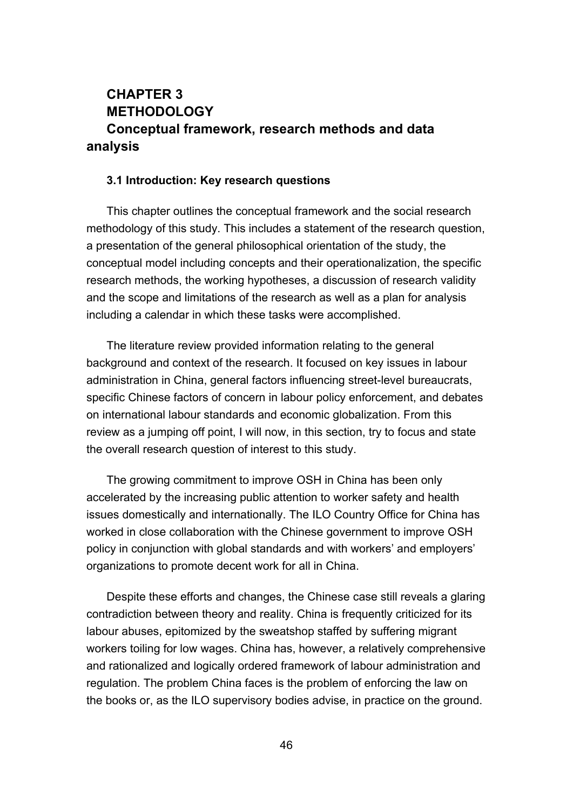# **CHAPTER 3 METHODOLOGY Conceptual framework, research methods and data analysis**

#### **3.1 Introduction: Key research questions**

This chapter outlines the conceptual framework and the social research methodology of this study. This includes a statement of the research question, a presentation of the general philosophical orientation of the study, the conceptual model including concepts and their operationalization, the specific research methods, the working hypotheses, a discussion of research validity and the scope and limitations of the research as well as a plan for analysis including a calendar in which these tasks were accomplished.

The literature review provided information relating to the general background and context of the research. It focused on key issues in labour administration in China, general factors influencing street-level bureaucrats, specific Chinese factors of concern in labour policy enforcement, and debates on international labour standards and economic globalization. From this review as a jumping off point, I will now, in this section, try to focus and state the overall research question of interest to this study.

The growing commitment to improve OSH in China has been only accelerated by the increasing public attention to worker safety and health issues domestically and internationally. The ILO Country Office for China has worked in close collaboration with the Chinese government to improve OSH policy in conjunction with global standards and with workers' and employers' organizations to promote decent work for all in China.

Despite these efforts and changes, the Chinese case still reveals a glaring contradiction between theory and reality. China is frequently criticized for its labour abuses, epitomized by the sweatshop staffed by suffering migrant workers toiling for low wages. China has, however, a relatively comprehensive and rationalized and logically ordered framework of labour administration and regulation. The problem China faces is the problem of enforcing the law on the books or, as the ILO supervisory bodies advise, in practice on the ground.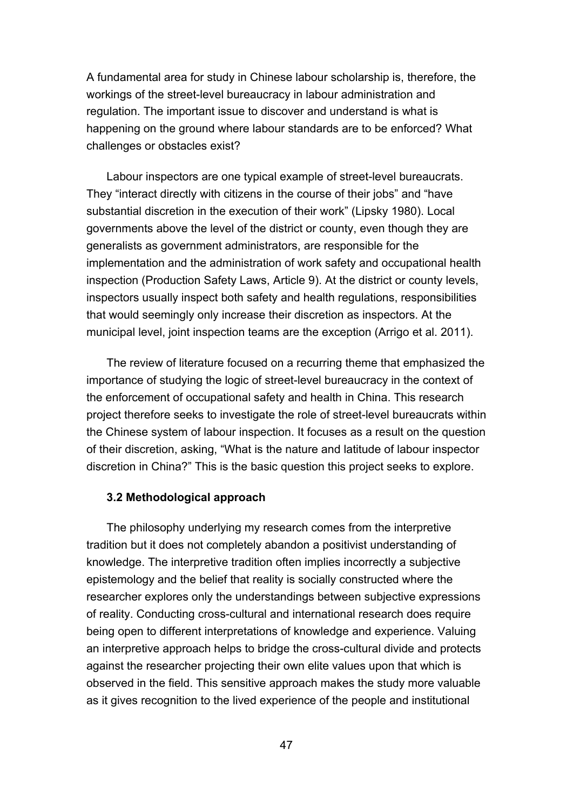A fundamental area for study in Chinese labour scholarship is, therefore, the workings of the street-level bureaucracy in labour administration and regulation. The important issue to discover and understand is what is happening on the ground where labour standards are to be enforced? What challenges or obstacles exist?

Labour inspectors are one typical example of street-level bureaucrats. They "interact directly with citizens in the course of their jobs" and "have substantial discretion in the execution of their work" (Lipsky 1980). Local governments above the level of the district or county, even though they are generalists as government administrators, are responsible for the implementation and the administration of work safety and occupational health inspection (Production Safety Laws, Article 9). At the district or county levels, inspectors usually inspect both safety and health regulations, responsibilities that would seemingly only increase their discretion as inspectors. At the municipal level, joint inspection teams are the exception (Arrigo et al. 2011).

The review of literature focused on a recurring theme that emphasized the importance of studying the logic of street-level bureaucracy in the context of the enforcement of occupational safety and health in China. This research project therefore seeks to investigate the role of street-level bureaucrats within the Chinese system of labour inspection. It focuses as a result on the question of their discretion, asking, "What is the nature and latitude of labour inspector discretion in China?" This is the basic question this project seeks to explore.

### **3.2 Methodological approach**

The philosophy underlying my research comes from the interpretive tradition but it does not completely abandon a positivist understanding of knowledge. The interpretive tradition often implies incorrectly a subjective epistemology and the belief that reality is socially constructed where the researcher explores only the understandings between subjective expressions of reality. Conducting cross-cultural and international research does require being open to different interpretations of knowledge and experience. Valuing an interpretive approach helps to bridge the cross-cultural divide and protects against the researcher projecting their own elite values upon that which is observed in the field. This sensitive approach makes the study more valuable as it gives recognition to the lived experience of the people and institutional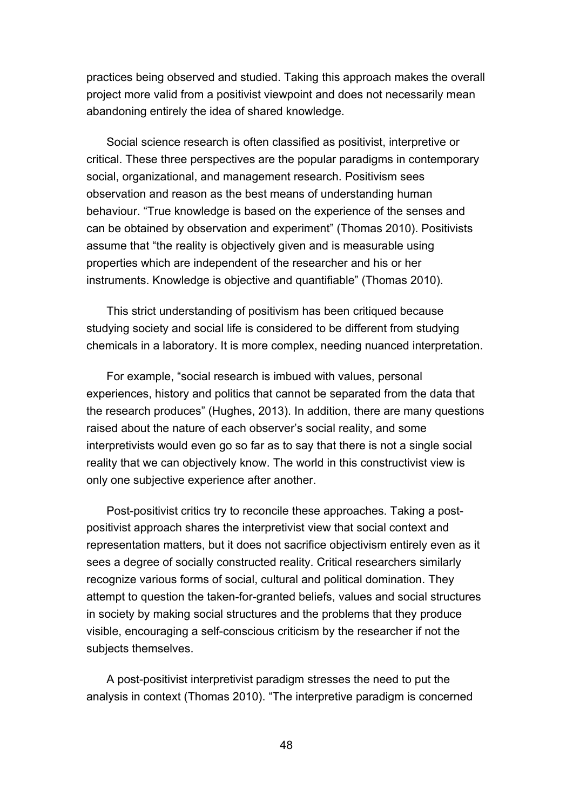practices being observed and studied. Taking this approach makes the overall project more valid from a positivist viewpoint and does not necessarily mean abandoning entirely the idea of shared knowledge.

Social science research is often classified as positivist, interpretive or critical. These three perspectives are the popular paradigms in contemporary social, organizational, and management research. Positivism sees observation and reason as the best means of understanding human behaviour. "True knowledge is based on the experience of the senses and can be obtained by observation and experiment" (Thomas 2010). Positivists assume that "the reality is objectively given and is measurable using properties which are independent of the researcher and his or her instruments. Knowledge is objective and quantifiable" (Thomas 2010).

This strict understanding of positivism has been critiqued because studying society and social life is considered to be different from studying chemicals in a laboratory. It is more complex, needing nuanced interpretation.

For example, "social research is imbued with values, personal experiences, history and politics that cannot be separated from the data that the research produces" (Hughes, 2013). In addition, there are many questions raised about the nature of each observer's social reality, and some interpretivists would even go so far as to say that there is not a single social reality that we can objectively know. The world in this constructivist view is only one subjective experience after another.

Post-positivist critics try to reconcile these approaches. Taking a postpositivist approach shares the interpretivist view that social context and representation matters, but it does not sacrifice objectivism entirely even as it sees a degree of socially constructed reality. Critical researchers similarly recognize various forms of social, cultural and political domination. They attempt to question the taken-for-granted beliefs, values and social structures in society by making social structures and the problems that they produce visible, encouraging a self-conscious criticism by the researcher if not the subjects themselves.

A post-positivist interpretivist paradigm stresses the need to put the analysis in context (Thomas 2010). "The interpretive paradigm is concerned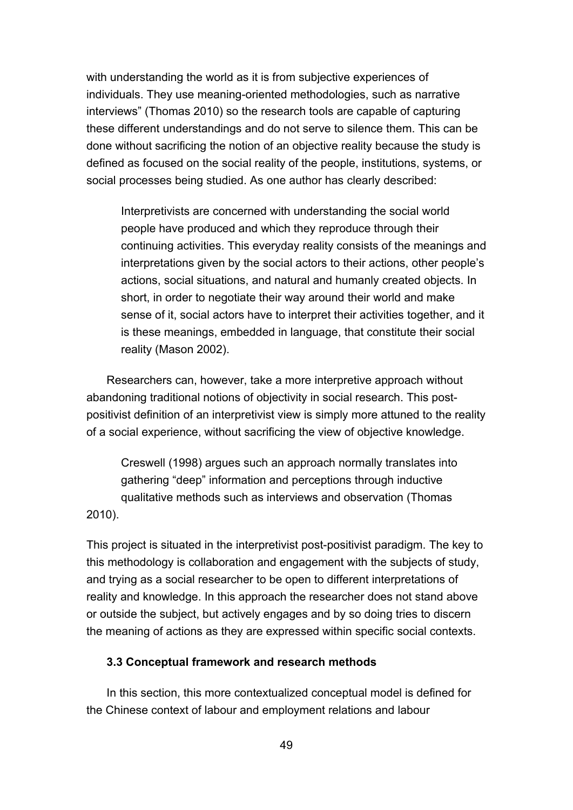with understanding the world as it is from subjective experiences of individuals. They use meaning-oriented methodologies, such as narrative interviews" (Thomas 2010) so the research tools are capable of capturing these different understandings and do not serve to silence them. This can be done without sacrificing the notion of an objective reality because the study is defined as focused on the social reality of the people, institutions, systems, or social processes being studied. As one author has clearly described:

Interpretivists are concerned with understanding the social world people have produced and which they reproduce through their continuing activities. This everyday reality consists of the meanings and interpretations given by the social actors to their actions, other people's actions, social situations, and natural and humanly created objects. In short, in order to negotiate their way around their world and make sense of it, social actors have to interpret their activities together, and it is these meanings, embedded in language, that constitute their social reality (Mason 2002).

Researchers can, however, take a more interpretive approach without abandoning traditional notions of objectivity in social research. This postpositivist definition of an interpretivist view is simply more attuned to the reality of a social experience, without sacrificing the view of objective knowledge.

Creswell (1998) argues such an approach normally translates into gathering "deep" information and perceptions through inductive qualitative methods such as interviews and observation (Thomas 2010).

This project is situated in the interpretivist post-positivist paradigm. The key to this methodology is collaboration and engagement with the subjects of study, and trying as a social researcher to be open to different interpretations of reality and knowledge. In this approach the researcher does not stand above or outside the subject, but actively engages and by so doing tries to discern the meaning of actions as they are expressed within specific social contexts.

### **3.3 Conceptual framework and research methods**

In this section, this more contextualized conceptual model is defined for the Chinese context of labour and employment relations and labour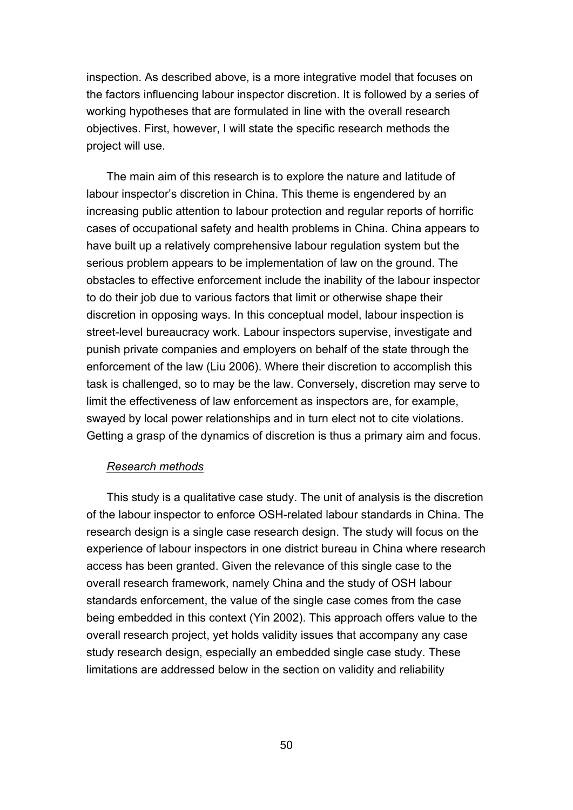inspection. As described above, is a more integrative model that focuses on the factors influencing labour inspector discretion. It is followed by a series of working hypotheses that are formulated in line with the overall research objectives. First, however, I will state the specific research methods the project will use.

The main aim of this research is to explore the nature and latitude of labour inspector's discretion in China. This theme is engendered by an increasing public attention to labour protection and regular reports of horrific cases of occupational safety and health problems in China. China appears to have built up a relatively comprehensive labour regulation system but the serious problem appears to be implementation of law on the ground. The obstacles to effective enforcement include the inability of the labour inspector to do their job due to various factors that limit or otherwise shape their discretion in opposing ways. In this conceptual model, labour inspection is street-level bureaucracy work. Labour inspectors supervise, investigate and punish private companies and employers on behalf of the state through the enforcement of the law (Liu 2006). Where their discretion to accomplish this task is challenged, so to may be the law. Conversely, discretion may serve to limit the effectiveness of law enforcement as inspectors are, for example, swayed by local power relationships and in turn elect not to cite violations. Getting a grasp of the dynamics of discretion is thus a primary aim and focus.

### *Research methods*

This study is a qualitative case study. The unit of analysis is the discretion of the labour inspector to enforce OSH-related labour standards in China. The research design is a single case research design. The study will focus on the experience of labour inspectors in one district bureau in China where research access has been granted. Given the relevance of this single case to the overall research framework, namely China and the study of OSH labour standards enforcement, the value of the single case comes from the case being embedded in this context (Yin 2002). This approach offers value to the overall research project, yet holds validity issues that accompany any case study research design, especially an embedded single case study. These limitations are addressed below in the section on validity and reliability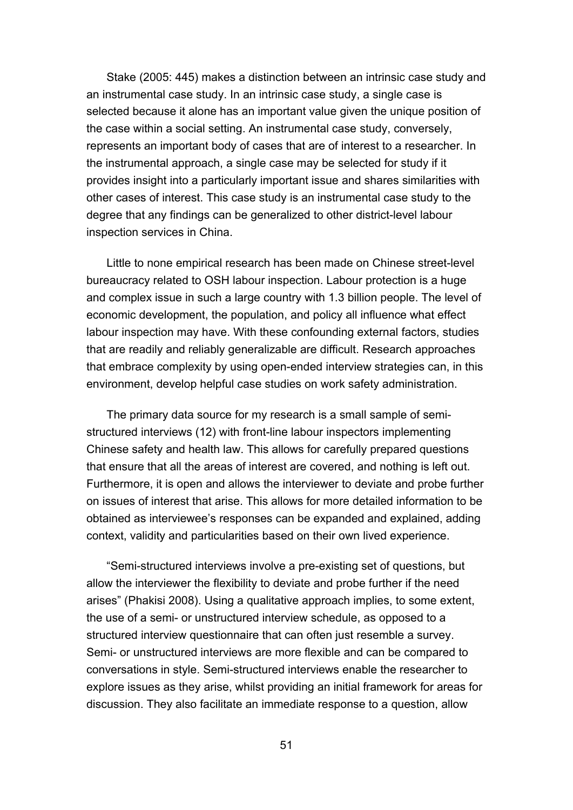Stake (2005: 445) makes a distinction between an intrinsic case study and an instrumental case study. In an intrinsic case study, a single case is selected because it alone has an important value given the unique position of the case within a social setting. An instrumental case study, conversely, represents an important body of cases that are of interest to a researcher. In the instrumental approach, a single case may be selected for study if it provides insight into a particularly important issue and shares similarities with other cases of interest. This case study is an instrumental case study to the degree that any findings can be generalized to other district-level labour inspection services in China.

Little to none empirical research has been made on Chinese street-level bureaucracy related to OSH labour inspection. Labour protection is a huge and complex issue in such a large country with 1.3 billion people. The level of economic development, the population, and policy all influence what effect labour inspection may have. With these confounding external factors, studies that are readily and reliably generalizable are difficult. Research approaches that embrace complexity by using open-ended interview strategies can, in this environment, develop helpful case studies on work safety administration.

The primary data source for my research is a small sample of semistructured interviews (12) with front-line labour inspectors implementing Chinese safety and health law. This allows for carefully prepared questions that ensure that all the areas of interest are covered, and nothing is left out. Furthermore, it is open and allows the interviewer to deviate and probe further on issues of interest that arise. This allows for more detailed information to be obtained as interviewee's responses can be expanded and explained, adding context, validity and particularities based on their own lived experience.

"Semi-structured interviews involve a pre-existing set of questions, but allow the interviewer the flexibility to deviate and probe further if the need arises" (Phakisi 2008). Using a qualitative approach implies, to some extent, the use of a semi- or unstructured interview schedule, as opposed to a structured interview questionnaire that can often just resemble a survey. Semi- or unstructured interviews are more flexible and can be compared to conversations in style. Semi-structured interviews enable the researcher to explore issues as they arise, whilst providing an initial framework for areas for discussion. They also facilitate an immediate response to a question, allow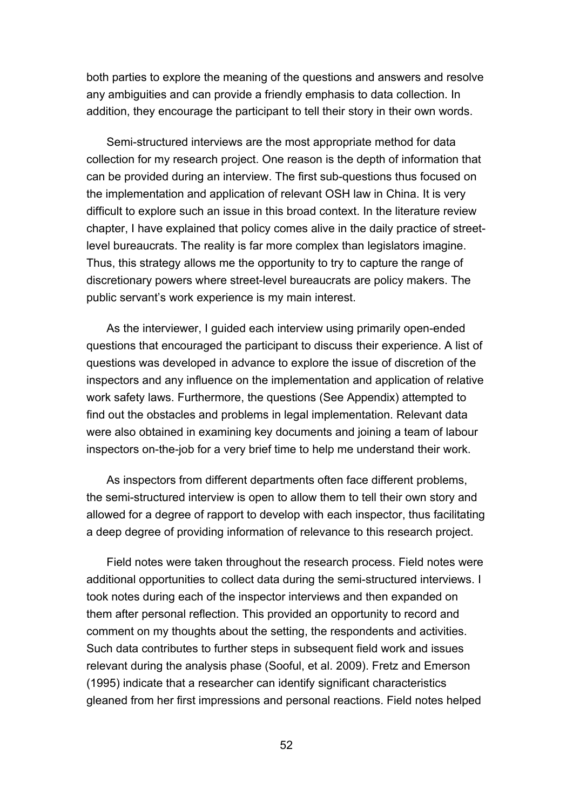both parties to explore the meaning of the questions and answers and resolve any ambiguities and can provide a friendly emphasis to data collection. In addition, they encourage the participant to tell their story in their own words.

Semi-structured interviews are the most appropriate method for data collection for my research project. One reason is the depth of information that can be provided during an interview. The first sub-questions thus focused on the implementation and application of relevant OSH law in China. It is very difficult to explore such an issue in this broad context. In the literature review chapter, I have explained that policy comes alive in the daily practice of streetlevel bureaucrats. The reality is far more complex than legislators imagine. Thus, this strategy allows me the opportunity to try to capture the range of discretionary powers where street-level bureaucrats are policy makers. The public servant's work experience is my main interest.

As the interviewer, I guided each interview using primarily open-ended questions that encouraged the participant to discuss their experience. A list of questions was developed in advance to explore the issue of discretion of the inspectors and any influence on the implementation and application of relative work safety laws. Furthermore, the questions (See Appendix) attempted to find out the obstacles and problems in legal implementation. Relevant data were also obtained in examining key documents and joining a team of labour inspectors on-the-job for a very brief time to help me understand their work.

As inspectors from different departments often face different problems, the semi-structured interview is open to allow them to tell their own story and allowed for a degree of rapport to develop with each inspector, thus facilitating a deep degree of providing information of relevance to this research project.

Field notes were taken throughout the research process. Field notes were additional opportunities to collect data during the semi-structured interviews. I took notes during each of the inspector interviews and then expanded on them after personal reflection. This provided an opportunity to record and comment on my thoughts about the setting, the respondents and activities. Such data contributes to further steps in subsequent field work and issues relevant during the analysis phase (Sooful, et al. 2009). Fretz and Emerson (1995) indicate that a researcher can identify significant characteristics gleaned from her first impressions and personal reactions. Field notes helped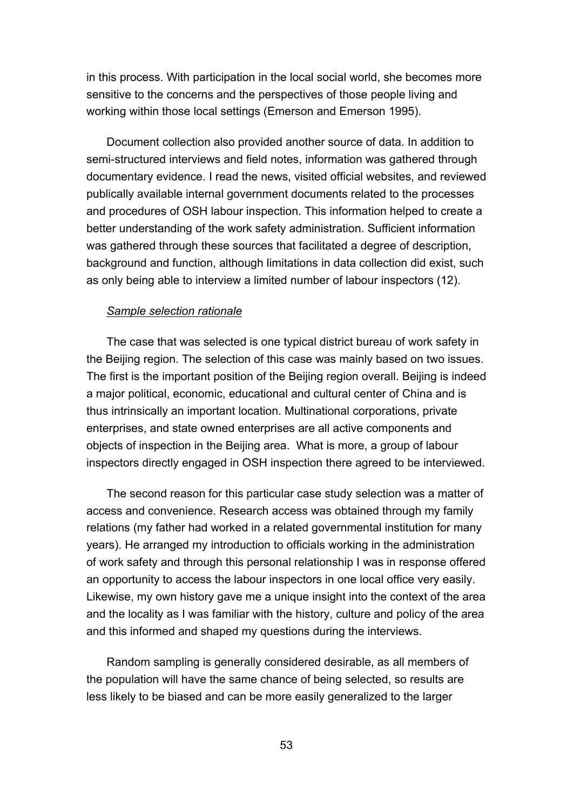in this process. With participation in the local social world, she becomes more sensitive to the concerns and the perspectives of those people living and working within those local settings (Emerson and Emerson 1995).

Document collection also provided another source of data. In addition to semi-structured interviews and field notes, information was gathered through documentary evidence. I read the news, visited official websites, and reviewed publically available internal government documents related to the processes and procedures of OSH labour inspection. This information helped to create a better understanding of the work safety administration. Sufficient information was gathered through these sources that facilitated a degree of description, background and function, although limitations in data collection did exist, such as only being able to interview a limited number of labour inspectors (12).

### *Sample selection rationale*

The case that was selected is one typical district bureau of work safety in the Beijing region. The selection of this case was mainly based on two issues. The first is the important position of the Beijing region overall. Beijing is indeed a major political, economic, educational and cultural center of China and is thus intrinsically an important location. Multinational corporations, private enterprises, and state owned enterprises are all active components and objects of inspection in the Beijing area. What is more, a group of labour inspectors directly engaged in OSH inspection there agreed to be interviewed.

The second reason for this particular case study selection was a matter of access and convenience. Research access was obtained through my family relations (my father had worked in a related governmental institution for many years). He arranged my introduction to officials working in the administration of work safety and through this personal relationship I was in response offered an opportunity to access the labour inspectors in one local office very easily. Likewise, my own history gave me a unique insight into the context of the area and the locality as I was familiar with the history, culture and policy of the area and this informed and shaped my questions during the interviews.

Random sampling is generally considered desirable, as all members of the population will have the same chance of being selected, so results are less likely to be biased and can be more easily generalized to the larger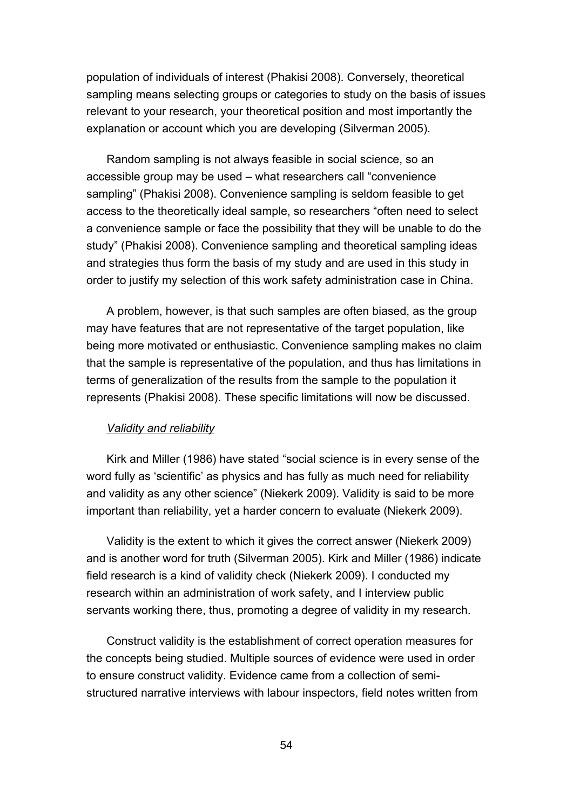population of individuals of interest (Phakisi 2008). Conversely, theoretical sampling means selecting groups or categories to study on the basis of issues relevant to your research, your theoretical position and most importantly the explanation or account which you are developing (Silverman 2005).

Random sampling is not always feasible in social science, so an accessible group may be used – what researchers call "convenience sampling" (Phakisi 2008). Convenience sampling is seldom feasible to get access to the theoretically ideal sample, so researchers "often need to select a convenience sample or face the possibility that they will be unable to do the study" (Phakisi 2008). Convenience sampling and theoretical sampling ideas and strategies thus form the basis of my study and are used in this study in order to justify my selection of this work safety administration case in China.

A problem, however, is that such samples are often biased, as the group may have features that are not representative of the target population, like being more motivated or enthusiastic. Convenience sampling makes no claim that the sample is representative of the population, and thus has limitations in terms of generalization of the results from the sample to the population it represents (Phakisi 2008). These specific limitations will now be discussed.

### *Validity and reliability*

Kirk and Miller (1986) have stated "social science is in every sense of the word fully as 'scientific' as physics and has fully as much need for reliability and validity as any other science" (Niekerk 2009). Validity is said to be more important than reliability, yet a harder concern to evaluate (Niekerk 2009).

Validity is the extent to which it gives the correct answer (Niekerk 2009) and is another word for truth (Silverman 2005). Kirk and Miller (1986) indicate field research is a kind of validity check (Niekerk 2009). I conducted my research within an administration of work safety, and I interview public servants working there, thus, promoting a degree of validity in my research.

Construct validity is the establishment of correct operation measures for the concepts being studied. Multiple sources of evidence were used in order to ensure construct validity. Evidence came from a collection of semistructured narrative interviews with labour inspectors, field notes written from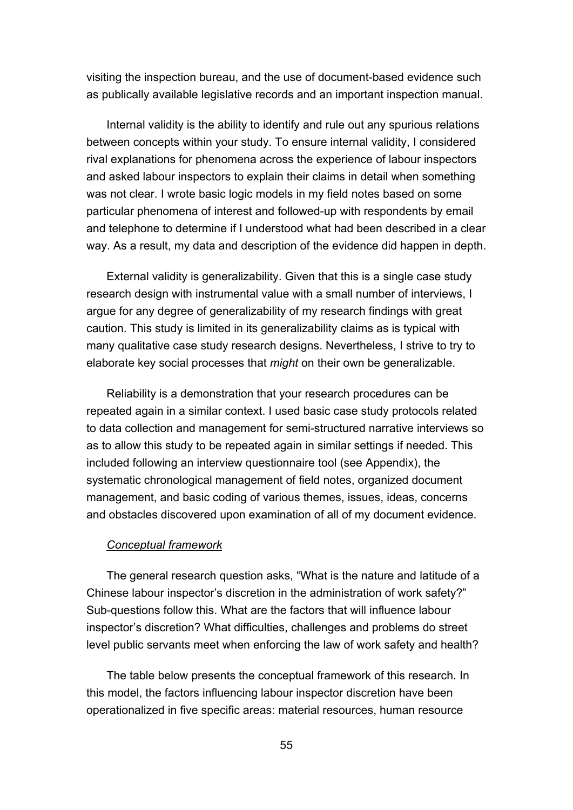visiting the inspection bureau, and the use of document-based evidence such as publically available legislative records and an important inspection manual.

Internal validity is the ability to identify and rule out any spurious relations between concepts within your study. To ensure internal validity, I considered rival explanations for phenomena across the experience of labour inspectors and asked labour inspectors to explain their claims in detail when something was not clear. I wrote basic logic models in my field notes based on some particular phenomena of interest and followed-up with respondents by email and telephone to determine if I understood what had been described in a clear way. As a result, my data and description of the evidence did happen in depth.

External validity is generalizability. Given that this is a single case study research design with instrumental value with a small number of interviews, I argue for any degree of generalizability of my research findings with great caution. This study is limited in its generalizability claims as is typical with many qualitative case study research designs. Nevertheless, I strive to try to elaborate key social processes that *might* on their own be generalizable.

Reliability is a demonstration that your research procedures can be repeated again in a similar context. I used basic case study protocols related to data collection and management for semi-structured narrative interviews so as to allow this study to be repeated again in similar settings if needed. This included following an interview questionnaire tool (see Appendix), the systematic chronological management of field notes, organized document management, and basic coding of various themes, issues, ideas, concerns and obstacles discovered upon examination of all of my document evidence.

#### *Conceptual framework*

The general research question asks, "What is the nature and latitude of a Chinese labour inspector's discretion in the administration of work safety?" Sub-questions follow this. What are the factors that will influence labour inspector's discretion? What difficulties, challenges and problems do street level public servants meet when enforcing the law of work safety and health?

The table below presents the conceptual framework of this research. In this model, the factors influencing labour inspector discretion have been operationalized in five specific areas: material resources, human resource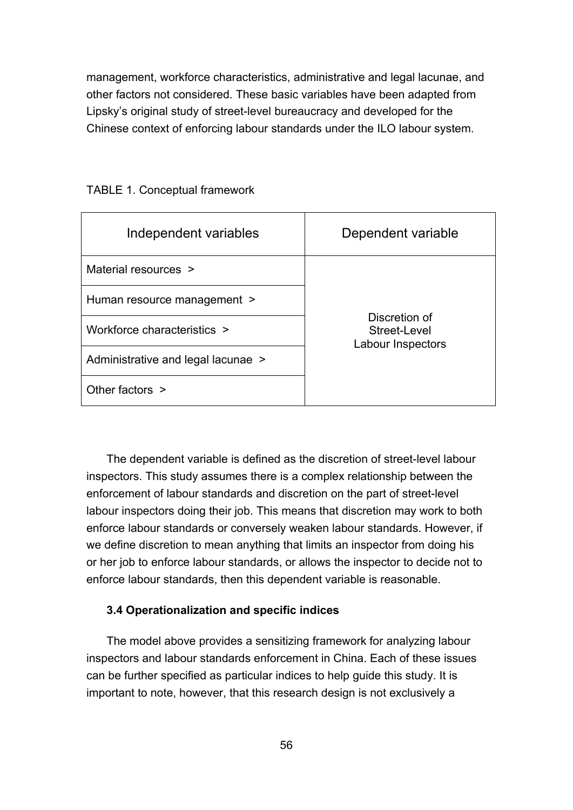management, workforce characteristics, administrative and legal lacunae, and other factors not considered. These basic variables have been adapted from Lipsky's original study of street-level bureaucracy and developed for the Chinese context of enforcing labour standards under the ILO labour system.

| Independent variables              | Dependent variable                                 |
|------------------------------------|----------------------------------------------------|
| Material resources >               | Discretion of<br>Street-Level<br>Labour Inspectors |
| Human resource management >        |                                                    |
| Workforce characteristics >        |                                                    |
| Administrative and legal lacunae > |                                                    |
| Other factors >                    |                                                    |

TABLE 1. Conceptual framework

The dependent variable is defined as the discretion of street-level labour inspectors. This study assumes there is a complex relationship between the enforcement of labour standards and discretion on the part of street-level labour inspectors doing their job. This means that discretion may work to both enforce labour standards or conversely weaken labour standards. However, if we define discretion to mean anything that limits an inspector from doing his or her job to enforce labour standards, or allows the inspector to decide not to enforce labour standards, then this dependent variable is reasonable.

### **3.4 Operationalization and specific indices**

The model above provides a sensitizing framework for analyzing labour inspectors and labour standards enforcement in China. Each of these issues can be further specified as particular indices to help guide this study. It is important to note, however, that this research design is not exclusively a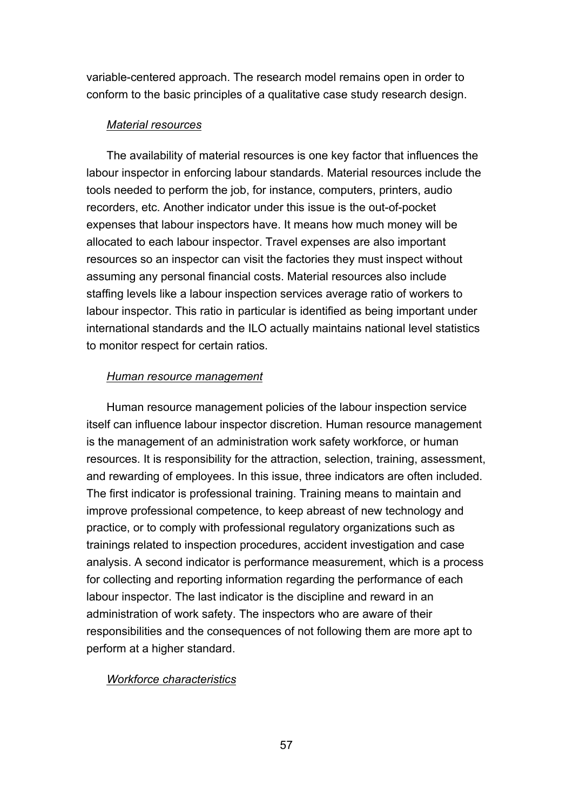variable-centered approach. The research model remains open in order to conform to the basic principles of a qualitative case study research design.

### *Material resources*

The availability of material resources is one key factor that influences the labour inspector in enforcing labour standards. Material resources include the tools needed to perform the job, for instance, computers, printers, audio recorders, etc. Another indicator under this issue is the out-of-pocket expenses that labour inspectors have. It means how much money will be allocated to each labour inspector. Travel expenses are also important resources so an inspector can visit the factories they must inspect without assuming any personal financial costs. Material resources also include staffing levels like a labour inspection services average ratio of workers to labour inspector. This ratio in particular is identified as being important under international standards and the ILO actually maintains national level statistics to monitor respect for certain ratios.

### *Human resource management*

Human resource management policies of the labour inspection service itself can influence labour inspector discretion. Human resource [management](http://en.wikipedia.org/wiki/Management) is the management of an administration work safety [workforce](http://en.wikipedia.org/wiki/Workforce), or [human](http://en.wikipedia.org/wiki/Human_resources) [resources.](http://en.wikipedia.org/wiki/Human_resources) It is responsibility for the [attraction,](http://en.wikipedia.org/wiki/Employer_branding) [selection,](http://en.wikipedia.org/wiki/Recruitment) [training,](http://en.wikipedia.org/wiki/Training_and_development) [assessment](http://en.wikipedia.org/wiki/Performance_appraisal), and [rewarding](http://en.wikipedia.org/wiki/Remuneration) of employees. In this issue, three indicators are often included. The first indicator is professional training. Training means to maintain and improve professional competence, to keep abreast of new technology and practice, or to comply with professional regulatory organizations such as trainings related to inspection procedures, accident investigation and case analysis. A second indicator is performance measurement, which is a process for collecting and reporting information regarding the performance of each labour inspector. The last indicator is the discipline and reward in an administration of work safety. The inspectors who are aware of their responsibilities and the consequences of not following them are more apt to perform at a higher standard.

### *Workforce characteristics*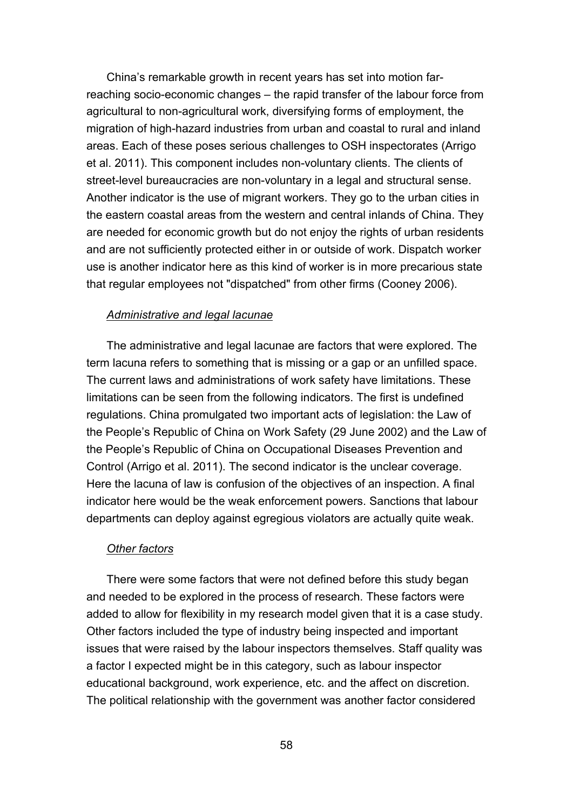China's remarkable growth in recent years has set into motion farreaching socio-economic changes – the rapid transfer of the labour force from agricultural to non-agricultural work, diversifying forms of employment, the migration of high-hazard industries from urban and coastal to rural and inland areas. Each of these poses serious challenges to OSH inspectorates (Arrigo et al. 2011). This component includes non-voluntary clients. The clients of street-level bureaucracies are non-voluntary in a legal and structural sense. Another indicator is the use of migrant workers. They go to the urban cities in the eastern coastal areas from the western and central inlands of China. They are needed for economic growth but do not enjoy the rights of urban residents and are not sufficiently protected either in or outside of work. Dispatch worker use is another indicator here as this kind of worker is in more precarious state that regular employees not "dispatched" from other firms (Cooney 2006).

### *Administrative and legal lacunae*

The administrative and legal lacunae are factors that were explored. The term lacuna refers to something that is missing or a gap or an unfilled space. The current laws and administrations of work safety have limitations. These limitations can be seen from the following indicators. The first is undefined regulations. China promulgated two important acts of legislation: the Law of the People's Republic of China on Work Safety (29 June 2002) and the Law of the People's Republic of China on Occupational Diseases Prevention and Control (Arrigo et al. 2011). The second indicator is the unclear coverage. Here the lacuna of law is confusion of the objectives of an inspection. A final indicator here would be the weak enforcement powers. Sanctions that labour departments can deploy against egregious violators are actually quite weak.

#### *Other factors*

There were some factors that were not defined before this study began and needed to be explored in the process of research. These factors were added to allow for flexibility in my research model given that it is a case study. Other factors included the type of industry being inspected and important issues that were raised by the labour inspectors themselves. Staff quality was a factor I expected might be in this category, such as labour inspector [educational](http://www.iciba.com/educational_background) [background](http://www.iciba.com/educational_background), work experience, etc. and the affect on discretion. The political relationship with the government was another factor considered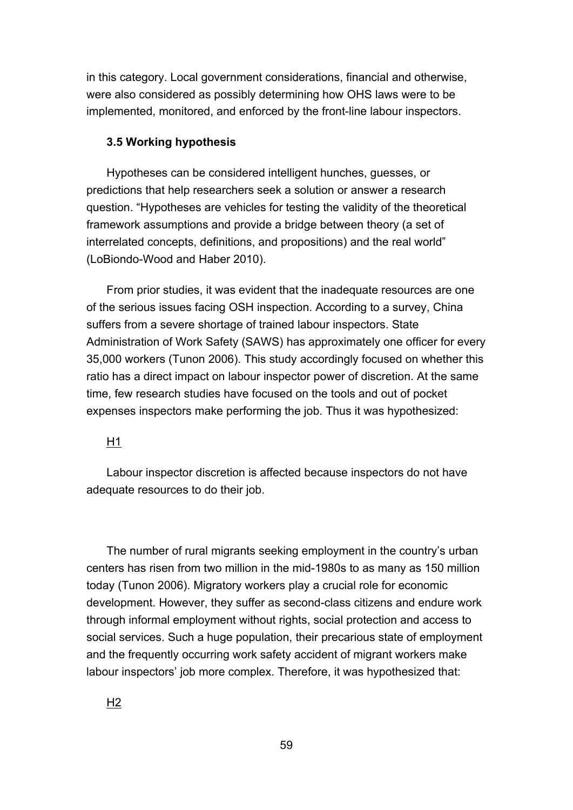in this category. Local government considerations, financial and otherwise, were also considered as possibly determining how OHS laws were to be implemented, monitored, and enforced by the front-line labour inspectors.

### **3.5 Working hypothesis**

Hypotheses can be considered intelligent hunches, guesses, or predictions that help researchers seek a solution or answer a research question. "Hypotheses are vehicles for testing the validity of the theoretical framework assumptions and provide a bridge between theory (a set of interrelated concepts, definitions, and propositions) and the real world" (LoBiondo-Wood and Haber 2010).

From prior studies, it was evident that the inadequate resources are one of the serious issues facing OSH inspection. According to a survey, China suffers from a severe shortage of trained labour inspectors. State Administration of Work Safety (SAWS) has approximately one officer for every 35,000 workers (Tunon 2006). This study accordingly focused on whether this ratio has a direct impact on labour inspector power of discretion. At the same time, few research studies have focused on the tools and out of pocket expenses inspectors make performing the job. Thus it was hypothesized:

# H1

Labour inspector discretion is affected because inspectors do not have adequate resources to do their job.

The number of rural migrants seeking employment in the country's urban centers has risen from two million in the mid-1980s to as many as 150 million today (Tunon 2006). Migratory workers play a crucial role for economic development. However, they suffer as second-class citizens and endure work through informal employment without rights, social protection and access to social services. Such a huge population, their precarious state of employment and the frequently occurring work safety accident of migrant workers make labour inspectors' job more complex. Therefore, it was hypothesized that: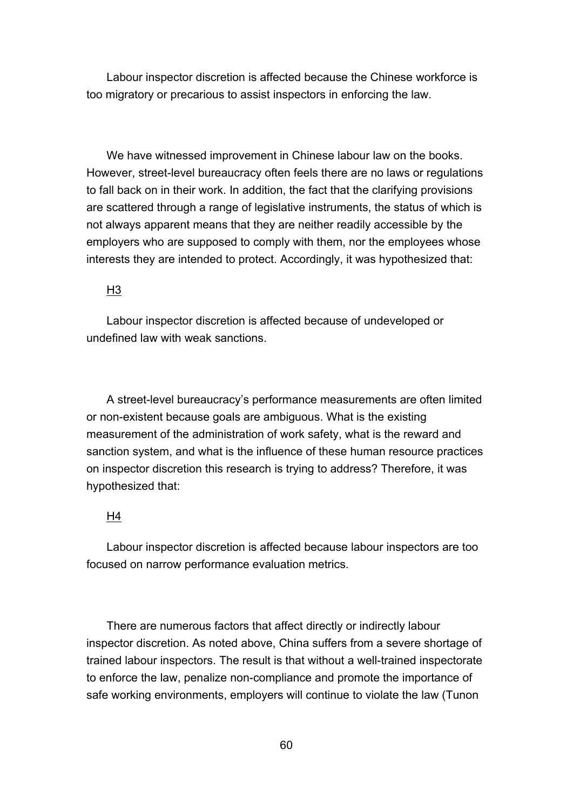Labour inspector discretion is affected because the Chinese workforce is too migratory or precarious to assist inspectors in enforcing the law.

We have witnessed improvement in Chinese labour law on the books. However, street-level bureaucracy often feels there are no laws or regulations to fall back on in their work. In addition, the fact that the clarifying provisions are scattered through a range of legislative instruments, the status of which is not always apparent means that they are neither readily accessible by the employers who are supposed to comply with them, nor the employees whose interests they are intended to protect. Accordingly, it was hypothesized that:

# $H<sub>3</sub>$

Labour inspector discretion is affected because of undeveloped or undefined law with weak sanctions.

A street-level bureaucracy's performance measurements are often limited or non-existent because goals are ambiguous. What is the existing measurement of the administration of work safety, what is the reward and sanction system, and what is the influence of these human resource practices on inspector discretion this research is trying to address? Therefore, it was hypothesized that:

### H4

Labour inspector discretion is affected because labour inspectors are too focused on narrow performance evaluation metrics.

There are numerous factors that affect directly or indirectly labour inspector discretion. As noted above, China suffers from a severe shortage of trained labour inspectors. The result is that without a well-trained inspectorate to enforce the law, penalize non-compliance and promote the importance of safe working environments, employers will continue to violate the law (Tunon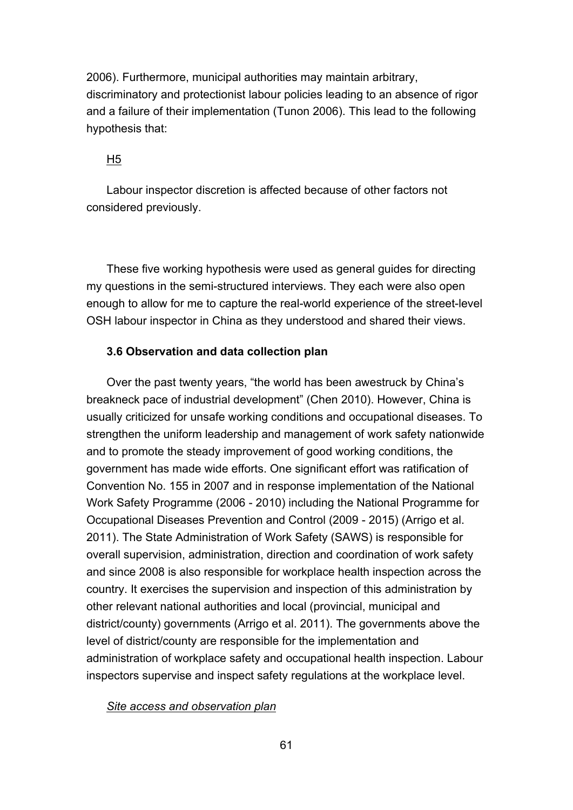2006). Furthermore, municipal authorities may maintain arbitrary, discriminatory and protectionist labour policies leading to an absence of rigor and a failure of their implementation (Tunon 2006). This lead to the following hypothesis that:

### H5

Labour inspector discretion is affected because of other factors not considered previously.

These five working hypothesis were used as general guides for directing my questions in the semi-structured interviews. They each were also open enough to allow for me to capture the real-world experience of the street-level OSH labour inspector in China as they understood and shared their views.

### **3.6 Observation and data collection plan**

Over the past twenty years, "the world has been awestruck by China's breakneck pace of industrial development" (Chen 2010). However, China is usually criticized for unsafe working conditions and occupational diseases. To strengthen the uniform leadership and management of work safety nationwide and to promote the steady improvement of good working conditions, the government has made wide efforts. One significant effort was ratification of Convention No. 155 in 2007 and in response implementation of the National Work Safety Programme (2006 - 2010) including the National Programme for Occupational Diseases Prevention and Control (2009 - 2015) (Arrigo et al. 2011). The State Administration of Work Safety (SAWS) is responsible for overall supervision, administration, direction and coordination of work safety and since 2008 is also responsible for workplace health inspection across the country. It exercises the supervision and inspection of this administration by other relevant national authorities and local (provincial, municipal and district/county) governments (Arrigo et al. 2011). The governments above the level of district/county are responsible for the implementation and administration of workplace safety and occupational health inspection. Labour inspectors supervise and inspect safety regulations at the workplace level.

### *Site access and observation plan*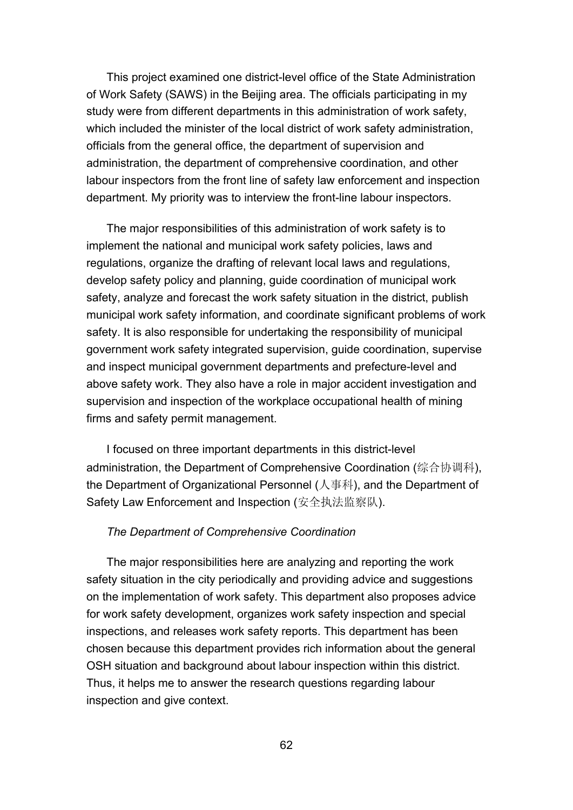This project examined one district-level office of the State Administration of Work Safety (SAWS) in the Beijing area. The officials participating in my study were from different departments in this administration of work safety, which included the minister of the local district of work safety administration, officials from the general office, the department of supervision and administration, the department of comprehensive coordination, and other labour inspectors from the front line of safety law enforcement and inspection department. My priority was to interview the front-line labour inspectors.

The major responsibilities of this administration of work safety is to implement the national and municipal work safety policies, laws and regulations, organize the drafting of relevant local laws and regulations, develop safety policy and planning, guide coordination of municipal work safety, analyze and forecast the work safety situation in the district, publish municipal work safety information, and coordinate significant problems of work safety. It is also responsible for undertaking the responsibility of municipal government work safety integrated supervision, guide coordination, supervise and inspect municipal government departments and prefecture-level and above safety work. They also have a role in major accident investigation and supervision and inspection of the workplace occupational health of mining firms and safety permit management.

I focused on three important departments in this district-level administration, the Department of Comprehensive Coordination (综合协调科), the Department of Organizational Personnel (人事科), and the Department of Safety Law Enforcement and Inspection (安全执法监察队).

### *The Department of Comprehensive Coordination*

The major responsibilities here are analyzing and reporting the work safety situation in the city periodically and providing advice and suggestions on the implementation of work safety. This department also proposes advice for work safety development, organizes work safety inspection and special inspections, and releases work safety reports. This department has been chosen because this department provides rich information about the general OSH situation and background about labour inspection within this district. Thus, it helps me to answer the research questions regarding labour inspection and give context.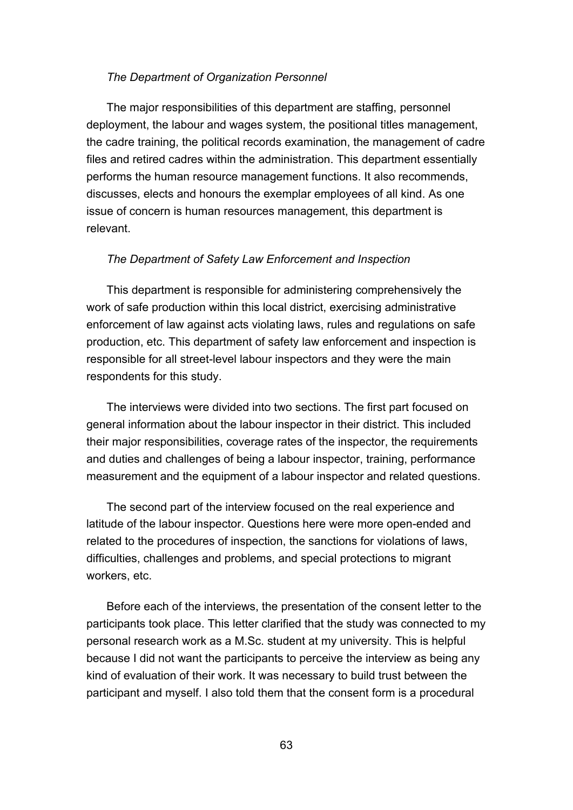### *The Department of Organization Personnel*

The major responsibilities of this department are staffing, personnel deployment, the labour and wages system, the positional titles management, the cadre training, the political records examination, the management of cadre files and retired cadres within the administration. This department essentially performs the human resource management functions. It also recommends, discusses, elects and honours the exemplar employees of all kind. As one issue of concern is human resources management, this department is relevant.

### *The Department of Safety Law Enforcement and Inspection*

This department is responsible for administering comprehensively the work of safe production within this local district, exercising administrative enforcement of law against acts violating laws, rules and regulations on safe production, etc. This department of safety law enforcement and inspection is responsible for all street-level labour inspectors and they were the main respondents for this study.

The interviews were divided into two sections. The first part focused on general information about the labour inspector in their district. This included their major responsibilities, coverage rates of the inspector, the requirements and duties and challenges of being a labour inspector, training, performance measurement and the equipment of a labour inspector and related questions.

The second part of the interview focused on the real experience and latitude of the labour inspector. Questions here were more open-ended and related to the procedures of inspection, the sanctions for violations of laws, difficulties, challenges and problems, and special protections to migrant workers, etc.

Before each of the interviews, the presentation of the consent letter to the participants took place. This letter clarified that the study was connected to my personal research work as a M.Sc. student at my university. This is helpful because I did not want the participants to perceive the interview as being any kind of evaluation of their work. It was necessary to build trust between the participant and myself. I also told them that the consent form is a procedural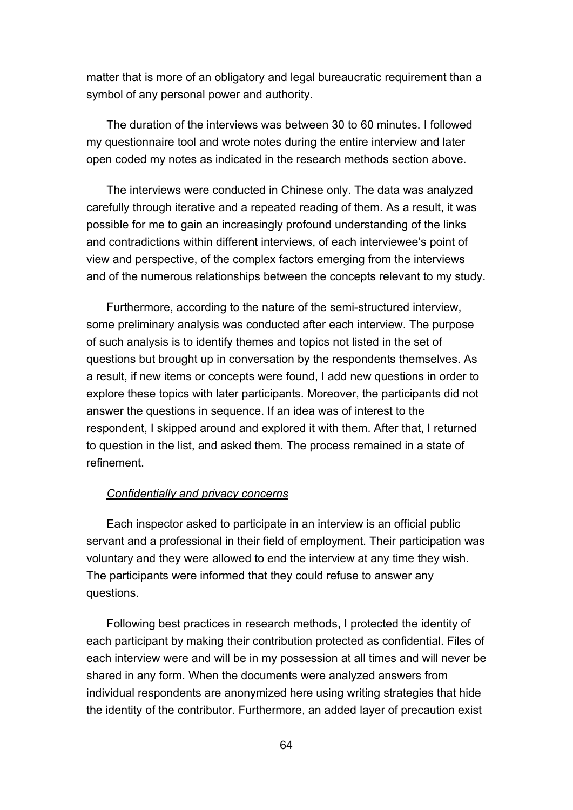matter that is more of an obligatory and legal bureaucratic requirement than a symbol of any personal power and authority.

The duration of the interviews was between 30 to 60 minutes. I followed my questionnaire tool and wrote notes during the entire interview and later open coded my notes as indicated in the research methods section above.

The interviews were conducted in Chinese only. The data was analyzed carefully through iterative and a repeated reading of them. As a result, it was possible for me to gain an increasingly profound understanding of the links and contradictions within different interviews, of each interviewee's point of view and perspective, of the complex factors emerging from the interviews and of the numerous relationships between the concepts relevant to my study.

Furthermore, according to the nature of the semi-structured interview, some preliminary analysis was conducted after each interview. The purpose of such analysis is to identify themes and topics not listed in the set of questions but brought up in conversation by the respondents themselves. As a result, if new items or concepts were found, I add new questions in order to explore these topics with later participants. Moreover, the participants did not answer the questions in sequence. If an idea was of interest to the respondent, I skipped around and explored it with them. After that, I returned to question in the list, and asked them. The process remained in a state of refinement.

### *Confidentially and privacy concerns*

Each inspector asked to participate in an interview is an official public servant and a professional in their field of employment. Their participation was voluntary and they were allowed to end the interview at any time they wish. The participants were informed that they could refuse to answer any questions.

Following best practices in research methods, I protected the identity of each participant by making their contribution protected as confidential. Files of each interview were and will be in my possession at all times and will never be shared in any form. When the documents were analyzed answers from individual respondents are anonymized here using writing strategies that hide the identity of the contributor. Furthermore, an added layer of precaution exist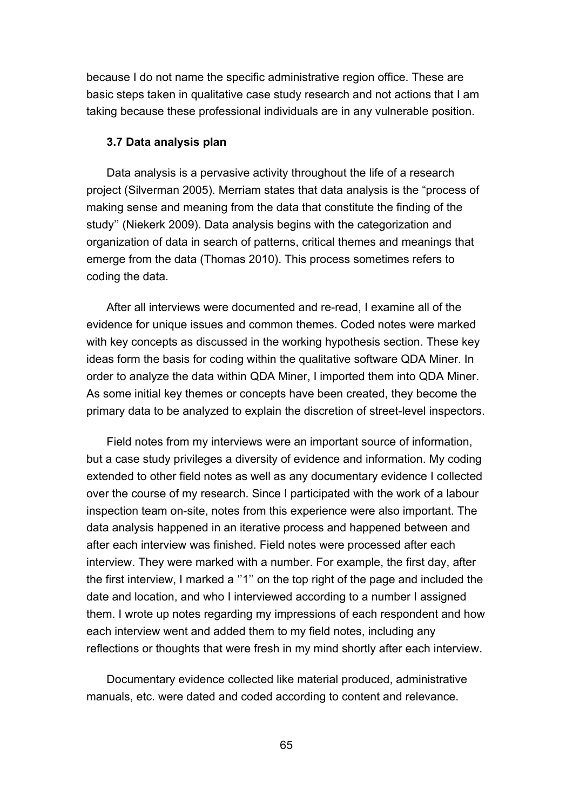because I do not name the specific administrative region office. These are basic steps taken in qualitative case study research and not actions that I am taking because these professional individuals are in any vulnerable position.

### **3.7 Data analysis plan**

Data analysis is a pervasive activity throughout the life of a research project (Silverman 2005). Merriam states that data analysis is the "process of making sense and meaning from the data that constitute the finding of the study'' (Niekerk 2009). Data analysis begins with the categorization and organization of data in search of patterns, critical themes and meanings that emerge from the data (Thomas 2010). This process sometimes refers to coding the data.

After all interviews were documented and re-read, I examine all of the evidence for unique issues and common themes. Coded notes were marked with key concepts as discussed in the working hypothesis section. These key ideas form the basis for coding within the qualitative software QDA Miner. In order to analyze the data within QDA Miner, I imported them into QDA Miner. As some initial key themes or concepts have been created, they become the primary data to be analyzed to explain the discretion of street-level inspectors.

Field notes from my interviews were an important source of information, but a case study privileges a diversity of evidence and information. My coding extended to other field notes as well as any documentary evidence I collected over the course of my research. Since I participated with the work of a labour inspection team on-site, notes from this experience were also important. The data analysis happened in an iterative process and happened between and after each interview was finished. Field notes were processed after each interview. They were marked with a number. For example, the first day, after the first interview, I marked a ''1'' on the top right of the page and included the date and location, and who I interviewed according to a number I assigned them. I wrote up notes regarding my impressions of each respondent and how each interview went and added them to my field notes, including any reflections or thoughts that were fresh in my mind shortly after each interview.

Documentary evidence collected like material produced, administrative manuals, etc. were dated and coded according to content and relevance.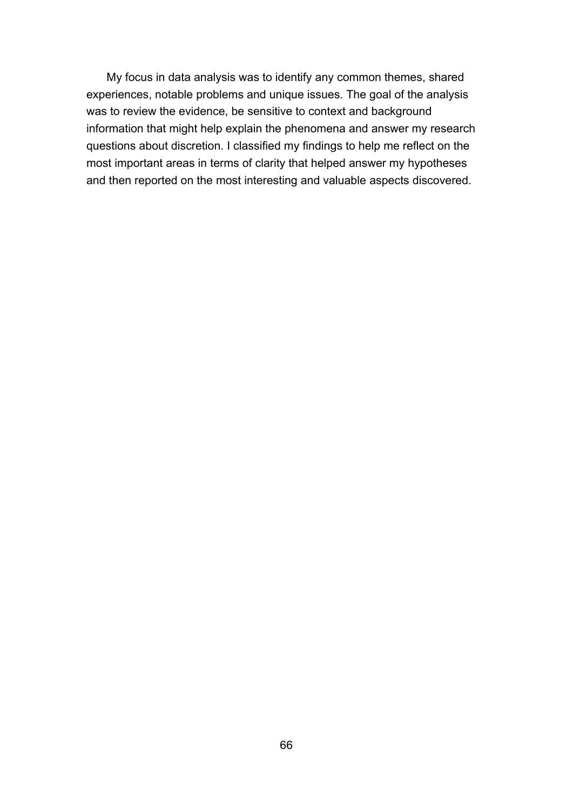My focus in data analysis was to identify any common themes, shared experiences, notable problems and unique issues. The goal of the analysis was to review the evidence, be sensitive to context and background information that might help explain the phenomena and answer my research questions about discretion. I classified my findings to help me reflect on the most important areas in terms of clarity that helped answer my hypotheses and then reported on the most interesting and valuable aspects discovered.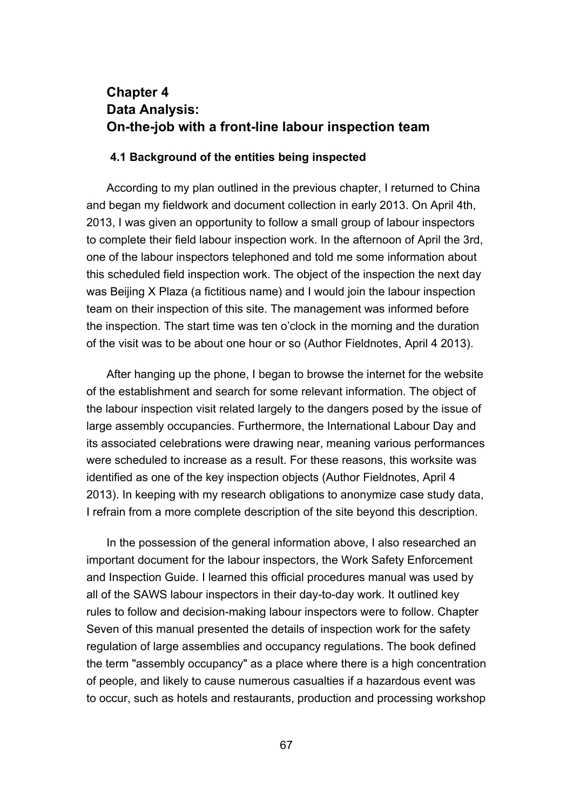# **Chapter 4 Data Analysis: On-the-job with a front-line labour inspection team**

### **4.1 Background of the entities being inspected**

According to my plan outlined in the previous chapter, I returned to China and began my fieldwork and document collection in early 2013. On April 4th, 2013, I was given an opportunity to follow a small group of labour inspectors to complete their field labour inspection work. In the afternoon of April the 3rd, one of the labour inspectors telephoned and told me some information about this scheduled field inspection work. The object of the inspection the next day was Beijing X Plaza (a fictitious name) and I would join the labour inspection team on their inspection of this site. The management was informed before the inspection. The start time was ten o'clock in the morning and the duration of the visit was to be about one hour or so (Author Fieldnotes, April 4 2013).

After hanging up the phone, I began to browse the internet for the website of the establishment and search for some relevant information. The object of the labour inspection visit related largely to the dangers posed by the issue of large assembly occupancies. Furthermore, the International Labour Day and its associated celebrations were drawing near, meaning various performances were scheduled to increase as a result. For these reasons, this worksite was identified as one of the key inspection objects (Author Fieldnotes, April 4 2013). In keeping with my research obligations to anonymize case study data, I refrain from a more complete description of the site beyond this description.

In the possession of the general information above, I also researched an important document for the labour inspectors, the Work Safety Enforcement and Inspection Guide. I learned this official procedures manual was used by all of the SAWS labour inspectors in their day-to-day work. It outlined key rules to follow and decision-making labour inspectors were to follow. Chapter Seven of this manual presented the details of inspection work for the safety regulation of large assemblies and occupancy regulations. The book defined the term "assembly occupancy" as a place where there is a high concentration of people, and likely to cause numerous casualties if a hazardous event was to occur, such as hotels and restaurants, production and processing workshop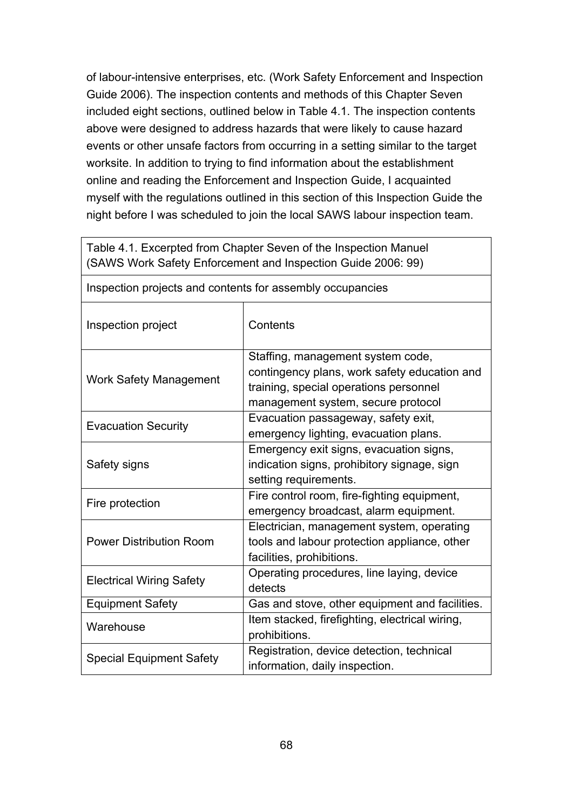of labour-intensive enterprises, etc. (Work Safety Enforcement and Inspection Guide 2006). The inspection contents and methods of this Chapter Seven included eight sections, outlined below in Table 4.1. The inspection contents above were designed to address hazards that were likely to cause hazard events or other unsafe factors from occurring in a setting similar to the target worksite. In addition to trying to find information about the establishment online and reading the Enforcement and Inspection Guide, I acquainted myself with the regulations outlined in this section of this Inspection Guide the night before I was scheduled to join the local SAWS labour inspection team.

|                                                           | Table 4.1. Excerpted from Chapter Seven of the Inspection Manuel<br>(SAWS Work Safety Enforcement and Inspection Guide 2006: 99)                                  |
|-----------------------------------------------------------|-------------------------------------------------------------------------------------------------------------------------------------------------------------------|
| Inspection projects and contents for assembly occupancies |                                                                                                                                                                   |
| Inspection project                                        | Contents                                                                                                                                                          |
| <b>Work Safety Management</b>                             | Staffing, management system code,<br>contingency plans, work safety education and<br>training, special operations personnel<br>management system, secure protocol |
| <b>Evacuation Security</b>                                | Evacuation passageway, safety exit,<br>emergency lighting, evacuation plans.                                                                                      |
| Safety signs                                              | Emergency exit signs, evacuation signs,<br>indication signs, prohibitory signage, sign<br>setting requirements.                                                   |
| Fire protection                                           | Fire control room, fire-fighting equipment,<br>emergency broadcast, alarm equipment.                                                                              |
| <b>Power Distribution Room</b>                            | Electrician, management system, operating<br>tools and labour protection appliance, other<br>facilities, prohibitions.                                            |
| <b>Electrical Wiring Safety</b>                           | Operating procedures, line laying, device<br>detects                                                                                                              |
| <b>Equipment Safety</b>                                   | Gas and stove, other equipment and facilities.                                                                                                                    |
| Warehouse                                                 | Item stacked, firefighting, electrical wiring,<br>prohibitions.                                                                                                   |
| <b>Special Equipment Safety</b>                           | Registration, device detection, technical<br>information, daily inspection.                                                                                       |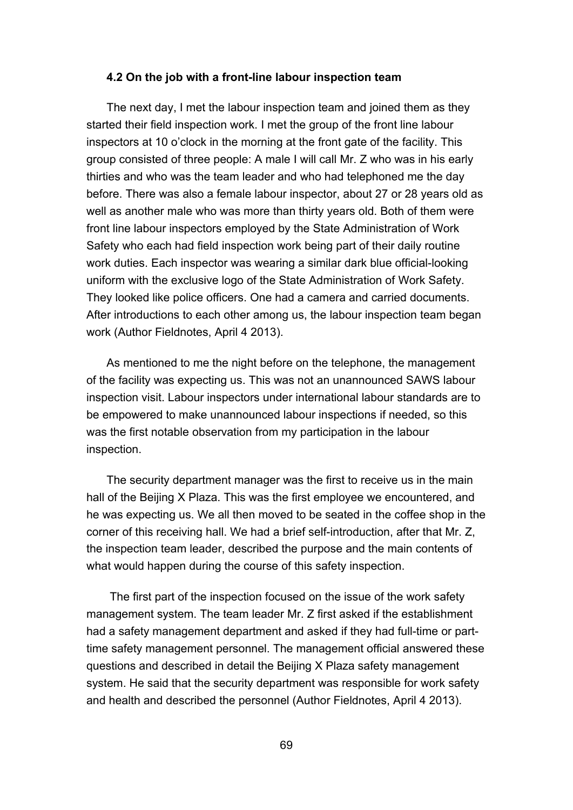### **4.2 On the job with a front-line labour inspection team**

The next day, I met the labour inspection team and joined them as they started their field inspection work. I met the group of the front line labour inspectors at 10 o'clock in the morning at the front gate of the facility. This group consisted of three people: A male I will call Mr. Z who was in his early thirties and who was the team leader and who had telephoned me the day before. There was also a female labour inspector, about 27 or 28 years old as well as another male who was more than thirty years old. Both of them were front line labour inspectors employed by the State Administration of Work Safety who each had field inspection work being part of their daily routine work duties. Each inspector was wearing a similar dark blue official-looking uniform with the exclusive logo of the State Administration of Work Safety. They looked like police officers. One had a camera and carried documents. After introductions to each other among us, the labour inspection team began work (Author Fieldnotes, April 4 2013).

As mentioned to me the night before on the telephone, the management of the facility was expecting us. This was not an unannounced SAWS labour inspection visit. Labour inspectors under international labour standards are to be empowered to make unannounced labour inspections if needed, so this was the first notable observation from my participation in the labour inspection.

The security department manager was the first to receive us in the main hall of the Beijing X Plaza. This was the first employee we encountered, and he was expecting us. We all then moved to be seated in the coffee shop in the corner of this receiving hall. We had a brief self-introduction, after that Mr. Z, the inspection team leader, described the purpose and the main contents of what would happen during the course of this safety inspection.

The first part of the inspection focused on the issue of the work safety management system. The team leader Mr. Z first asked if the establishment had a safety management department and asked if they had full-time or parttime safety management personnel. The management official answered these questions and described in detail the Beijing X Plaza safety management system. He said that the security department was responsible for work safety and health and described the personnel (Author Fieldnotes, April 4 2013).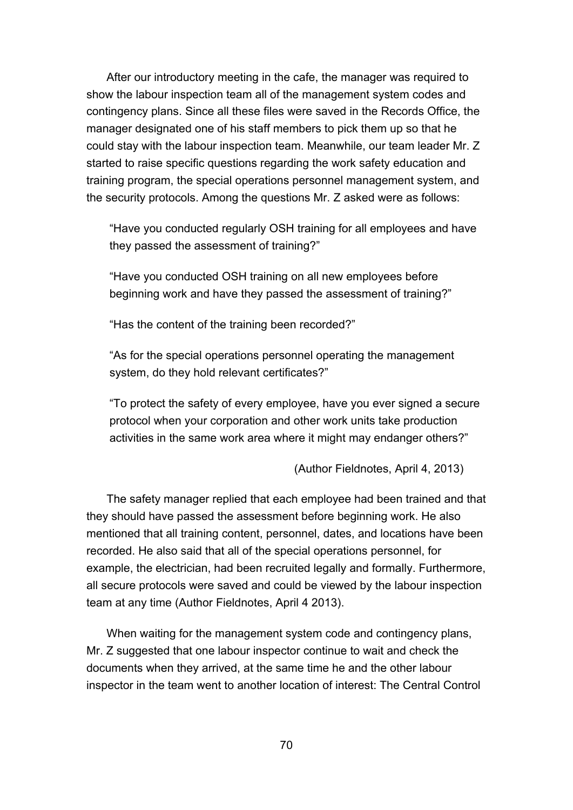After our introductory meeting in the cafe, the manager was required to show the labour inspection team all of the management system codes and contingency plans. Since all these files were saved in the Records Office, the manager designated one of his staff members to pick them up so that he could stay with the labour inspection team. Meanwhile, our team leader Mr. Z started to raise specific questions regarding the work safety education and training program, the special operations personnel management system, and the security protocols. Among the questions Mr. Z asked were as follows:

"Have you conducted regularly OSH training for all employees and have they passed the assessment of training?"

"Have you conducted OSH training on all new employees before beginning work and have they passed the assessment of training?"

"Has the content of the training been recorded?"

"As for the special operations personnel operating the management system, do they hold relevant certificates?"

"To protect the safety of every employee, have you ever signed a secure protocol when your corporation and other work units take production activities in the same work area where it might may endanger others?"

(Author Fieldnotes, April 4, 2013)

The safety manager replied that each employee had been trained and that they should have passed the assessment before beginning work. He also mentioned that all training content, personnel, dates, and locations have been recorded. He also said that all of the special operations personnel, for example, the electrician, had been recruited legally and formally. Furthermore, all secure protocols were saved and could be viewed by the labour inspection team at any time (Author Fieldnotes, April 4 2013).

When waiting for the management system code and contingency plans, Mr. Z suggested that one labour inspector continue to wait and check the documents when they arrived, at the same time he and the other labour inspector in the team went to another location of interest: The Central Control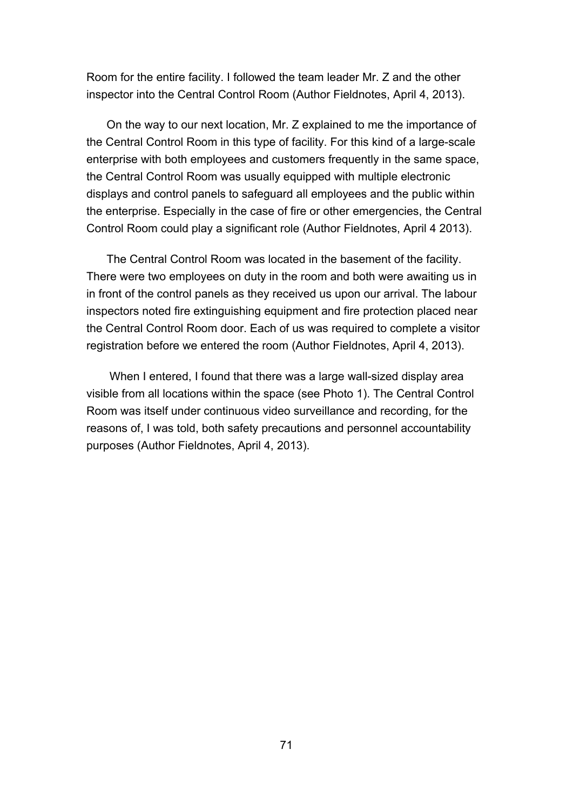Room for the entire facility. I followed the team leader Mr. Z and the other inspector into the Central Control Room (Author Fieldnotes, April 4, 2013).

On the way to our next location, Mr. Z explained to me the importance of the Central Control Room in this type of facility. For this kind of a large-scale enterprise with both employees and customers frequently in the same space, the Central Control Room was usually equipped with multiple electronic displays and control panels to safeguard all employees and the public within the enterprise. Especially in the case of fire or other emergencies, the Central Control Room could play a significant role (Author Fieldnotes, April 4 2013).

The Central Control Room was located in the basement of the facility. There were two employees on duty in the room and both were awaiting us in in front of the control panels as they received us upon our arrival. The labour inspectors noted fire extinguishing equipment and fire protection placed near the Central Control Room door. Each of us was required to complete a visitor registration before we entered the room (Author Fieldnotes, April 4, 2013).

When I entered, I found that there was a large wall-sized display area visible from all locations within the space (see Photo 1). The Central Control Room was itself under continuous video surveillance and recording, for the reasons of, I was told, both safety precautions and personnel accountability purposes (Author Fieldnotes, April 4, 2013).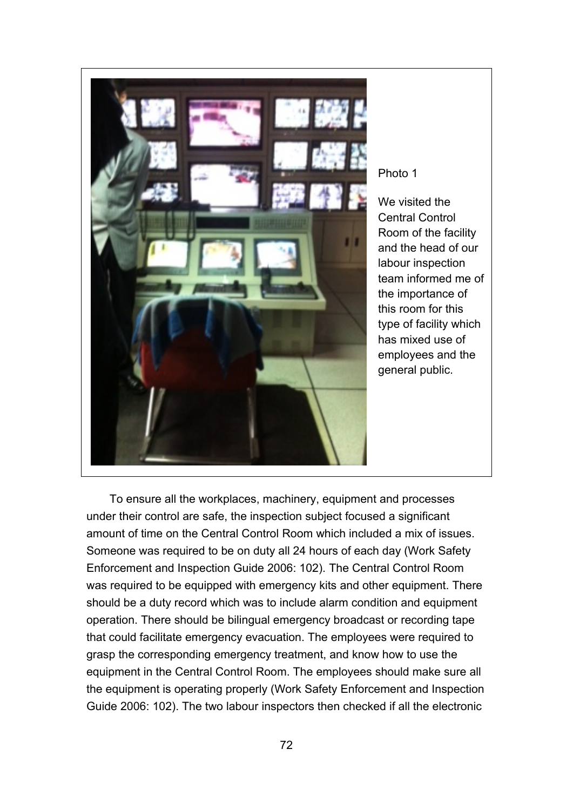

## Photo 1

We visited the Central Control Room of the facility and the head of our labour inspection team informed me of the importance of this room for this type of facility which has mixed use of employees and the general public.

To ensure all the workplaces, machinery, equipment and processes under their control are safe, the inspection subject focused a significant amount of time on the Central Control Room which included a mix of issues. Someone was required to be on duty all 24 hours of each day (Work Safety Enforcement and Inspection Guide 2006: 102). The Central Control Room was required to be equipped with emergency kits and other equipment. There should be a duty record which was to include alarm condition and equipment operation. There should be bilingual emergency broadcast or recording tape that could facilitate emergency evacuation. The employees were required to grasp the corresponding emergency treatment, and know how to use the equipment in the Central Control Room. The employees should make sure all the equipment is operating properly (Work Safety Enforcement and Inspection Guide 2006: 102). The two labour inspectors then checked if all the electronic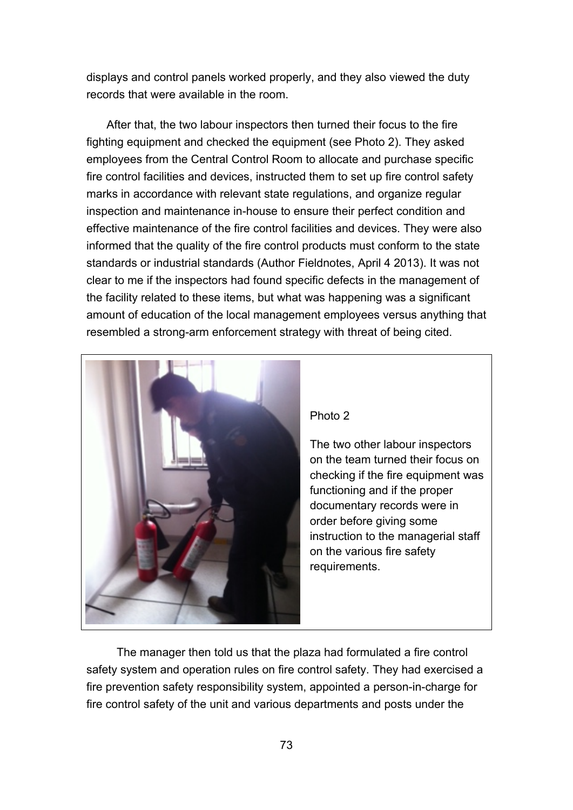displays and control panels worked properly, and they also viewed the duty records that were available in the room.

After that, the two labour inspectors then turned their focus to the fire fighting equipment and checked the equipment (see Photo 2). They asked employees from the Central Control Room to allocate and purchase specific fire control facilities and devices, instructed them to set up fire control safety marks in accordance with relevant state regulations, and organize regular inspection and maintenance in-house to ensure their perfect condition and effective maintenance of the fire control facilities and devices. They were also informed that the quality of the fire control products must conform to the state standards or industrial standards (Author Fieldnotes, April 4 2013). It was not clear to me if the inspectors had found specific defects in the management of the facility related to these items, but what was happening was a significant amount of education of the local management employees versus anything that resembled a strong-arm enforcement strategy with threat of being cited.



The manager then told us that the plaza had formulated a fire control safety system and operation rules on fire control safety. They had exercised a fire prevention safety responsibility system, appointed a person-in-charge for fire control safety of the unit and various departments and posts under the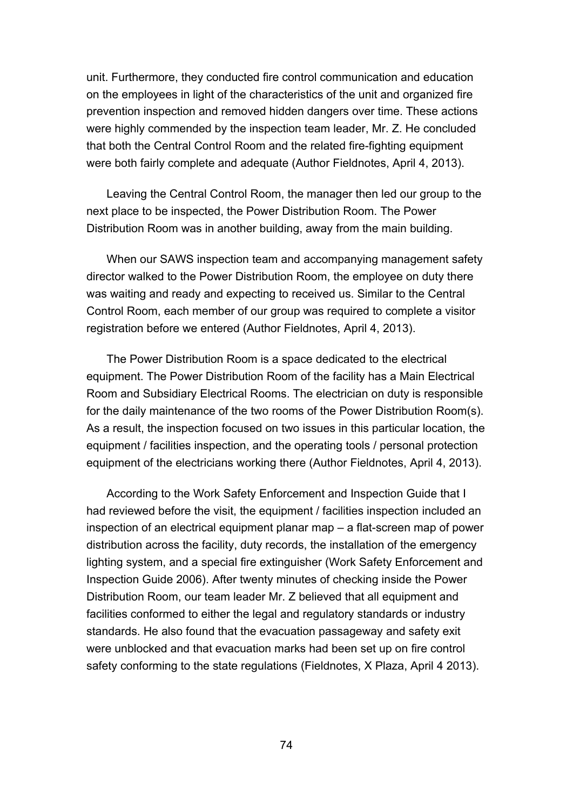unit. Furthermore, they conducted fire control communication and education on the employees in light of the characteristics of the unit and organized fire prevention inspection and removed hidden dangers over time. These actions were highly commended by the inspection team leader, Mr. Z. He concluded that both the Central Control Room and the related fire-fighting equipment were both fairly complete and adequate (Author Fieldnotes, April 4, 2013).

Leaving the Central Control Room, the manager then led our group to the next place to be inspected, the Power Distribution Room. The Power Distribution Room was in another building, away from the main building.

When our SAWS inspection team and accompanying management safety director walked to the Power Distribution Room, the employee on duty there was waiting and ready and expecting to received us. Similar to the Central Control Room, each member of our group was required to complete a visitor registration before we entered (Author Fieldnotes, April 4, 2013).

The Power Distribution Room is a space dedicated to the electrical equipment. The Power Distribution Room of the facility has a Main Electrical Room and Subsidiary Electrical Rooms. The electrician on duty is responsible for the daily maintenance of the two rooms of the Power Distribution Room(s). As a result, the inspection focused on two issues in this particular location, the equipment / facilities inspection, and the operating tools / personal protection equipment of the electricians working there (Author Fieldnotes, April 4, 2013).

According to the Work Safety Enforcement and Inspection Guide that I had reviewed before the visit, the equipment / facilities inspection included an inspection of an electrical equipment planar map – a flat-screen map of power distribution across the facility, duty records, the installation of the emergency lighting system, and a special fire extinguisher (Work Safety Enforcement and Inspection Guide 2006). After twenty minutes of checking inside the Power Distribution Room, our team leader Mr. Z believed that all equipment and facilities conformed to either the legal and regulatory standards or industry standards. He also found that the evacuation passageway and safety exit were unblocked and that evacuation marks had been set up on fire control safety conforming to the state regulations (Fieldnotes, X Plaza, April 4 2013).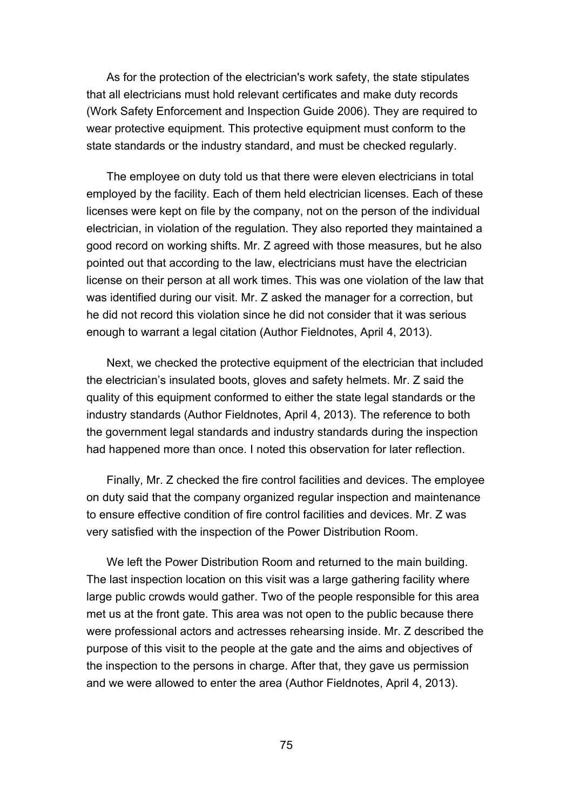As for the protection of the electrician's work safety, the state stipulates that all electricians must hold relevant certificates and make duty records (Work Safety Enforcement and Inspection Guide 2006). They are required to wear protective equipment. This protective equipment must conform to the state standards or the industry standard, and must be checked regularly.

The employee on duty told us that there were eleven electricians in total employed by the facility. Each of them held electrician licenses. Each of these licenses were kept on file by the company, not on the person of the individual electrician, in violation of the regulation. They also reported they maintained a good record on working shifts. Mr. Z agreed with those measures, but he also pointed out that according to the law, electricians must have the electrician license on their person at all work times. This was one violation of the law that was identified during our visit. Mr. Z asked the manager for a correction, but he did not record this violation since he did not consider that it was serious enough to warrant a legal citation (Author Fieldnotes, April 4, 2013).

Next, we checked the protective equipment of the electrician that included the electrician's insulated boots, gloves and safety helmets. Mr. Z said the quality of this equipment conformed to either the state legal standards or the industry standards (Author Fieldnotes, April 4, 2013). The reference to both the government legal standards and industry standards during the inspection had happened more than once. I noted this observation for later reflection.

Finally, Mr. Z checked the fire control facilities and devices. The employee on duty said that the company organized regular inspection and maintenance to ensure effective condition of fire control facilities and devices. Mr. Z was very satisfied with the inspection of the Power Distribution Room.

We left the Power Distribution Room and returned to the main building. The last inspection location on this visit was a large gathering facility where large public crowds would gather. Two of the people responsible for this area met us at the front gate. This area was not open to the public because there were professional actors and actresses rehearsing inside. Mr. Z described the purpose of this visit to the people at the gate and the aims and objectives of the inspection to the persons in charge. After that, they gave us permission and we were allowed to enter the area (Author Fieldnotes, April 4, 2013).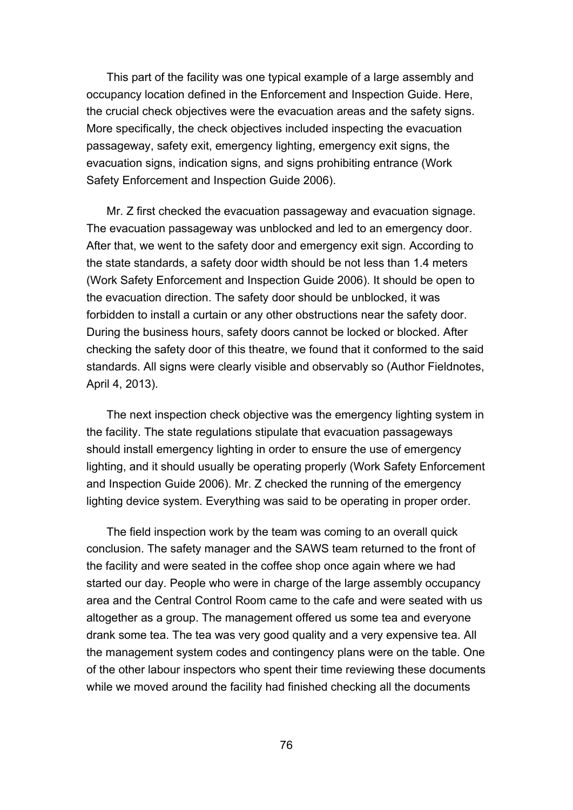This part of the facility was one typical example of a large assembly and occupancy location defined in the Enforcement and Inspection Guide. Here, the crucial check objectives were the evacuation areas and the safety signs. More specifically, the check objectives included inspecting the evacuation passageway, safety exit, emergency lighting, emergency exit signs, the evacuation signs, indication signs, and signs prohibiting entrance (Work Safety Enforcement and Inspection Guide 2006).

Mr. Z first checked the evacuation passageway and evacuation signage. The evacuation passageway was unblocked and led to an emergency door. After that, we went to the safety door and emergency exit sign. According to the state standards, a safety door width should be not less than 1.4 meters (Work Safety Enforcement and Inspection Guide 2006). It should be open to the evacuation direction. The safety door should be unblocked, it was forbidden to install a curtain or any other obstructions near the safety door. During the business hours, safety doors cannot be locked or blocked. After checking the safety door of this theatre, we found that it conformed to the said standards. All signs were clearly visible and observably so (Author Fieldnotes, April 4, 2013).

The next inspection check objective was the emergency lighting system in the facility. The state regulations stipulate that evacuation passageways should install emergency lighting in order to ensure the use of emergency lighting, and it should usually be operating properly (Work Safety Enforcement and Inspection Guide 2006). Mr. Z checked the running of the emergency lighting device system. Everything was said to be operating in proper order.

The field inspection work by the team was coming to an overall quick conclusion. The safety manager and the SAWS team returned to the front of the facility and were seated in the coffee shop once again where we had started our day. People who were in charge of the large assembly occupancy area and the Central Control Room came to the cafe and were seated with us altogether as a group. The management offered us some tea and everyone drank some tea. The tea was very good quality and a very expensive tea. All the management system codes and contingency plans were on the table. One of the other labour inspectors who spent their time reviewing these documents while we moved around the facility had finished checking all the documents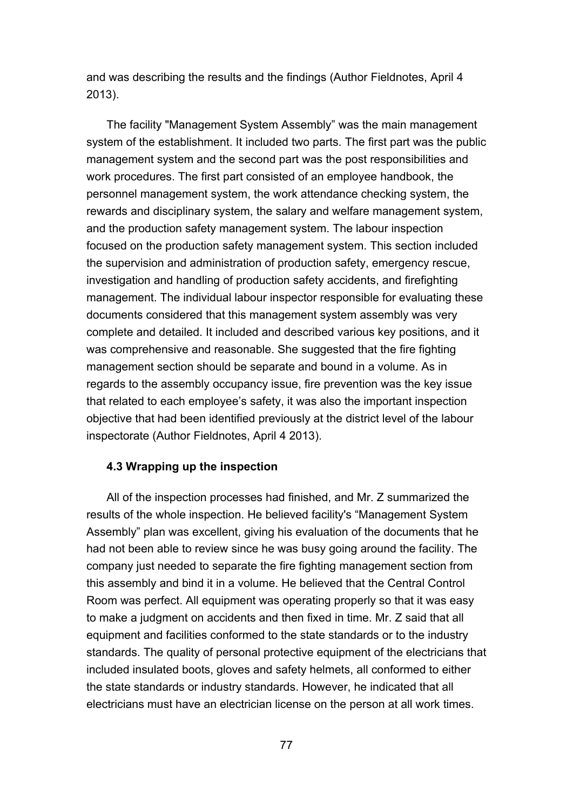and was describing the results and the findings (Author Fieldnotes, April 4 2013).

The facility "Management System Assembly" was the main management system of the establishment. It included two parts. The first part was the public management system and the second part was the post responsibilities and work procedures. The first part consisted of an employee handbook, the personnel management system, the work attendance checking system, the rewards and disciplinary system, the salary and welfare management system, and the production safety management system. The labour inspection focused on the production safety management system. This section included the supervision and administration of production safety, emergency rescue, investigation and handling of production safety accidents, and firefighting management. The individual labour inspector responsible for evaluating these documents considered that this management system assembly was very complete and detailed. It included and described various key positions, and it was comprehensive and reasonable. She suggested that the fire fighting management section should be separate and bound in a volume. As in regards to the assembly occupancy issue, fire prevention was the key issue that related to each employee's safety, it was also the important inspection objective that had been identified previously at the district level of the labour inspectorate (Author Fieldnotes, April 4 2013).

## **4.3 Wrapping up the inspection**

All of the inspection processes had finished, and Mr. Z summarized the results of the whole inspection. He believed facility's "Management System Assembly" plan was excellent, giving his evaluation of the documents that he had not been able to review since he was busy going around the facility. The company just needed to separate the fire fighting management section from this assembly and bind it in a volume. He believed that the Central Control Room was perfect. All equipment was operating properly so that it was easy to make a judgment on accidents and then fixed in time. Mr. Z said that all equipment and facilities conformed to the state standards or to the industry standards. The quality of personal protective equipment of the electricians that included insulated boots, gloves and safety helmets, all conformed to either the state standards or industry standards. However, he indicated that all electricians must have an electrician license on the person at all work times.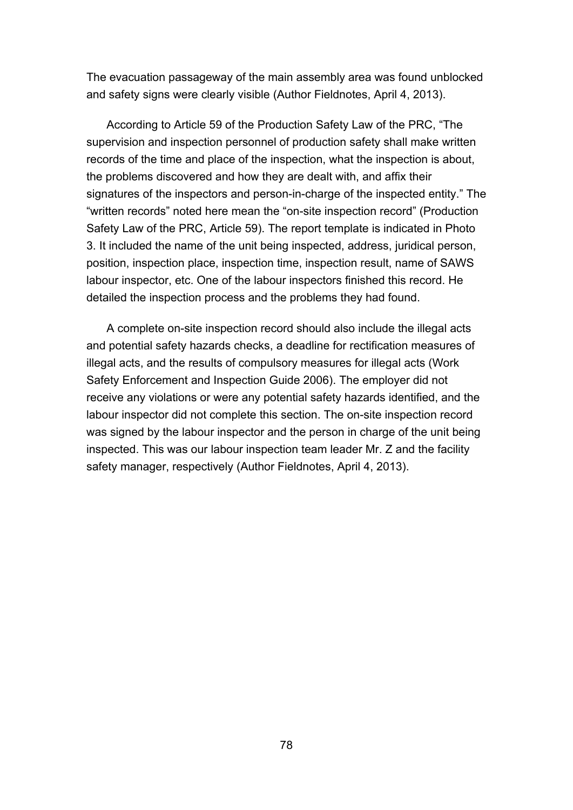The evacuation passageway of the main assembly area was found unblocked and safety signs were clearly visible (Author Fieldnotes, April 4, 2013).

According to Article 59 of the Production Safety Law of the PRC, "The supervision and inspection personnel of production safety shall make written records of the time and place of the inspection, what the inspection is about, the problems discovered and how they are dealt with, and affix their signatures of the inspectors and person-in-charge of the inspected entity." The "written records" noted here mean the "on-site inspection record" (Production Safety Law of the PRC, Article 59). The report template is indicated in Photo 3. It included the name of the unit being inspected, address, juridical person, position, inspection place, inspection time, inspection result, name of SAWS labour inspector, etc. One of the labour inspectors finished this record. He detailed the inspection process and the problems they had found.

A complete on-site inspection record should also include the illegal acts and potential safety hazards checks, a deadline for rectification measures of illegal acts, and the results of compulsory measures for illegal acts (Work Safety Enforcement and Inspection Guide 2006). The employer did not receive any violations or were any potential safety hazards identified, and the labour inspector did not complete this section. The on-site inspection record was signed by the labour inspector and the person in charge of the unit being inspected. This was our labour inspection team leader Mr. Z and the facility safety manager, respectively (Author Fieldnotes, April 4, 2013).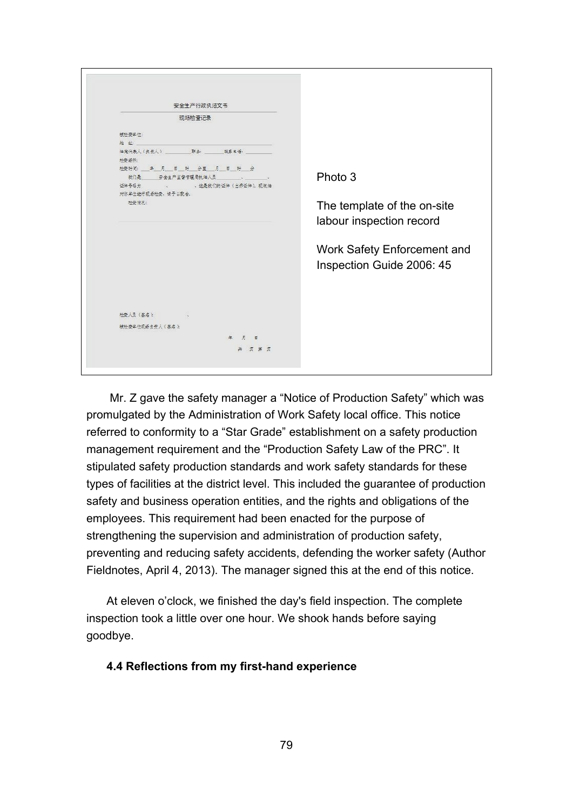| 安全生产行政执法文书                  |                             |
|-----------------------------|-----------------------------|
| 现场检查记录                      |                             |
| 被检查单位:                      |                             |
| 地址                          |                             |
|                             |                             |
| 检查场所:                       |                             |
| 检查时间: 华月 日 时 分至 月 日 时 分     |                             |
| 我们是 安全生产监督管理局执法人员 、 、 、     | Photo 3                     |
| 证件号码为 3 这是我们的证件 (出赤证件), 现做油 |                             |
| 对你单位进行现场检查、请予以配合。           |                             |
| 检查情况:                       | The template of the on-site |
|                             |                             |
|                             | labour inspection record    |
|                             |                             |
|                             |                             |
|                             | Work Safety Enforcement and |
|                             | Inspection Guide 2006: 45   |
|                             |                             |
|                             |                             |
|                             |                             |
|                             |                             |
| 检查人员(签名):                   |                             |
|                             |                             |
| 被检查单位现场负责人(签名):             |                             |
| 年 月 日                       |                             |
| 共页第页                        |                             |

Mr. Z gave the safety manager a "Notice of Production Safety" which was promulgated by the Administration of Work Safety local office. This notice referred to conformity to a "Star Grade" establishment on a safety production management requirement and the "Production Safety Law of the PRC". It stipulated safety production standards and work safety standards for these types of facilities at the district level. This included the guarantee of production safety and business operation entities, and the rights and obligations of the employees. This requirement had been enacted for the purpose of strengthening the supervision and administration of production safety, preventing and reducing safety accidents, defending the worker safety (Author Fieldnotes, April 4, 2013). The manager signed this at the end of this notice.

At eleven o'clock, we finished the day's field inspection. The complete inspection took a little over one hour. We shook hands before saying goodbye.

## **4.4 Reflections from my first-hand experience**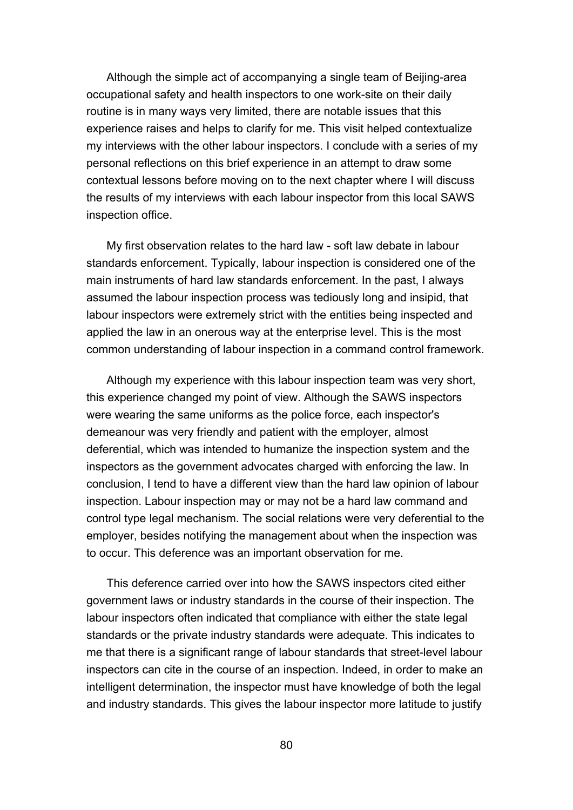Although the simple act of accompanying a single team of Beijing-area occupational safety and health inspectors to one work-site on their daily routine is in many ways very limited, there are notable issues that this experience raises and helps to clarify for me. This visit helped contextualize my interviews with the other labour inspectors. I conclude with a series of my personal reflections on this brief experience in an attempt to draw some contextual lessons before moving on to the next chapter where I will discuss the results of my interviews with each labour inspector from this local SAWS inspection office.

My first observation relates to the hard law - soft law debate in labour standards enforcement. Typically, labour inspection is considered one of the main instruments of hard law standards enforcement. In the past, I always assumed the labour inspection process was tediously long and insipid, that labour inspectors were extremely strict with the entities being inspected and applied the law in an onerous way at the enterprise level. This is the most common understanding of labour inspection in a command control framework.

Although my experience with this labour inspection team was very short, this experience changed my point of view. Although the SAWS inspectors were wearing the same uniforms as the police force, each inspector's demeanour was very friendly and patient with the employer, almost deferential, which was intended to humanize the inspection system and the inspectors as the government advocates charged with enforcing the law. In conclusion, I tend to have a different view than the hard law opinion of labour inspection. Labour inspection may or may not be a hard law command and control type legal mechanism. The social relations were very deferential to the employer, besides notifying the management about when the inspection was to occur. This deference was an important observation for me.

This deference carried over into how the SAWS inspectors cited either government laws or industry standards in the course of their inspection. The labour inspectors often indicated that compliance with either the state legal standards or the private industry standards were adequate. This indicates to me that there is a significant range of labour standards that street-level labour inspectors can cite in the course of an inspection. Indeed, in order to make an intelligent determination, the inspector must have knowledge of both the legal and industry standards. This gives the labour inspector more latitude to justify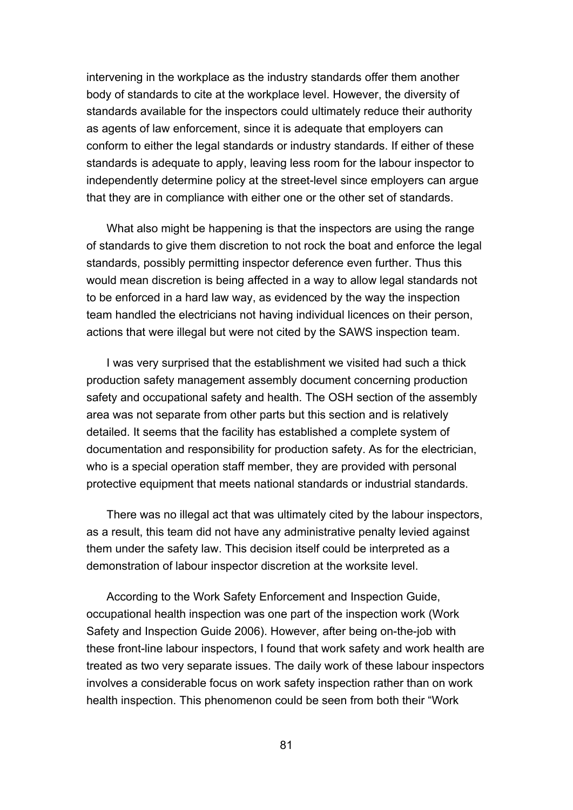intervening in the workplace as the industry standards offer them another body of standards to cite at the workplace level. However, the diversity of standards available for the inspectors could ultimately reduce their authority as agents of law enforcement, since it is adequate that employers can conform to either the legal standards or industry standards. If either of these standards is adequate to apply, leaving less room for the labour inspector to independently determine policy at the street-level since employers can argue that they are in compliance with either one or the other set of standards.

What also might be happening is that the inspectors are using the range of standards to give them discretion to not rock the boat and enforce the legal standards, possibly permitting inspector deference even further. Thus this would mean discretion is being affected in a way to allow legal standards not to be enforced in a hard law way, as evidenced by the way the inspection team handled the electricians not having individual licences on their person, actions that were illegal but were not cited by the SAWS inspection team.

I was very surprised that the establishment we visited had such a thick production safety management assembly document concerning production safety and occupational safety and health. The OSH section of the assembly area was not separate from other parts but this section and is relatively detailed. It seems that the facility has established a complete system of documentation and responsibility for production safety. As for the electrician, who is a special operation staff member, they are provided with personal protective equipment that meets national standards or industrial standards.

There was no illegal act that was ultimately cited by the labour inspectors, as a result, this team did not have any administrative penalty levied against them under the safety law. This decision itself could be interpreted as a demonstration of labour inspector discretion at the worksite level.

According to the Work Safety Enforcement and Inspection Guide, occupational health inspection was one part of the inspection work (Work Safety and Inspection Guide 2006). However, after being on-the-job with these front-line labour inspectors, I found that work safety and work health are treated as two very separate issues. The daily work of these labour inspectors involves a considerable focus on work safety inspection rather than on work health inspection. This phenomenon could be seen from both their "Work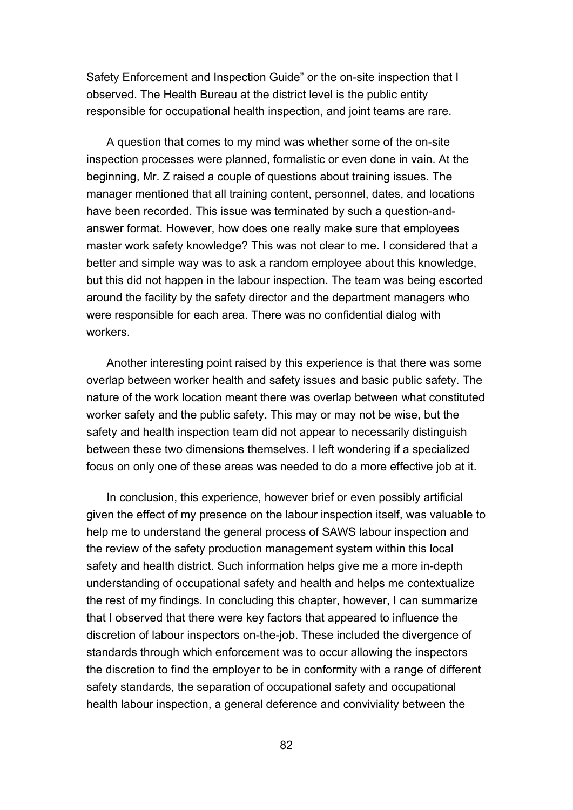Safety Enforcement and Inspection Guide" or the on-site inspection that I observed. The Health Bureau at the district level is the public entity responsible for occupational health inspection, and joint teams are rare.

A question that comes to my mind was whether some of the on-site inspection processes were planned, formalistic or even done in vain. At the beginning, Mr. Z raised a couple of questions about training issues. The manager mentioned that all training content, personnel, dates, and locations have been recorded. This issue was terminated by such a question-andanswer format. However, how does one really make sure that employees master work safety knowledge? This was not clear to me. I considered that a better and simple way was to ask a random employee about this knowledge, but this did not happen in the labour inspection. The team was being escorted around the facility by the safety director and the department managers who were responsible for each area. There was no confidential dialog with workers.

Another interesting point raised by this experience is that there was some overlap between worker health and safety issues and basic public safety. The nature of the work location meant there was overlap between what constituted worker safety and the public safety. This may or may not be wise, but the safety and health inspection team did not appear to necessarily distinguish between these two dimensions themselves. I left wondering if a specialized focus on only one of these areas was needed to do a more effective job at it.

In conclusion, this experience, however brief or even possibly artificial given the effect of my presence on the labour inspection itself, was valuable to help me to understand the general process of SAWS labour inspection and the review of the safety production management system within this local safety and health district. Such information helps give me a more in-depth understanding of occupational safety and health and helps me contextualize the rest of my findings. In concluding this chapter, however, I can summarize that I observed that there were key factors that appeared to influence the discretion of labour inspectors on-the-job. These included the divergence of standards through which enforcement was to occur allowing the inspectors the discretion to find the employer to be in conformity with a range of different safety standards, the separation of occupational safety and occupational health labour inspection, a general deference and conviviality between the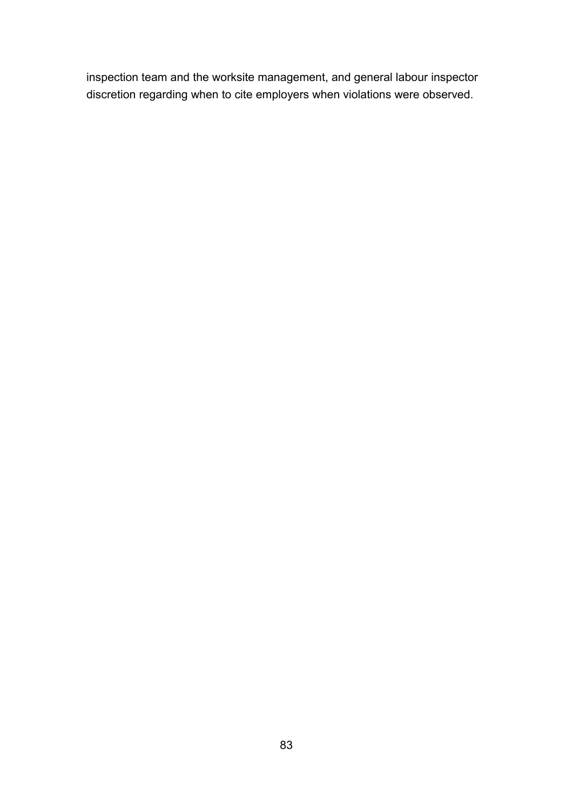inspection team and the worksite management, and general labour inspector discretion regarding when to cite employers when violations were observed.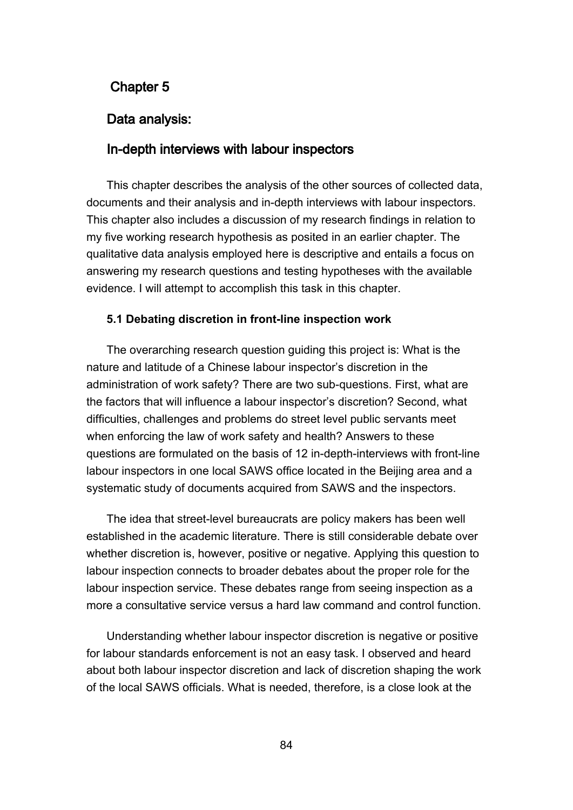# **Chapter 5**

## **Data analysis:**

## **In-depth interviews with labour inspectors**

This chapter describes the analysis of the other sources of collected data, documents and their analysis and in-depth interviews with labour inspectors. This chapter also includes a discussion of my research findings in relation to my five working research hypothesis as posited in an earlier chapter. The qualitative data analysis employed here is descriptive and entails a focus on answering my research questions and testing hypotheses with the available evidence. I will attempt to accomplish this task in this chapter.

#### **5.1 Debating discretion in front-line inspection work**

The overarching research question guiding this project is: What is the nature and latitude of a Chinese labour inspector's discretion in the administration of work safety? There are two sub-questions. First, what are the factors that will influence a labour inspector's discretion? Second, what difficulties, challenges and problems do street level public servants meet when enforcing the law of work safety and health? Answers to these questions are formulated on the basis of 12 in-depth-interviews with front-line labour inspectors in one local SAWS office located in the Beijing area and a systematic study of documents acquired from SAWS and the inspectors.

The idea that street-level bureaucrats are policy makers has been well established in the academic literature. There is still considerable debate over whether discretion is, however, positive or negative. Applying this question to labour inspection connects to broader debates about the proper role for the labour inspection service. These debates range from seeing inspection as a more a consultative service versus a hard law command and control function.

Understanding whether labour inspector discretion is negative or positive for labour standards enforcement is not an easy task. I observed and heard about both labour inspector discretion and lack of discretion shaping the work of the local SAWS officials. What is needed, therefore, is a close look at the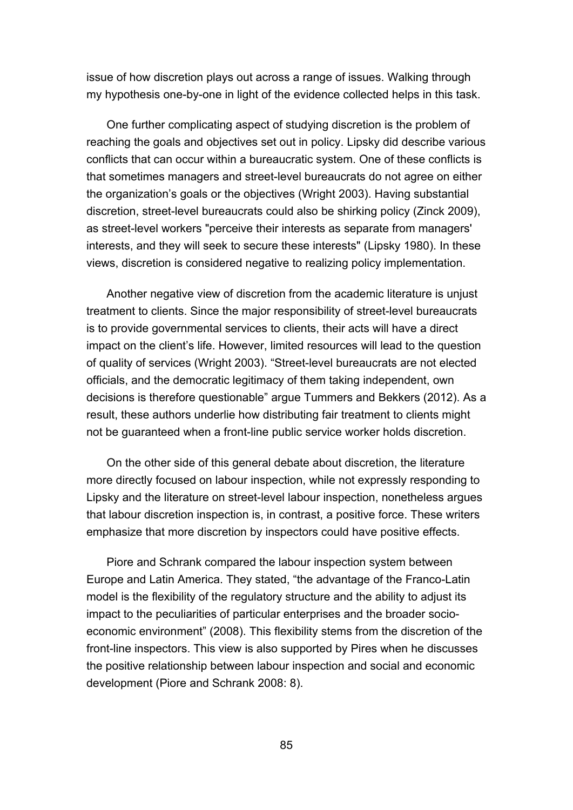issue of how discretion plays out across a range of issues. Walking through my hypothesis one-by-one in light of the evidence collected helps in this task.

One further complicating aspect of studying discretion is the problem of reaching the goals and objectives set out in policy. Lipsky did describe various conflicts that can occur within a bureaucratic system. One of these conflicts is that sometimes managers and street-level bureaucrats do not agree on either the organization's goals or the objectives (Wright 2003). Having substantial discretion, street-level bureaucrats could also be shirking policy (Zinck 2009), as street-level workers "perceive their interests as separate from managers' interests, and they will seek to secure these interests" (Lipsky 1980). In these views, discretion is considered negative to realizing policy implementation.

Another negative view of discretion from the academic literature is unjust treatment to clients. Since the major responsibility of street-level bureaucrats is to provide governmental services to clients, their acts will have a direct impact on the client's life. However, limited resources will lead to the question of quality of services (Wright 2003). "Street-level bureaucrats are not elected officials, and the democratic legitimacy of them taking independent, own decisions is therefore questionable" argue Tummers and Bekkers (2012). As a result, these authors underlie how distributing fair treatment to clients might not be guaranteed when a front-line public service worker holds discretion.

On the other side of this general debate about discretion, the literature more directly focused on labour inspection, while not expressly responding to Lipsky and the literature on street-level labour inspection, nonetheless argues that labour discretion inspection is, in contrast, a positive force. These writers emphasize that more discretion by inspectors could have positive effects.

Piore and Schrank compared the labour inspection system between Europe and Latin America. They stated, "the advantage of the Franco-Latin model is the flexibility of the regulatory structure and the ability to adjust its impact to the peculiarities of particular enterprises and the broader socioeconomic environment" (2008). This flexibility stems from the discretion of the front-line inspectors. This view is also supported by Pires when he discusses the positive relationship between labour inspection and social and economic development (Piore and Schrank 2008: 8).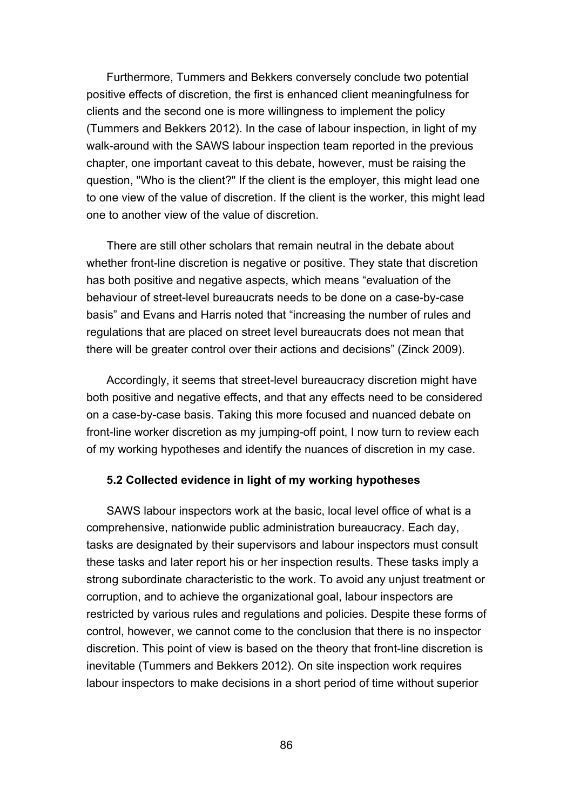Furthermore, Tummers and Bekkers conversely conclude two potential positive effects of discretion, the first is enhanced client meaningfulness for clients and the second one is more willingness to implement the policy (Tummers and Bekkers 2012). In the case of labour inspection, in light of my walk-around with the SAWS labour inspection team reported in the previous chapter, one important caveat to this debate, however, must be raising the question, "Who is the client?" If the client is the employer, this might lead one to one view of the value of discretion. If the client is the worker, this might lead one to another view of the value of discretion.

There are still other scholars that remain neutral in the debate about whether front-line discretion is negative or positive. They state that discretion has both positive and negative aspects, which means "evaluation of the behaviour of street-level bureaucrats needs to be done on a case-by-case basis" and Evans and Harris noted that "increasing the number of rules and regulations that are placed on street level bureaucrats does not mean that there will be greater control over their actions and decisions" (Zinck 2009).

Accordingly, it seems that street-level bureaucracy discretion might have both positive and negative effects, and that any effects need to be considered on a case-by-case basis. Taking this more focused and nuanced debate on front-line worker discretion as my jumping-off point, I now turn to review each of my working hypotheses and identify the nuances of discretion in my case.

## **5.2 Collected evidence in light of my working hypotheses**

SAWS labour inspectors work at the basic, local level office of what is a comprehensive, nationwide public administration bureaucracy. Each day, tasks are designated by their supervisors and labour inspectors must consult these tasks and later report his or her inspection results. These tasks imply a strong subordinate characteristic to the work. To avoid any unjust treatment or corruption, and to achieve the organizational goal, labour inspectors are restricted by various rules and regulations and policies. Despite these forms of control, however, we cannot come to the conclusion that there is no inspector discretion. This point of view is based on the theory that front-line discretion is inevitable (Tummers and Bekkers 2012). On site inspection work requires labour inspectors to make decisions in a short period of time without superior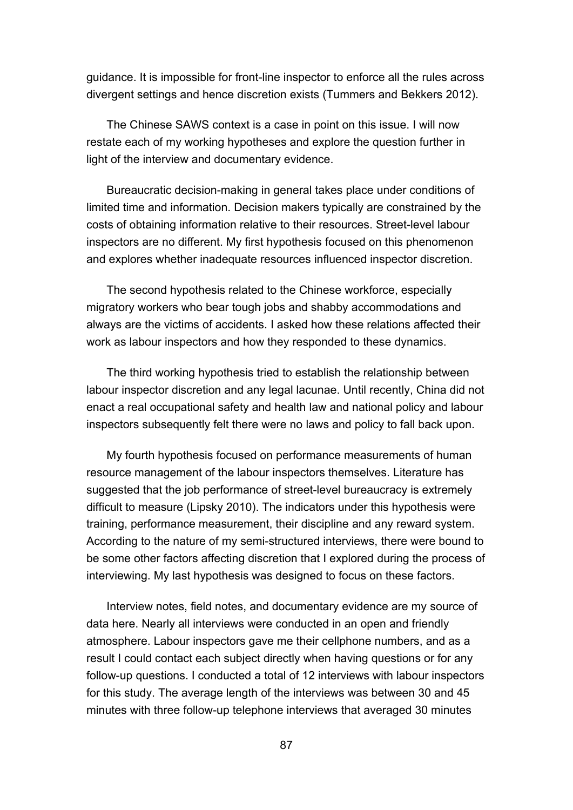guidance. It is impossible for front-line inspector to enforce all the rules across divergent settings and hence discretion exists (Tummers and Bekkers 2012).

The Chinese SAWS context is a case in point on this issue. I will now restate each of my working hypotheses and explore the question further in light of the interview and documentary evidence.

Bureaucratic decision-making in general takes place under conditions of limited time and information. Decision makers typically are constrained by the costs of obtaining information relative to their resources. Street-level labour inspectors are no different. My first hypothesis focused on this phenomenon and explores whether inadequate resources influenced inspector discretion.

The second hypothesis related to the Chinese workforce, especially migratory workers who bear tough jobs and shabby accommodations and always are the victims of accidents. I asked how these relations affected their work as labour inspectors and how they responded to these dynamics.

The third working hypothesis tried to establish the relationship between labour inspector discretion and any legal lacunae. Until recently, China did not enact a real occupational safety and health law and national policy and labour inspectors subsequently felt there were no laws and policy to fall back upon.

My fourth hypothesis focused on performance measurements of human resource management of the labour inspectors themselves. Literature has suggested that the job performance of street-level bureaucracy is extremely difficult to measure (Lipsky 2010). The indicators under this hypothesis were training, performance measurement, their discipline and any reward system. According to the nature of my semi-structured interviews, there were bound to be some other factors affecting discretion that I explored during the process of interviewing. My last hypothesis was designed to focus on these factors.

Interview notes, field notes, and documentary evidence are my source of data here. Nearly all interviews were conducted in an open and friendly atmosphere. Labour inspectors gave me their cellphone numbers, and as a result I could contact each subject directly when having questions or for any follow-up questions. I conducted a total of 12 interviews with labour inspectors for this study. The average length of the interviews was between 30 and 45 minutes with three follow-up telephone interviews that averaged 30 minutes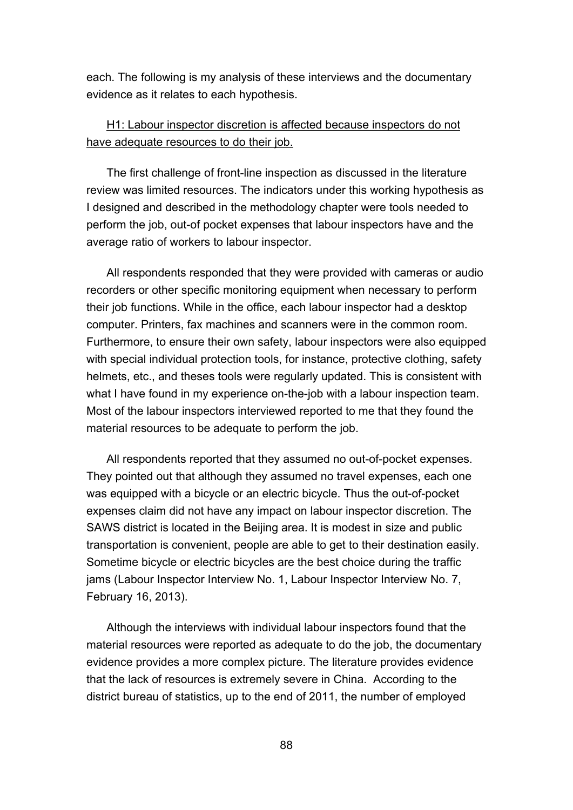each. The following is my analysis of these interviews and the documentary evidence as it relates to each hypothesis.

# H1: Labour inspector discretion is affected because inspectors do not have adequate resources to do their job.

The first challenge of front-line inspection as discussed in the literature review was limited resources. The indicators under this working hypothesis as I designed and described in the methodology chapter were tools needed to perform the job, out-of pocket expenses that labour inspectors have and the average ratio of workers to labour inspector.

All respondents responded that they were provided with cameras or audio recorders or other specific monitoring equipment when necessary to perform their job functions. While in the office, each labour inspector had a desktop computer. Printers, fax machines and scanners were in the common room. Furthermore, to ensure their own safety, labour inspectors were also equipped with special individual protection tools, for instance, protective clothing, safety helmets, etc., and theses tools were regularly updated. This is consistent with what I have found in my experience on-the-job with a labour inspection team. Most of the labour inspectors interviewed reported to me that they found the material resources to be adequate to perform the job.

All respondents reported that they assumed no out-of-pocket expenses. They pointed out that although they assumed no travel expenses, each one was equipped with a bicycle or an electric bicycle. Thus the out-of-pocket expenses claim did not have any impact on labour inspector discretion. The SAWS district is located in the Beijing area. It is modest in size and public transportation is convenient, people are able to get to their destination easily. Sometime bicycle or electric bicycles are the best choice during the traffic jams (Labour Inspector Interview No. 1, Labour Inspector Interview No. 7, February 16, 2013).

Although the interviews with individual labour inspectors found that the material resources were reported as adequate to do the job, the documentary evidence provides a more complex picture. The literature provides evidence that the lack of resources is extremely severe in China. According to the district bureau of statistics, up to the end of 2011, the number of employed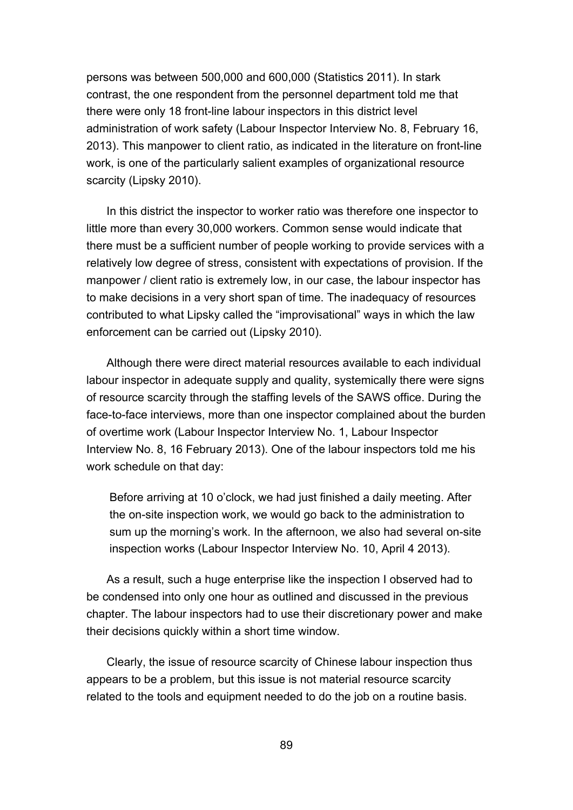persons was between 500,000 and 600,000 (Statistics 2011). In stark contrast, the one respondent from the personnel department told me that there were only 18 front-line labour inspectors in this district level administration of work safety (Labour Inspector Interview No. 8, February 16, 2013). This manpower to client ratio, as indicated in the literature on front-line work, is one of the particularly salient examples of organizational resource scarcity (Lipsky 2010).

In this district the inspector to worker ratio was therefore one inspector to little more than every 30,000 workers. Common sense would indicate that there must be a sufficient number of people working to provide services with a relatively low degree of stress, consistent with expectations of provision. If the manpower / client ratio is extremely low, in our case, the labour inspector has to make decisions in a very short span of time. The inadequacy of resources contributed to what Lipsky called the "improvisational" ways in which the law enforcement can be carried out (Lipsky 2010).

Although there were direct material resources available to each individual labour inspector in adequate supply and quality, systemically there were signs of resource scarcity through the staffing levels of the SAWS office. During the face-to-face interviews, more than one inspector complained about the burden of overtime work (Labour Inspector Interview No. 1, Labour Inspector Interview No. 8, 16 February 2013). One of the labour inspectors told me his work schedule on that day:

Before arriving at 10 o'clock, we had just finished a daily meeting. After the on-site inspection work, we would go back to the administration to sum up the morning's work. In the afternoon, we also had several on-site inspection works (Labour Inspector Interview No. 10, April 4 2013).

As a result, such a huge enterprise like the inspection I observed had to be condensed into only one hour as outlined and discussed in the previous chapter. The labour inspectors had to use their discretionary power and make their decisions quickly within a short time window.

Clearly, the issue of resource scarcity of Chinese labour inspection thus appears to be a problem, but this issue is not material resource scarcity related to the tools and equipment needed to do the job on a routine basis.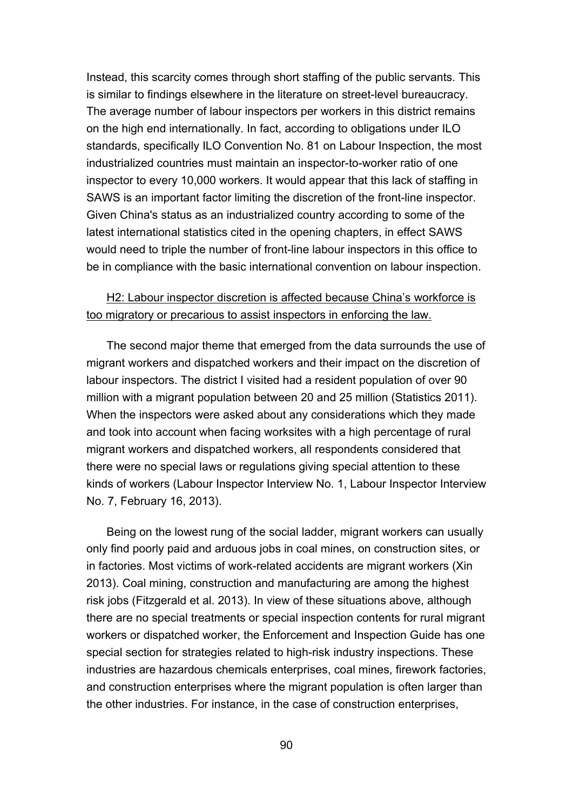Instead, this scarcity comes through short staffing of the public servants. This is similar to findings elsewhere in the literature on street-level bureaucracy. The average number of labour inspectors per workers in this district remains on the high end internationally. In fact, according to obligations under ILO standards, specifically ILO Convention No. 81 on Labour Inspection, the most industrialized countries must maintain an inspector-to-worker ratio of one inspector to every 10,000 workers. It would appear that this lack of staffing in SAWS is an important factor limiting the discretion of the front-line inspector. Given China's status as an industrialized country according to some of the latest international statistics cited in the opening chapters, in effect SAWS would need to triple the number of front-line labour inspectors in this office to be in compliance with the basic international convention on labour inspection.

# H2: Labour inspector discretion is affected because China's workforce is too migratory or precarious to assist inspectors in enforcing the law.

The second major theme that emerged from the data surrounds the use of migrant workers and dispatched workers and their impact on the discretion of labour inspectors. The district I visited had a resident population of over 90 million with a migrant population between 20 and 25 million (Statistics 2011). When the inspectors were asked about any considerations which they made and took into account when facing worksites with a high percentage of rural migrant workers and dispatched workers, all respondents considered that there were no special laws or regulations giving special attention to these kinds of workers (Labour Inspector Interview No. 1, Labour Inspector Interview No. 7, February 16, 2013).

Being on the lowest rung of the social ladder, migrant workers can usually only find poorly paid and arduous jobs in coal mines, on construction sites, or in factories. Most victims of work-related accidents are migrant workers (Xin 2013). Coal mining, construction and manufacturing are among the highest risk jobs (Fitzgerald et al. 2013). In view of these situations above, although there are no special treatments or special inspection contents for rural migrant workers or dispatched worker, the Enforcement and Inspection Guide has one special section for strategies related to high-risk industry inspections. These industries are hazardous chemicals enterprises, coal mines, firework factories, and construction enterprises where the migrant population is often larger than the other industries. For instance, in the case of construction enterprises,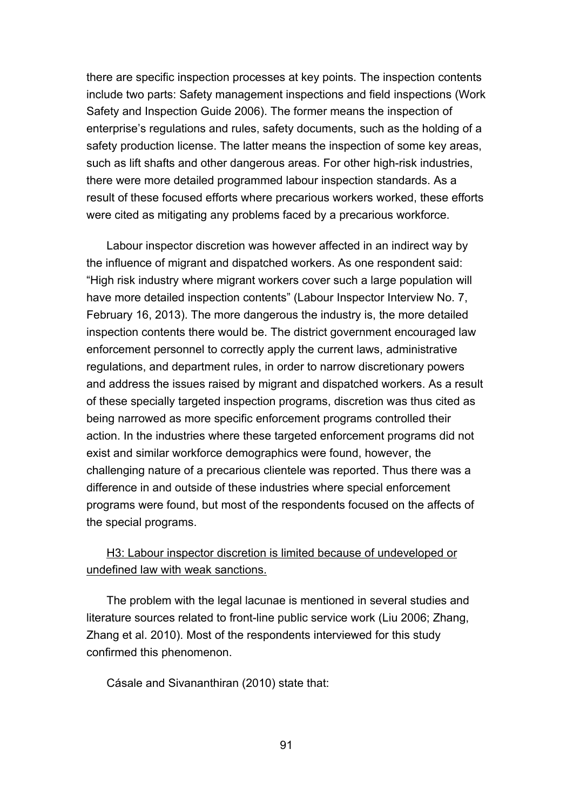there are specific inspection processes at key points. The inspection contents include two parts: Safety management inspections and field inspections (Work Safety and Inspection Guide 2006). The former means the inspection of enterprise's regulations and rules, safety documents, such as the holding of a safety production license. The latter means the inspection of some key areas, such as lift shafts and other dangerous areas. For other high-risk industries, there were more detailed programmed labour inspection standards. As a result of these focused efforts where precarious workers worked, these efforts were cited as mitigating any problems faced by a precarious workforce.

Labour inspector discretion was however affected in an indirect way by the influence of migrant and dispatched workers. As one respondent said: "High risk industry where migrant workers cover such a large population will have more detailed inspection contents" (Labour Inspector Interview No. 7, February 16, 2013). The more dangerous the industry is, the more detailed inspection contents there would be. The district government encouraged law enforcement personnel to correctly apply the current laws, administrative regulations, and department rules, in order to narrow discretionary powers and address the issues raised by migrant and dispatched workers. As a result of these specially targeted inspection programs, discretion was thus cited as being narrowed as more specific enforcement programs controlled their action. In the industries where these targeted enforcement programs did not exist and similar workforce demographics were found, however, the challenging nature of a precarious clientele was reported. Thus there was a difference in and outside of these industries where special enforcement programs were found, but most of the respondents focused on the affects of the special programs.

# H3: Labour inspector discretion is limited because of undeveloped or undefined law with weak sanctions.

The problem with the legal lacunae is mentioned in several studies and literature sources related to front-line public service work (Liu 2006; Zhang, Zhang et al. 2010). Most of the respondents interviewed for this study confirmed this phenomenon.

Cásale and Sivananthiran (2010) state that: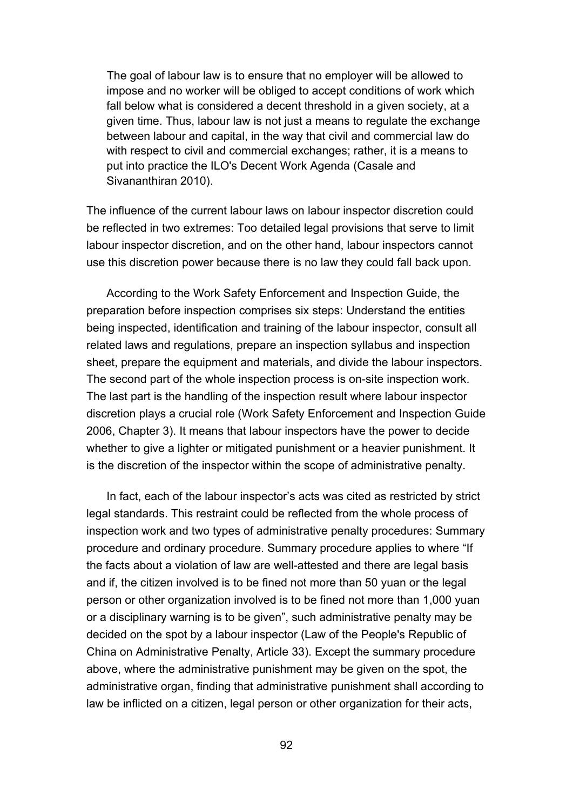The goal of labour law is to ensure that no employer will be allowed to impose and no worker will be obliged to accept conditions of work which fall below what is considered a decent threshold in a given society, at a given time. Thus, labour law is not just a means to regulate the exchange between labour and capital, in the way that civil and commercial law do with respect to civil and commercial exchanges; rather, it is a means to put into practice the ILO's Decent Work Agenda (Casale and Sivananthiran 2010).

The influence of the current labour laws on labour inspector discretion could be reflected in two extremes: Too detailed legal provisions that serve to limit labour inspector discretion, and on the other hand, labour inspectors cannot use this discretion power because there is no law they could fall back upon.

According to the Work Safety Enforcement and Inspection Guide, the preparation before inspection comprises six steps: Understand the entities being inspected, identification and training of the labour inspector, consult all related laws and regulations, prepare an inspection syllabus and inspection sheet, prepare the equipment and materials, and divide the labour inspectors. The second part of the whole inspection process is on-site inspection work. The last part is the handling of the inspection result where labour inspector discretion plays a crucial role (Work Safety Enforcement and Inspection Guide 2006, Chapter 3). It means that labour inspectors have the power to decide whether to give a lighter or mitigated punishment or a heavier punishment. It is the discretion of the inspector within the scope of administrative penalty.

In fact, each of the labour inspector's acts was cited as restricted by strict legal standards. This restraint could be reflected from the whole process of inspection work and two types of administrative penalty procedures: Summary procedure and ordinary procedure. Summary procedure applies to where "If the facts about a violation of law are well-attested and there are legal basis and if, the citizen involved is to be fined not more than 50 yuan or the legal person or other organization involved is to be fined not more than 1,000 yuan or a disciplinary warning is to be given", such administrative penalty may be decided on the spot by a labour inspector (Law of the People's Republic of China on Administrative Penalty, Article 33). Except the summary procedure above, where the administrative punishment may be given on the spot, the administrative organ, finding that administrative punishment shall according to law be inflicted on a citizen, legal person or other organization for their acts,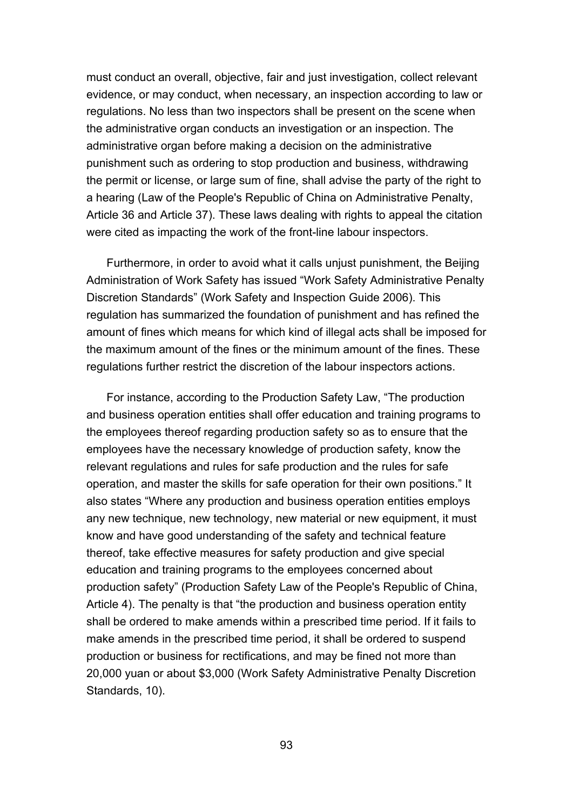must conduct an overall, objective, fair and just investigation, collect relevant evidence, or may conduct, when necessary, an inspection according to law or regulations. No less than two inspectors shall be present on the scene when the administrative organ conducts an investigation or an inspection. The administrative organ before making a decision on the administrative punishment such as ordering to stop production and business, withdrawing the permit or license, or large sum of fine, shall advise the party of the right to a hearing (Law of the People's Republic of China on Administrative Penalty, Article 36 and Article 37). These laws dealing with rights to appeal the citation were cited as impacting the work of the front-line labour inspectors.

Furthermore, in order to avoid what it calls unjust punishment, the Beijing Administration of Work Safety has issued "Work Safety Administrative Penalty Discretion Standards" (Work Safety and Inspection Guide 2006). This regulation has summarized the foundation of punishment and has refined the amount of fines which means for which kind of illegal acts shall be imposed for the maximum amount of the fines or the minimum amount of the fines. These regulations further restrict the discretion of the labour inspectors actions.

For instance, according to the Production Safety Law, "The production and business operation entities shall offer education and training programs to the employees thereof regarding production safety so as to ensure that the employees have the necessary knowledge of production safety, know the relevant regulations and rules for safe production and the rules for safe operation, and master the skills for safe operation for their own positions." It also states "Where any production and business operation entities employs any new technique, new technology, new material or new equipment, it must know and have good understanding of the safety and technical feature thereof, take effective measures for safety production and give special education and training programs to the employees concerned about production safety" (Production Safety Law of the People's Republic of China, Article 4). The penalty is that "the production and business operation entity shall be ordered to make amends within a prescribed time period. If it fails to make amends in the prescribed time period, it shall be ordered to suspend production or business for rectifications, and may be fined not more than 20,000 yuan or about \$3,000 (Work Safety Administrative Penalty Discretion Standards, 10).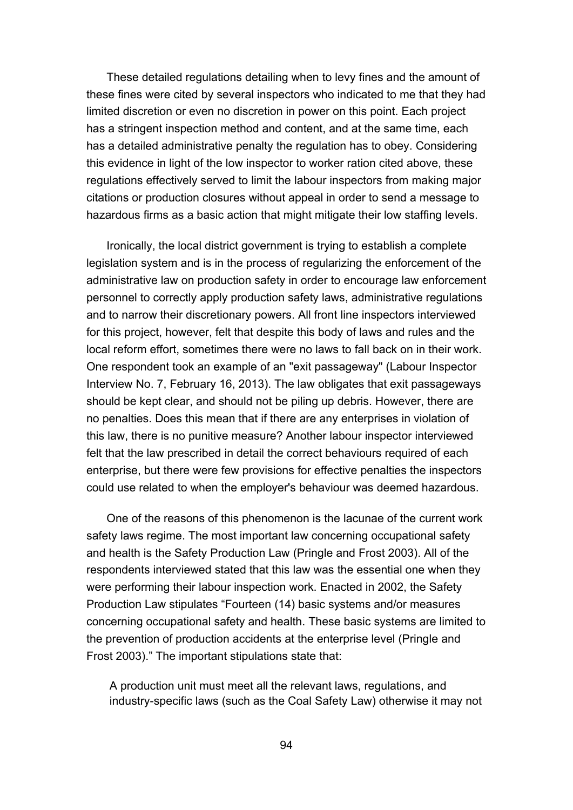These detailed regulations detailing when to levy fines and the amount of these fines were cited by several inspectors who indicated to me that they had limited discretion or even no discretion in power on this point. Each project has a stringent inspection method and content, and at the same time, each has a detailed administrative penalty the regulation has to obey. Considering this evidence in light of the low inspector to worker ration cited above, these regulations effectively served to limit the labour inspectors from making major citations or production closures without appeal in order to send a message to hazardous firms as a basic action that might mitigate their low staffing levels.

Ironically, the local district government is trying to establish a complete legislation system and is in the process of regularizing the enforcement of the administrative law on production safety in order to encourage law enforcement personnel to correctly apply production safety laws, administrative regulations and to narrow their discretionary powers. All front line inspectors interviewed for this project, however, felt that despite this body of laws and rules and the local reform effort, sometimes there were no laws to fall back on in their work. One respondent took an example of an "exit passageway" (Labour Inspector Interview No. 7, February 16, 2013). The law obligates that exit passageways should be kept clear, and should not be piling up debris. However, there are no penalties. Does this mean that if there are any enterprises in violation of this law, there is no punitive measure? Another labour inspector interviewed felt that the law prescribed in detail the correct behaviours required of each enterprise, but there were few provisions for effective penalties the inspectors could use related to when the employer's behaviour was deemed hazardous.

One of the reasons of this phenomenon is the lacunae of the current work safety laws regime. The most important law concerning occupational safety and health is the Safety Production Law (Pringle and Frost 2003). All of the respondents interviewed stated that this law was the essential one when they were performing their labour inspection work. Enacted in 2002, the Safety Production Law stipulates "Fourteen (14) basic systems and/or measures concerning occupational safety and health. These basic systems are limited to the prevention of production accidents at the enterprise level (Pringle and Frost 2003)." The important stipulations state that:

A production unit must meet all the relevant laws, regulations, and industry-specific laws (such as the Coal Safety Law) otherwise it may not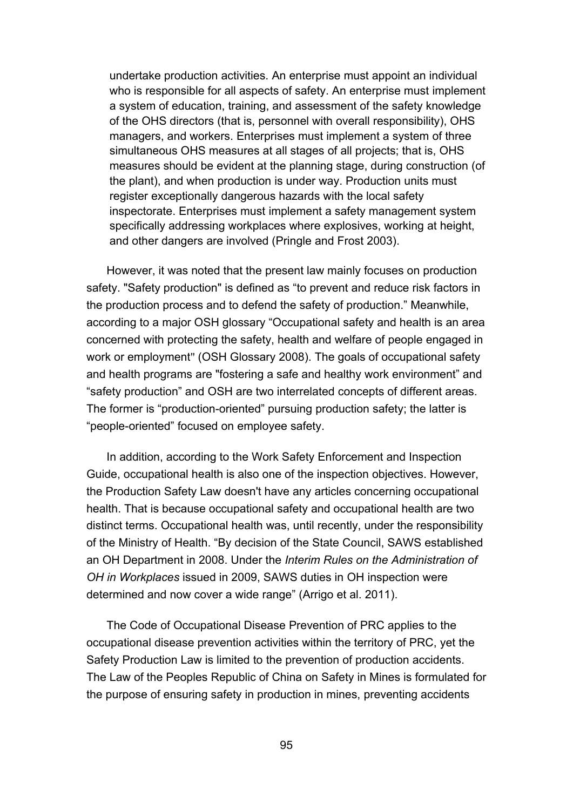undertake production activities. An enterprise must appoint an individual who is responsible for all aspects of safety. An enterprise must implement a system of education, training, and assessment of the safety knowledge of the OHS directors (that is, personnel with overall responsibility), OHS managers, and workers. Enterprises must implement a system of three simultaneous OHS measures at all stages of all projects; that is, OHS measures should be evident at the planning stage, during construction (of the plant), and when production is under way. Production units must register exceptionally dangerous hazards with the local safety inspectorate. Enterprises must implement a safety management system specifically addressing workplaces where explosives, working at height, and other dangers are involved (Pringle and Frost 2003).

However, it was noted that the present law mainly focuses on production safety. "Safety production" is defined as "to prevent and reduce risk factors in the production process and to defend the safety of production." Meanwhile, according to a major OSH glossary "Occupational safety and health is an area concerned with protecting the [safety,](http://en.wikipedia.org/wiki/Safety) [health](http://en.wikipedia.org/wiki/Health) and [welfare](http://en.wikipedia.org/wiki/Quality_of_life) of people engaged in [work](http://en.wikipedia.org/wiki/Employment) [or](http://en.wikipedia.org/wiki/Employment) [employment](http://en.wikipedia.org/wiki/Employment)" (OSH Glossary 2008). The goals of occupational safety and health programs are "fostering a safe and healthy work environment" and "safety production" and OSH are two interrelated concepts of different areas. The former is "production-oriented" pursuing production safety; the latter is "people-oriented" focused on employee safety.

In addition, according to the Work Safety Enforcement and Inspection Guide, occupational health is also one of the inspection objectives. However, the Production Safety Law doesn't have any articles concerning occupational health. That is because occupational safety and occupational health are two distinct terms. Occupational health was, until recently, under the responsibility of the Ministry of Health. "By decision of the State Council, SAWS established an OH Department in 2008. Under the *Interim Rules on the Administration of OH in Workplaces* issued in 2009, SAWS duties in OH inspection were determined and now cover a wide range" (Arrigo et al. 2011).

The Code of Occupational Disease Prevention of PRC applies to the occupational disease prevention activities within the territory of PRC, yet the Safety Production Law is limited to the prevention of production accidents. The Law of the Peoples Republic of China on Safety in Mines is formulated for the purpose of ensuring safety in production in mines, preventing accidents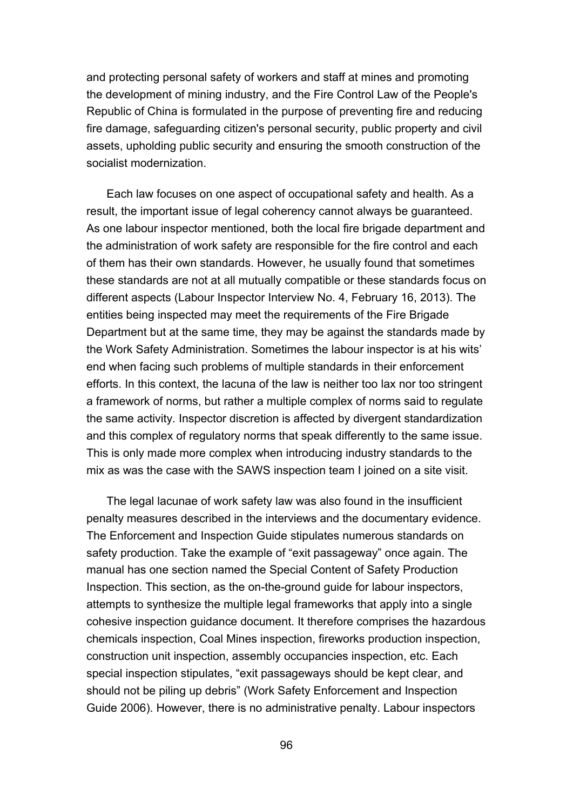and protecting personal safety of workers and staff at mines and promoting the development of mining industry, and the Fire Control Law of the People's Republic of China is formulated in the purpose of preventing fire and reducing fire damage, safeguarding citizen's personal security, public property and civil assets, upholding public security and ensuring the smooth construction of the socialist modernization.

Each law focuses on one aspect of occupational safety and health. As a result, the important issue of legal coherency cannot always be guaranteed. As one labour inspector mentioned, both the local fire brigade department and the administration of work safety are responsible for the fire control and each of them has their own standards. However, he usually found that sometimes these standards are not at all mutually compatible or these standards focus on different aspects (Labour Inspector Interview No. 4, February 16, 2013). The entities being inspected may meet the requirements of the Fire Brigade Department but at the same time, they may be against the standards made by the Work Safety Administration. Sometimes the labour inspector is at his wits' end when facing such problems of multiple standards in their enforcement efforts. In this context, the lacuna of the law is neither too lax nor too stringent a framework of norms, but rather a multiple complex of norms said to regulate the same activity. Inspector discretion is affected by divergent standardization and this complex of regulatory norms that speak differently to the same issue. This is only made more complex when introducing industry standards to the mix as was the case with the SAWS inspection team I joined on a site visit.

The legal lacunae of work safety law was also found in the insufficient penalty measures described in the interviews and the documentary evidence. The Enforcement and Inspection Guide stipulates numerous standards on safety production. Take the example of "exit passageway" once again. The manual has one section named the Special Content of Safety Production Inspection. This section, as the on-the-ground guide for labour inspectors, attempts to synthesize the multiple legal frameworks that apply into a single cohesive inspection guidance document. It therefore comprises the hazardous chemicals inspection, Coal Mines inspection, fireworks production inspection, construction unit inspection, assembly occupancies inspection, etc. Each special inspection stipulates, "exit passageways should be kept clear, and should not be piling up debris" (Work Safety Enforcement and Inspection Guide 2006). However, there is no administrative penalty. Labour inspectors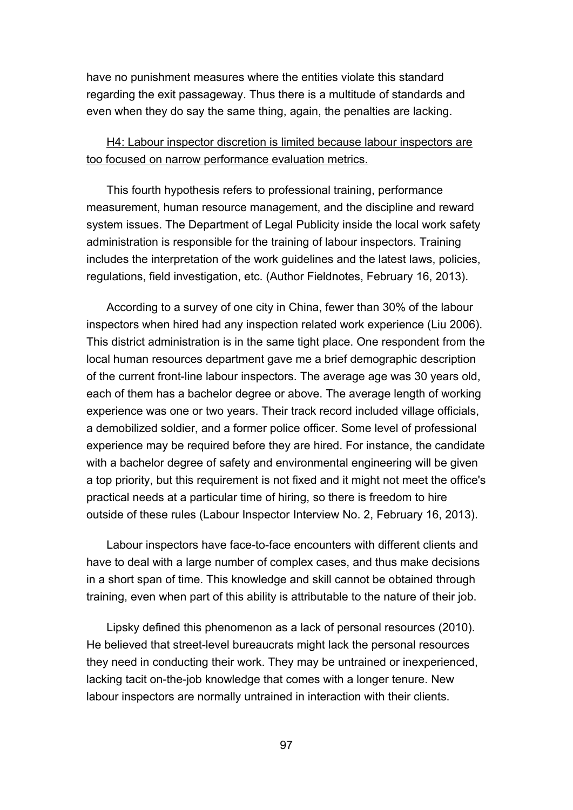have no punishment measures where the entities violate this standard regarding the exit passageway. Thus there is a multitude of standards and even when they do say the same thing, again, the penalties are lacking.

# H4: Labour inspector discretion is limited because labour inspectors are too focused on narrow performance evaluation metrics.

This fourth hypothesis refers to professional training, performance measurement, human resource management, and the discipline and reward system issues. The Department of Legal Publicity inside the local work safety administration is responsible for the training of labour inspectors. Training includes the interpretation of the work guidelines and the latest laws, policies, regulations, field investigation, etc. (Author Fieldnotes, February 16, 2013).

According to a survey of one city in China, fewer than 30% of the labour inspectors when hired had any inspection related work experience (Liu 2006). This district administration is in the same tight place. One respondent from the local human resources department gave me a brief demographic description of the current front-line labour inspectors. The average age was 30 years old, each of them has a bachelor degree or above. The average length of working experience was one or two years. Their track record included village officials, a demobilized soldier, and a former police officer. Some level of professional experience may be required before they are hired. For instance, the candidate with a bachelor degree of safety and environmental engineering will be given a top priority, but this requirement is not fixed and it might not meet the office's practical needs at a particular time of hiring, so there is freedom to hire outside of these rules (Labour Inspector Interview No. 2, February 16, 2013).

Labour inspectors have face-to-face encounters with different clients and have to deal with a large number of complex cases, and thus make decisions in a short span of time. This knowledge and skill cannot be obtained through training, even when part of this ability is attributable to the nature of their job.

Lipsky defined this phenomenon as a lack of personal resources (2010). He believed that street-level bureaucrats might lack the personal resources they need in conducting their work. They may be untrained or inexperienced, lacking tacit on-the-job knowledge that comes with a longer tenure. New labour inspectors are normally untrained in interaction with their clients.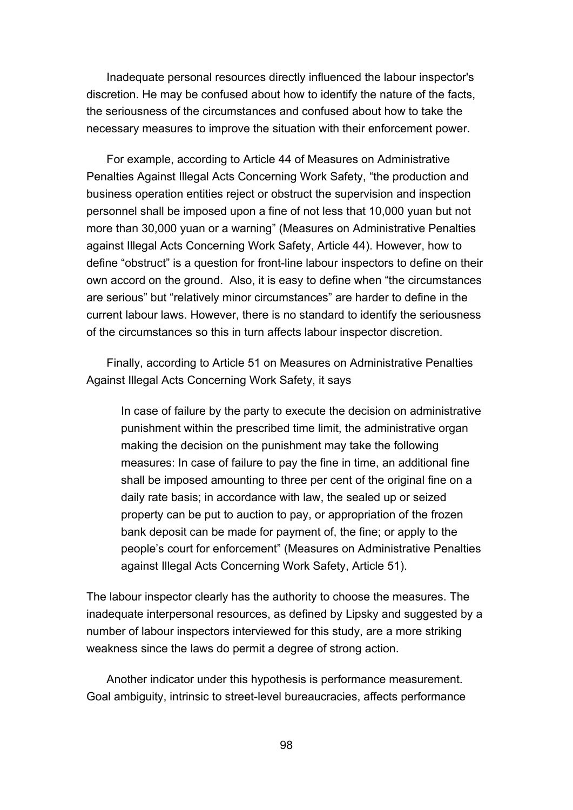Inadequate personal resources directly influenced the labour inspector's discretion. He may be confused about how to identify the nature of the facts, the seriousness of the circumstances and confused about how to take the necessary measures to improve the situation with their enforcement power.

For example, according to Article 44 of Measures on Administrative Penalties Against Illegal Acts Concerning Work Safety, "the production and business operation entities reject or obstruct the supervision and inspection personnel shall be imposed upon a fine of not less that 10,000 yuan but not more than 30,000 yuan or a warning" (Measures on Administrative Penalties against Illegal Acts Concerning Work Safety, Article 44). However, how to define "obstruct" is a question for front-line labour inspectors to define on their own accord on the ground. Also, it is easy to define when "the circumstances are serious" but "relatively minor circumstances" are harder to define in the current labour laws. However, there is no standard to identify the seriousness of the circumstances so this in turn affects labour inspector discretion.

Finally, according to Article 51 on Measures on Administrative Penalties Against Illegal Acts Concerning Work Safety, it says

In case of failure by the party to execute the decision on administrative punishment within the prescribed time limit, the administrative organ making the decision on the punishment may take the following measures: In case of failure to pay the fine in time, an additional fine shall be imposed amounting to three per cent of the original fine on a daily rate basis; in accordance with law, the sealed up or seized property can be put to auction to pay, or appropriation of the frozen bank deposit can be made for payment of, the fine; or apply to the people's court for enforcement" (Measures on Administrative Penalties against Illegal Acts Concerning Work Safety, Article 51).

The labour inspector clearly has the authority to choose the measures. The inadequate interpersonal resources, as defined by Lipsky and suggested by a number of labour inspectors interviewed for this study, are a more striking weakness since the laws do permit a degree of strong action.

Another indicator under this hypothesis is performance measurement. Goal ambiguity, intrinsic to street-level bureaucracies, affects performance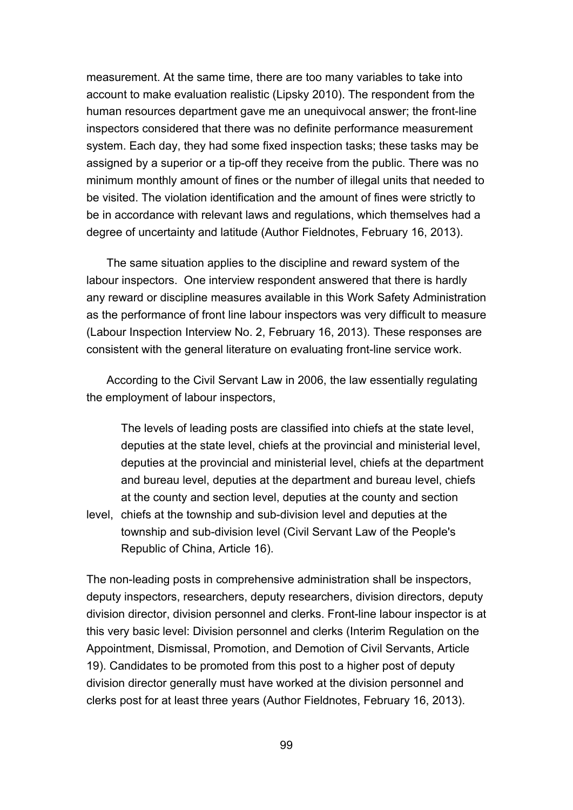measurement. At the same time, there are too many variables to take into account to make evaluation realistic (Lipsky 2010). The respondent from the human resources department gave me an unequivocal answer; the front-line inspectors considered that there was no definite performance measurement system. Each day, they had some fixed inspection tasks; these tasks may be assigned by a superior or a tip-off they receive from the public. There was no minimum monthly amount of fines or the number of illegal units that needed to be visited. The violation identification and the amount of fines were strictly to be in accordance with relevant laws and regulations, which themselves had a degree of uncertainty and latitude (Author Fieldnotes, February 16, 2013).

The same situation applies to the discipline and reward system of the labour inspectors. One interview respondent answered that there is hardly any reward or discipline measures available in this Work Safety Administration as the performance of front line labour inspectors was very difficult to measure (Labour Inspection Interview No. 2, February 16, 2013). These responses are consistent with the general literature on evaluating front-line service work.

According to the Civil Servant Law in 2006, the law essentially regulating the employment of labour inspectors,

The levels of leading posts are classified into chiefs at the state level, deputies at the state level, chiefs at the provincial and ministerial level, deputies at the provincial and ministerial level, chiefs at the department and bureau level, deputies at the department and bureau level, chiefs at the county and section level, deputies at the county and section

level, chiefs at the township and sub-division level and deputies at the township and sub-division level (Civil Servant Law of the People's Republic of China, Article 16).

The non-leading posts in comprehensive administration shall be inspectors, deputy inspectors, researchers, deputy researchers, division directors, deputy division director, division personnel and clerks. Front-line labour inspector is at this very basic level: Division personnel and clerks (Interim Regulation on the Appointment, Dismissal, Promotion, and Demotion of Civil Servants, Article 19). Candidates to be promoted from this post to a higher post of deputy division director generally must have worked at the division personnel and clerks post for at least three years (Author Fieldnotes, February 16, 2013).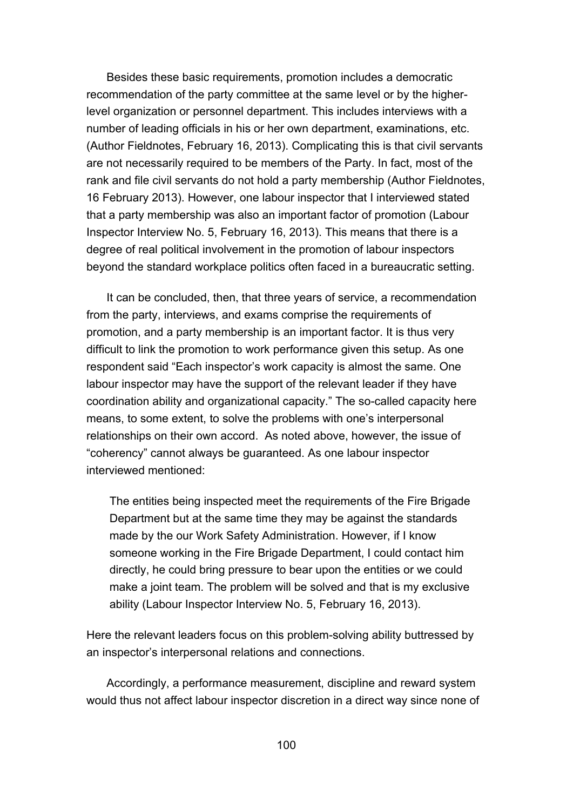Besides these basic requirements, promotion includes a democratic recommendation of the party committee at the same level or by the higherlevel organization or personnel department. This includes interviews with a number of leading officials in his or her own department, examinations, etc. (Author Fieldnotes, February 16, 2013). Complicating this is that civil servants are not necessarily required to be members of the Party. In fact, most of the rank and file civil servants do not hold a party membership (Author Fieldnotes, 16 February 2013). However, one labour inspector that I interviewed stated that a party membership was also an important factor of promotion (Labour Inspector Interview No. 5, February 16, 2013). This means that there is a degree of real political involvement in the promotion of labour inspectors beyond the standard workplace politics often faced in a bureaucratic setting.

It can be concluded, then, that three years of service, a recommendation from the party, interviews, and exams comprise the requirements of promotion, and a party membership is an important factor. It is thus very difficult to link the promotion to work performance given this setup. As one respondent said "Each inspector's work capacity is almost the same. One labour inspector may have the support of the relevant leader if they have coordination ability and organizational capacity." The so-called capacity here means, to some extent, to solve the problems with one's interpersonal relationships on their own accord. As noted above, however, the issue of "coherency" cannot always be guaranteed. As one labour inspector interviewed mentioned:

The entities being inspected meet the requirements of the Fire Brigade Department but at the same time they may be against the standards made by the our Work Safety Administration. However, if I know someone working in the Fire Brigade Department, I could contact him directly, he could bring pressure to bear upon the entities or we could make a joint team. The problem will be solved and that is my exclusive ability (Labour Inspector Interview No. 5, February 16, 2013).

Here the relevant leaders focus on this problem-solving ability buttressed by an inspector's interpersonal relations and connections.

Accordingly, a performance measurement, discipline and reward system would thus not affect labour inspector discretion in a direct way since none of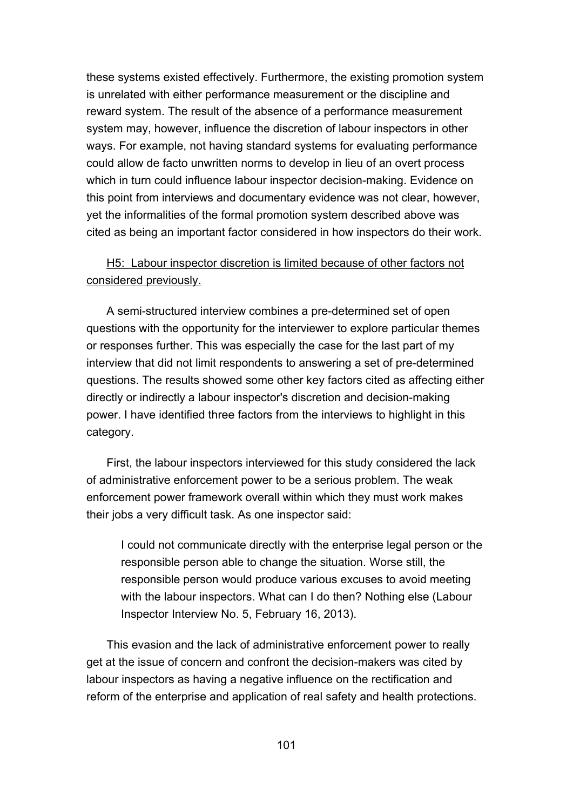these systems existed effectively. Furthermore, the existing promotion system is unrelated with either performance measurement or the discipline and reward system. The result of the absence of a performance measurement system may, however, influence the discretion of labour inspectors in other ways. For example, not having standard systems for evaluating performance could allow de facto unwritten norms to develop in lieu of an overt process which in turn could influence labour inspector decision-making. Evidence on this point from interviews and documentary evidence was not clear, however, yet the informalities of the formal promotion system described above was cited as being an important factor considered in how inspectors do their work.

# H5: Labour inspector discretion is limited because of other factors not considered previously.

A semi-structured interview combines a pre-determined set of open questions with the opportunity for the interviewer to explore particular themes or responses further. This was especially the case for the last part of my interview that did not limit respondents to answering a set of pre-determined questions. The results showed some other key factors cited as affecting either directly or indirectly a labour inspector's discretion and decision-making power. I have identified three factors from the interviews to highlight in this category.

First, the labour inspectors interviewed for this study considered the lack of administrative enforcement power to be a serious problem. The weak enforcement power framework overall within which they must work makes their jobs a very difficult task. As one inspector said:

I could not communicate directly with the enterprise legal person or the responsible person able to change the situation. Worse still, the responsible person would produce various excuses to avoid meeting with the labour inspectors. What can I do then? Nothing else (Labour Inspector Interview No. 5, February 16, 2013).

This evasion and the lack of administrative enforcement power to really get at the issue of concern and confront the decision-makers was cited by labour inspectors as having a negative influence on the rectification and reform of the enterprise and application of real safety and health protections.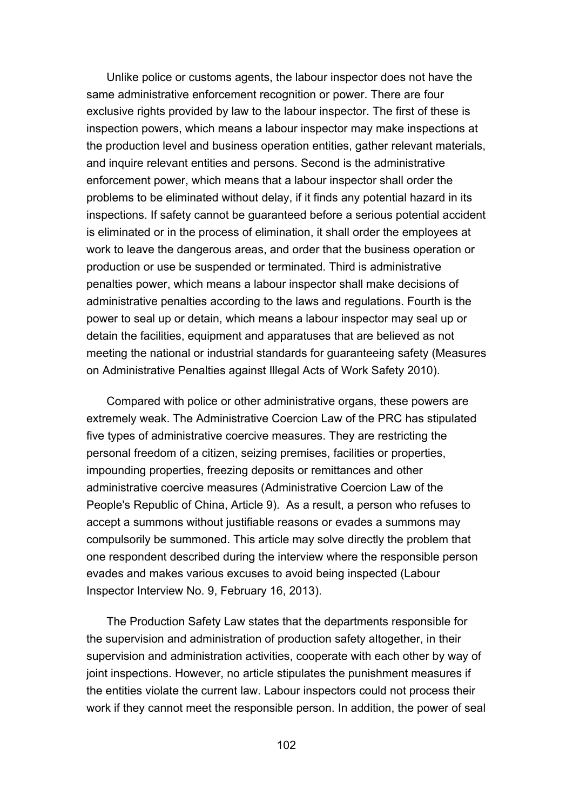Unlike police or customs agents, the labour inspector does not have the same administrative enforcement recognition or power. There are four exclusive rights provided by law to the labour inspector. The first of these is inspection powers, which means a labour inspector may make inspections at the production level and business operation entities, gather relevant materials, and inquire relevant entities and persons. Second is the administrative enforcement power, which means that a labour inspector shall order the problems to be eliminated without delay, if it finds any potential hazard in its inspections. If safety cannot be guaranteed before a serious potential accident is eliminated or in the process of elimination, it shall order the employees at work to leave the dangerous areas, and order that the business operation or production or use be suspended or terminated. Third is administrative penalties power, which means a labour inspector shall make decisions of administrative penalties according to the laws and regulations. Fourth is the power to seal up or detain, which means a labour inspector may seal up or detain the facilities, equipment and apparatuses that are believed as not meeting the national or industrial standards for guaranteeing safety (Measures on Administrative Penalties against Illegal Acts of Work Safety 2010).

Compared with police or other administrative organs, these powers are extremely weak. The Administrative Coercion Law of the PRC has stipulated five types of administrative coercive measures. They are restricting the personal freedom of a citizen, seizing premises, facilities or properties, impounding properties, freezing deposits or remittances and other administrative coercive measures (Administrative Coercion Law of the People's Republic of China, Article 9). As a result, a person who refuses to accept a summons without justifiable reasons or evades a summons may compulsorily be summoned. This article may solve directly the problem that one respondent described during the interview where the responsible person evades and makes various excuses to avoid being inspected (Labour Inspector Interview No. 9, February 16, 2013).

The Production Safety Law states that the departments responsible for the supervision and administration of production safety altogether, in their supervision and administration activities, cooperate with each other by way of joint inspections. However, no article stipulates the punishment measures if the entities violate the current law. Labour inspectors could not process their work if they cannot meet the responsible person. In addition, the power of seal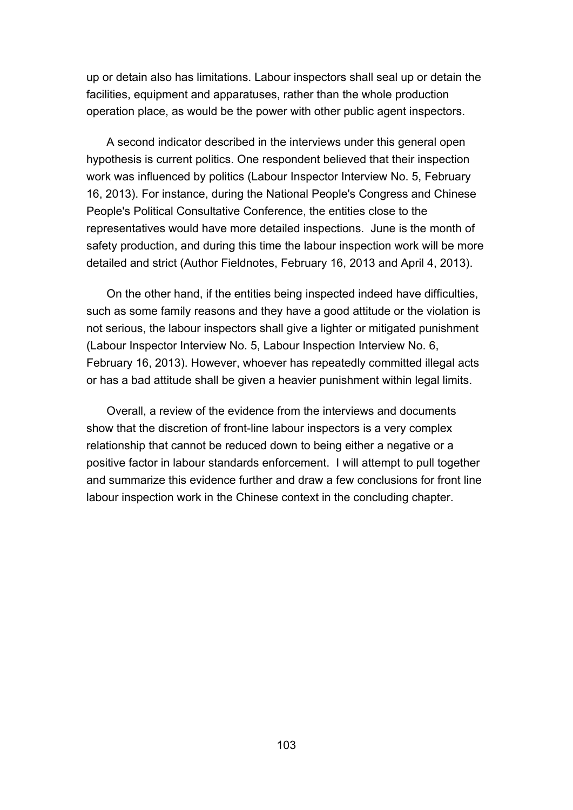up or detain also has limitations. Labour inspectors shall seal up or detain the facilities, equipment and apparatuses, rather than the whole production operation place, as would be the power with other public agent inspectors.

A second indicator described in the interviews under this general open hypothesis is current politics. One respondent believed that their inspection work was influenced by politics (Labour Inspector Interview No. 5, February 16, 2013). For instance, during the National People's Congress and Chinese People's Political Consultative Conference, the entities close to the representatives would have more detailed inspections. June is the month of safety production, and during this time the labour inspection work will be more detailed and strict (Author Fieldnotes, February 16, 2013 and April 4, 2013).

On the other hand, if the entities being inspected indeed have difficulties, such as some family reasons and they have a good attitude or the violation is not serious, the labour inspectors shall give a lighter or mitigated punishment (Labour Inspector Interview No. 5, Labour Inspection Interview No. 6, February 16, 2013). However, whoever has repeatedly committed illegal acts or has a bad attitude shall be given a heavier punishment within legal limits.

Overall, a review of the evidence from the interviews and documents show that the discretion of front-line labour inspectors is a very complex relationship that cannot be reduced down to being either a negative or a positive factor in labour standards enforcement. I will attempt to pull together and summarize this evidence further and draw a few conclusions for front line labour inspection work in the Chinese context in the concluding chapter.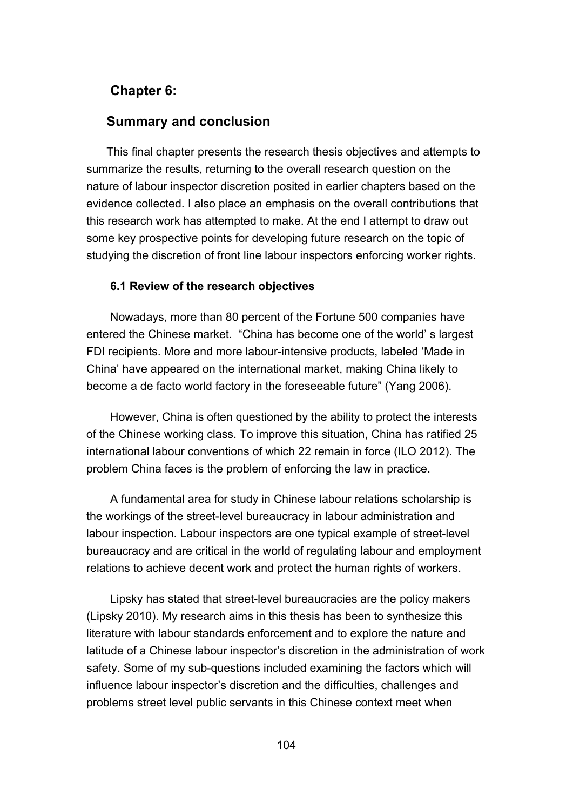# **Chapter 6:**

## **Summary and conclusion**

This final chapter presents the research thesis objectives and attempts to summarize the results, returning to the overall research question on the nature of labour inspector discretion posited in earlier chapters based on the evidence collected. I also place an emphasis on the overall contributions that this research work has attempted to make. At the end I attempt to draw out some key prospective points for developing future research on the topic of studying the discretion of front line labour inspectors enforcing worker rights.

#### **6.1 Review of the research objectives**

Nowadays, more than 80 percent of the Fortune 500 companies have entered the Chinese market. "China has become one of the world' s largest FDI recipients. More and more labour-intensive products, labeled 'Made in China' have appeared on the international market, making China likely to become a de facto world factory in the foreseeable future" (Yang 2006).

However, China is often questioned by the ability to protect the interests of the Chinese working class. To improve this situation, China has ratified 25 international labour conventions of which 22 remain in force (ILO 2012). The problem China faces is the problem of enforcing the law in practice.

A fundamental area for study in Chinese labour relations scholarship is the workings of the street-level bureaucracy in labour administration and labour inspection. Labour inspectors are one typical example of street-level bureaucracy and are critical in the world of regulating labour and employment relations to achieve decent work and protect the human rights of workers.

Lipsky has stated that street-level bureaucracies are the policy makers (Lipsky 2010). My research aims in this thesis has been to synthesize this literature with labour standards enforcement and to explore the nature and latitude of a Chinese labour inspector's discretion in the administration of work safety. Some of my sub-questions included examining the factors which will influence labour inspector's discretion and the difficulties, challenges and problems street level public servants in this Chinese context meet when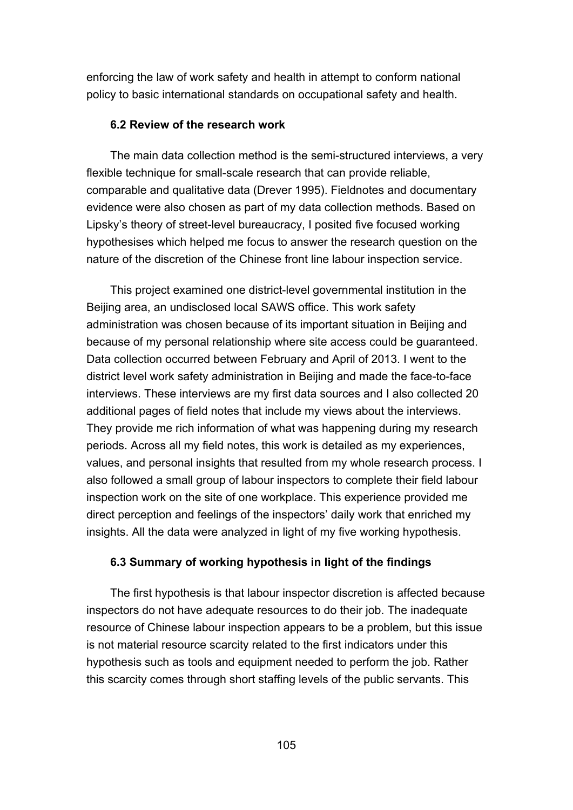enforcing the law of work safety and health in attempt to conform national policy to basic international standards on occupational safety and health.

#### **6.2 Review of the research work**

The main data collection method is the semi-structured interviews, a very flexible technique for small-scale research that can provide reliable, comparable and qualitative data (Drever 1995). Fieldnotes and documentary evidence were also chosen as part of my data collection methods. Based on Lipsky's theory of street-level bureaucracy, I posited five focused working hypothesises which helped me focus to answer the research question on the nature of the discretion of the Chinese front line labour inspection service.

This project examined one district-level governmental institution in the Beijing area, an undisclosed local SAWS office. This work safety administration was chosen because of its important situation in Beijing and because of my personal relationship where site access could be guaranteed. Data collection occurred between February and April of 2013. I went to the district level work safety administration in Beijing and made the face-to-face interviews. These interviews are my first data sources and I also collected 20 additional pages of field notes that include my views about the interviews. They provide me rich information of what was happening during my research periods. Across all my field notes, this work is detailed as my experiences, values, and personal insights that resulted from my whole research process. I also followed a small group of labour inspectors to complete their field labour inspection work on the site of one workplace. This experience provided me direct perception and feelings of the inspectors' daily work that enriched my insights. All the data were analyzed in light of my five working hypothesis.

### **6.3 Summary of working hypothesis in light of the findings**

The first hypothesis is that labour inspector discretion is affected because inspectors do not have adequate resources to do their job. The inadequate resource of Chinese labour inspection appears to be a problem, but this issue is not material resource scarcity related to the first indicators under this hypothesis such as tools and equipment needed to perform the job. Rather this scarcity comes through short staffing levels of the public servants. This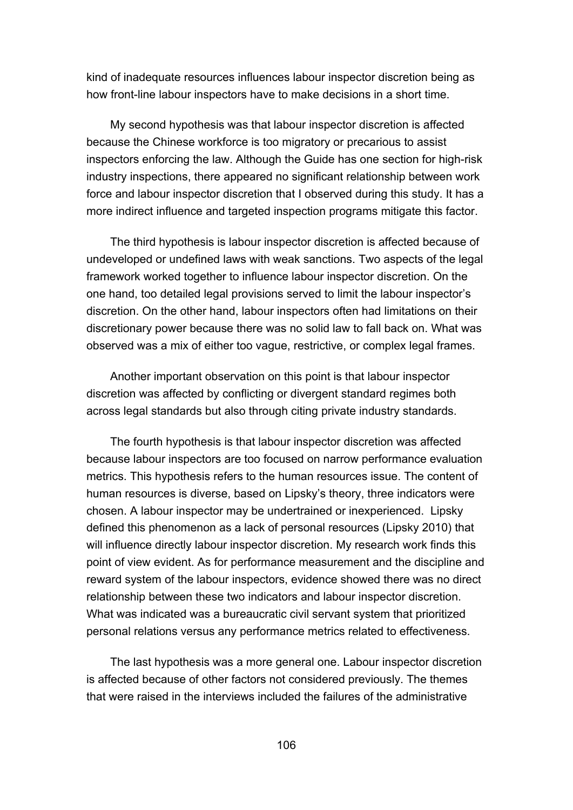kind of inadequate resources influences labour inspector discretion being as how front-line labour inspectors have to make decisions in a short time.

My second hypothesis was that labour inspector discretion is affected because the Chinese workforce is too migratory or precarious to assist inspectors enforcing the law. Although the Guide has one section for high-risk industry inspections, there appeared no significant relationship between work force and labour inspector discretion that I observed during this study. It has a more indirect influence and targeted inspection programs mitigate this factor.

The third hypothesis is labour inspector discretion is affected because of undeveloped or undefined laws with weak sanctions. Two aspects of the legal framework worked together to influence labour inspector discretion. On the one hand, too detailed legal provisions served to limit the labour inspector's discretion. On the other hand, labour inspectors often had limitations on their discretionary power because there was no solid law to fall back on. What was observed was a mix of either too vague, restrictive, or complex legal frames.

Another important observation on this point is that labour inspector discretion was affected by conflicting or divergent standard regimes both across legal standards but also through citing private industry standards.

The fourth hypothesis is that labour inspector discretion was affected because labour inspectors are too focused on narrow performance evaluation metrics. This hypothesis refers to the human resources issue. The content of human resources is diverse, based on Lipsky's theory, three indicators were chosen. A labour inspector may be undertrained or inexperienced. Lipsky defined this phenomenon as a lack of personal resources (Lipsky 2010) that will influence directly labour inspector discretion. My research work finds this point of view evident. As for performance measurement and the discipline and reward system of the labour inspectors, evidence showed there was no direct relationship between these two indicators and labour inspector discretion. What was indicated was a bureaucratic civil servant system that prioritized personal relations versus any performance metrics related to effectiveness.

The last hypothesis was a more general one. Labour inspector discretion is affected because of other factors not considered previously. The themes that were raised in the interviews included the failures of the administrative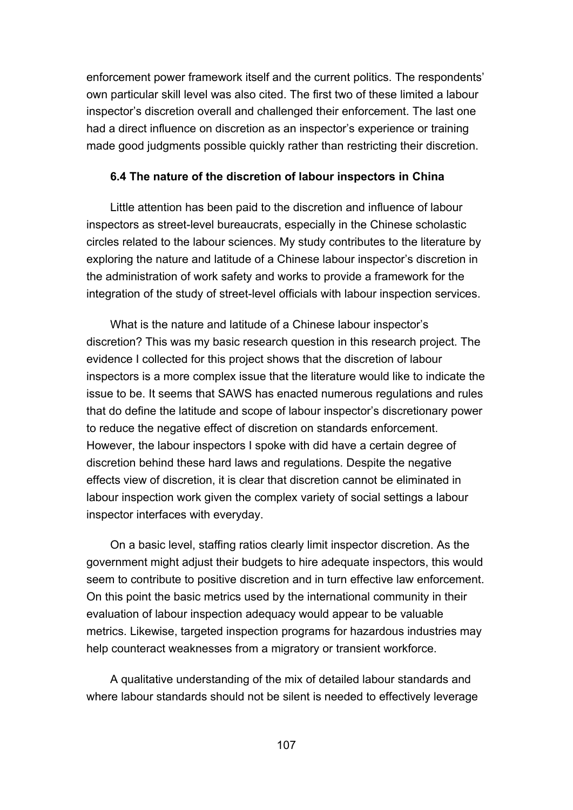enforcement power framework itself and the current politics. The respondents' own particular skill level was also cited. The first two of these limited a labour inspector's discretion overall and challenged their enforcement. The last one had a direct influence on discretion as an inspector's experience or training made good judgments possible quickly rather than restricting their discretion.

### **6.4 The nature of the discretion of labour inspectors in China**

Little attention has been paid to the discretion and influence of labour inspectors as street-level bureaucrats, especially in the Chinese scholastic circles related to the labour sciences. My study contributes to the literature by exploring the nature and latitude of a Chinese labour inspector's discretion in the administration of work safety and works to provide a framework for the integration of the study of street-level officials with labour inspection services.

What is the nature and latitude of a Chinese labour inspector's discretion? This was my basic research question in this research project. The evidence I collected for this project shows that the discretion of labour inspectors is a more complex issue that the literature would like to indicate the issue to be. It seems that SAWS has enacted numerous regulations and rules that do define the latitude and scope of labour inspector's discretionary power to reduce the negative effect of discretion on standards enforcement. However, the labour inspectors I spoke with did have a certain degree of discretion behind these hard laws and regulations. Despite the negative effects view of discretion, it is clear that discretion cannot be eliminated in labour inspection work given the complex variety of social settings a labour inspector interfaces with everyday.

On a basic level, staffing ratios clearly limit inspector discretion. As the government might adjust their budgets to hire adequate inspectors, this would seem to contribute to positive discretion and in turn effective law enforcement. On this point the basic metrics used by the international community in their evaluation of labour inspection adequacy would appear to be valuable metrics. Likewise, targeted inspection programs for hazardous industries may help counteract weaknesses from a migratory or transient workforce.

A qualitative understanding of the mix of detailed labour standards and where labour standards should not be silent is needed to effectively leverage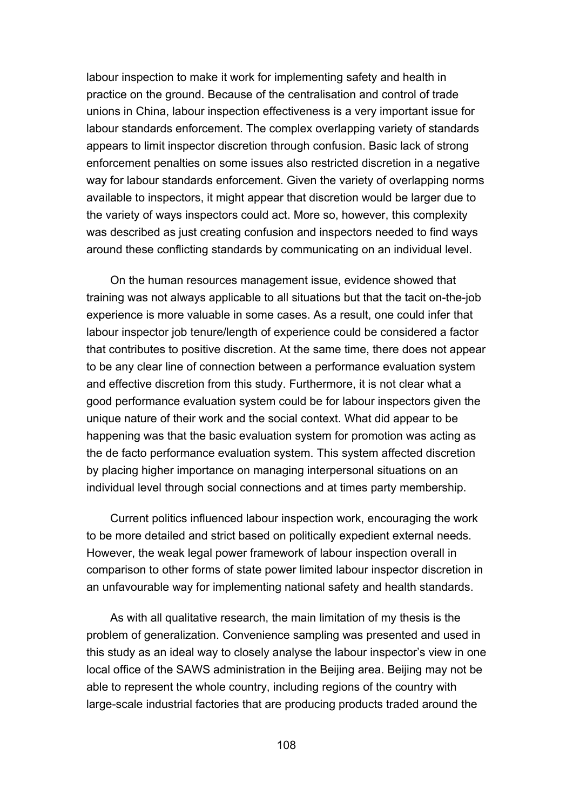labour inspection to make it work for implementing safety and health in practice on the ground. Because of the centralisation and control of trade unions in China, labour inspection effectiveness is a very important issue for labour standards enforcement. The complex overlapping variety of standards appears to limit inspector discretion through confusion. Basic lack of strong enforcement penalties on some issues also restricted discretion in a negative way for labour standards enforcement. Given the variety of overlapping norms available to inspectors, it might appear that discretion would be larger due to the variety of ways inspectors could act. More so, however, this complexity was described as just creating confusion and inspectors needed to find ways around these conflicting standards by communicating on an individual level.

On the human resources management issue, evidence showed that training was not always applicable to all situations but that the tacit on-the-job experience is more valuable in some cases. As a result, one could infer that labour inspector job tenure/length of experience could be considered a factor that contributes to positive discretion. At the same time, there does not appear to be any clear line of connection between a performance evaluation system and effective discretion from this study. Furthermore, it is not clear what a good performance evaluation system could be for labour inspectors given the unique nature of their work and the social context. What did appear to be happening was that the basic evaluation system for promotion was acting as the de facto performance evaluation system. This system affected discretion by placing higher importance on managing interpersonal situations on an individual level through social connections and at times party membership.

Current politics influenced labour inspection work, encouraging the work to be more detailed and strict based on politically expedient external needs. However, the weak legal power framework of labour inspection overall in comparison to other forms of state power limited labour inspector discretion in an unfavourable way for implementing national safety and health standards.

As with all qualitative research, the main limitation of my thesis is the problem of generalization. Convenience sampling was presented and used in this study as an ideal way to closely analyse the labour inspector's view in one local office of the SAWS administration in the Beijing area. Beijing may not be able to represent the whole country, including regions of the country with large-scale industrial factories that are producing products traded around the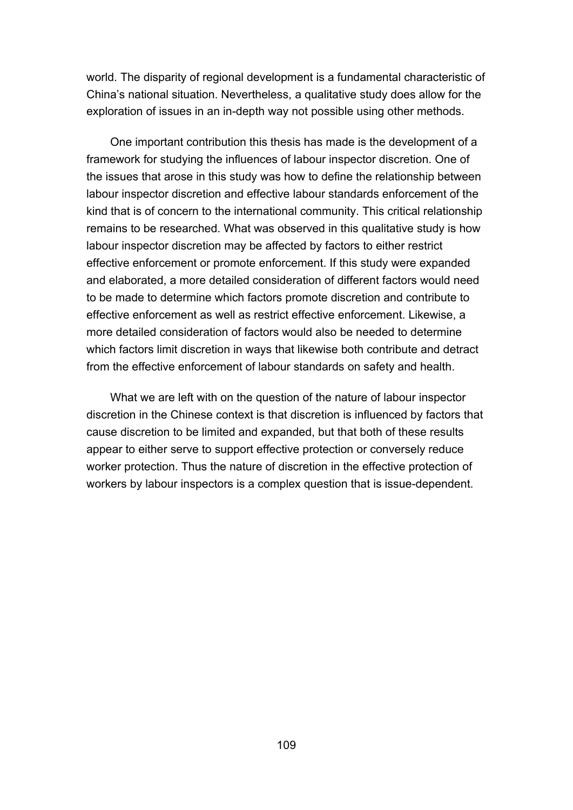world. The disparity of regional development is a fundamental characteristic of China's national situation. Nevertheless, a qualitative study does allow for the exploration of issues in an in-depth way not possible using other methods.

One important contribution this thesis has made is the development of a framework for studying the influences of labour inspector discretion. One of the issues that arose in this study was how to define the relationship between labour inspector discretion and effective labour standards enforcement of the kind that is of concern to the international community. This critical relationship remains to be researched. What was observed in this qualitative study is how labour inspector discretion may be affected by factors to either restrict effective enforcement or promote enforcement. If this study were expanded and elaborated, a more detailed consideration of different factors would need to be made to determine which factors promote discretion and contribute to effective enforcement as well as restrict effective enforcement. Likewise, a more detailed consideration of factors would also be needed to determine which factors limit discretion in ways that likewise both contribute and detract from the effective enforcement of labour standards on safety and health.

What we are left with on the question of the nature of labour inspector discretion in the Chinese context is that discretion is influenced by factors that cause discretion to be limited and expanded, but that both of these results appear to either serve to support effective protection or conversely reduce worker protection. Thus the nature of discretion in the effective protection of workers by labour inspectors is a complex question that is issue-dependent.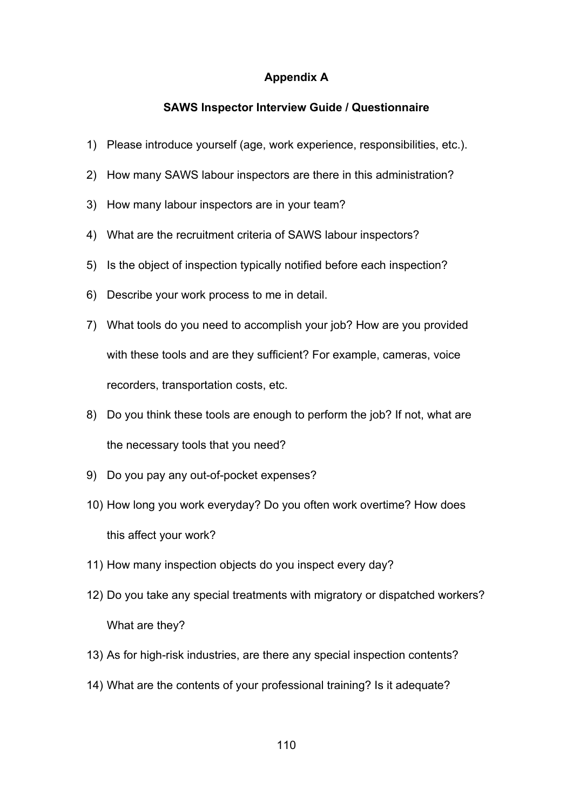## **Appendix A**

#### **SAWS Inspector Interview Guide / Questionnaire**

- 1) Please introduce yourself (age, work experience, responsibilities, etc.).
- 2) How many SAWS labour inspectors are there in this administration?
- 3) How many labour inspectors are in your team?
- 4) What are the recruitment criteria of SAWS labour inspectors?
- 5) Is the object of inspection typically notified before each inspection?
- 6) Describe your work process to me in detail.
- 7) What tools do you need to accomplish your job? How are you provided with these tools and are they sufficient? For example, cameras, voice recorders, transportation costs, etc.
- 8) Do you think these tools are enough to perform the job? If not, what are the necessary tools that you need?
- 9) Do you pay any out-of-pocket expenses?
- 10) How long you work everyday? Do you often work overtime? How does this affect your work?
- 11) How many inspection objects do you inspect every day?
- 12) Do you take any special treatments with migratory or dispatched workers? What are they?
- 13) As for high-risk industries, are there any special inspection contents?
- 14) What are the contents of your professional training? Is it adequate?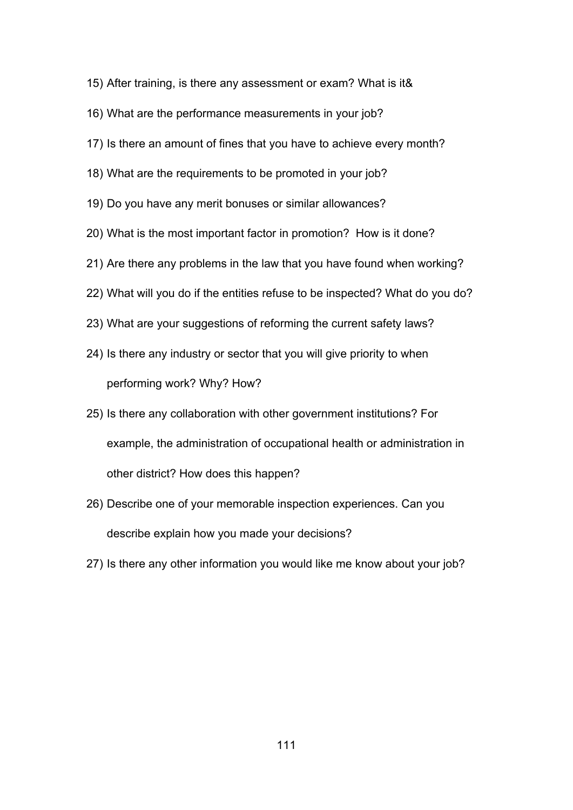- 15) After training, is there any assessment or exam? What is it&
- 16) What are the performance measurements in your job?
- 17) Is there an amount of fines that you have to achieve every month?
- 18) What are the requirements to be promoted in your job?
- 19) Do you have any merit bonuses or similar allowances?
- 20) What is the most important factor in promotion? How is it done?
- 21) Are there any problems in the law that you have found when working?
- 22) What will you do if the entities refuse to be inspected? What do you do?
- 23) What are your suggestions of reforming the current safety laws?
- 24) Is there any industry or sector that you will give priority to when performing work? Why? How?
- 25) Is there any collaboration with other government institutions? For example, the administration of occupational health or administration in other district? How does this happen?
- 26) Describe one of your memorable inspection experiences. Can you describe explain how you made your decisions?
- 27) Is there any other information you would like me know about your job?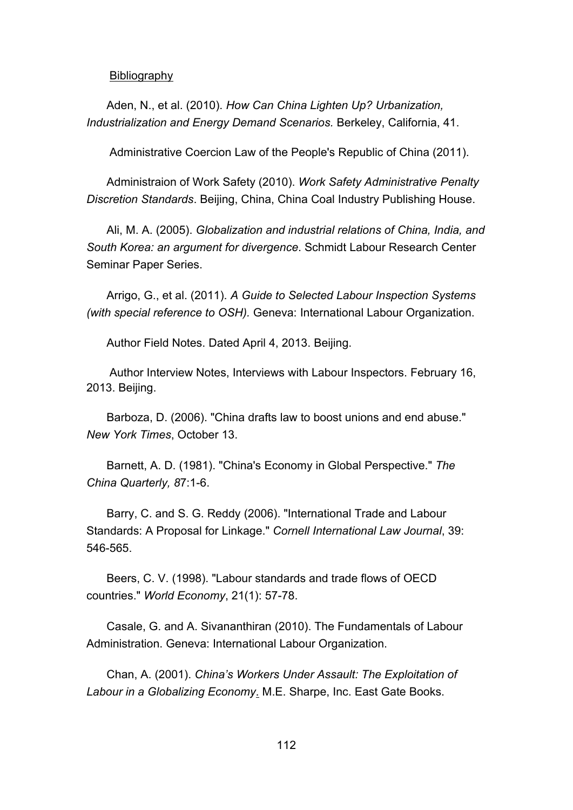Bibliography

Aden, N., et al. (2010). *How Can China Lighten Up? Urbanization, Industrialization and Energy Demand Scenarios.* Berkeley, California, 41.

Administrative Coercion Law of the People's Republic of China (2011).

Administraion of Work Safety (2010). *Work Safety Administrative Penalty Discretion Standards*. Beijing, China, China Coal Industry Publishing House.

Ali, M. A. (2005). *Globalization and industrial relations of China, India, and South Korea: an argument for divergence*. Schmidt Labour Research Center Seminar Paper Series.

Arrigo, G., et al. (2011). *A Guide to Selected Labour Inspection Systems (with special reference to OSH).* Geneva: International Labour Organization.

Author Field Notes. Dated April 4, 2013. Beijing.

Author Interview Notes, Interviews with Labour Inspectors. February 16, 2013. Beijing.

Barboza, D. (2006). "China drafts law to boost unions and end abuse." *New York Times*, October 13.

Barnett, A. D. (1981). "China's Economy in Global Perspective." *The China Quarterly, 8*7:1-6.

Barry, C. and S. G. Reddy (2006). "International Trade and Labour Standards: A Proposal for Linkage." *Cornell International Law Journal*, 39: 546-565.

Beers, C. V. (1998). "Labour standards and trade flows of OECD countries." *World Economy*, 21(1): 57-78.

Casale, G. and A. Sivananthiran (2010). The Fundamentals of Labour Administration. Geneva: International Labour Organization.

Chan, A. (2001). *China's Workers Under Assault: The Exploitation of Labour in a Globalizing Economy*. M.E. Sharpe, Inc. East Gate Books.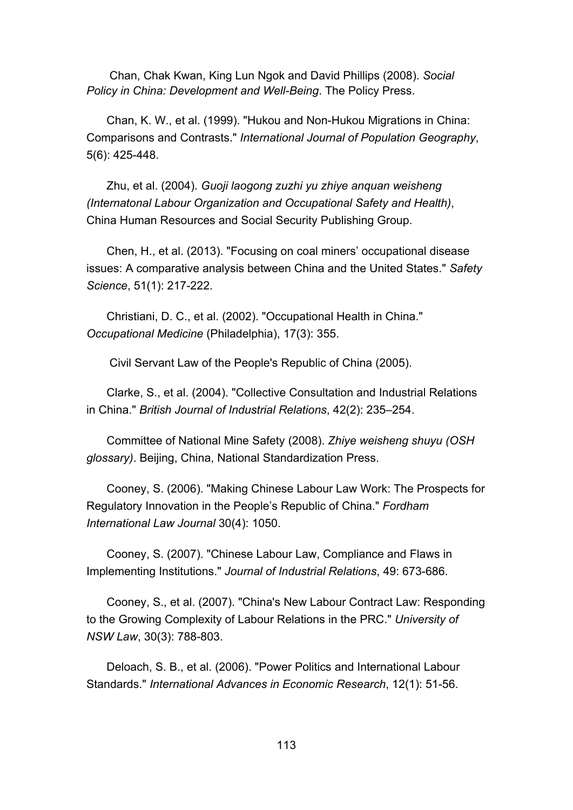Chan, Chak Kwan, King Lun Ngok and David Phillips (2008). *Social Policy in China: Development and Well-Being*. The Policy Press.

Chan, K. W., et al. (1999). "Hukou and Non-Hukou Migrations in China: Comparisons and Contrasts." *International Journal of Population Geography*, 5(6): 425-448.

Zhu, et al. (2004). *Guoji laogong zuzhi yu zhiye anquan weisheng (Internatonal Labour Organization and Occupational Safety and Health)*, China Human Resources and Social Security Publishing Group.

Chen, H., et al. (2013). "Focusing on coal miners' occupational disease issues: A comparative analysis between China and the United States." *Safety Science*, 51(1): 217-222.

Christiani, D. C., et al. (2002). "Occupational Health in China." *Occupational Medicine* (Philadelphia), 17(3): 355.

Civil Servant Law of the People's Republic of China (2005).

Clarke, S., et al. (2004). "Collective Consultation and Industrial Relations in China." *British Journal of Industrial Relations*, 42(2): 235–254.

Committee of National Mine Safety (2008). *Zhiye weisheng shuyu (OSH glossary)*. Beijing, China, National Standardization Press.

Cooney, S. (2006). "Making Chinese Labour Law Work: The Prospects for Regulatory Innovation in the People's Republic of China." *Fordham International Law Journal* 30(4): 1050.

Cooney, S. (2007). "Chinese Labour Law, Compliance and Flaws in Implementing Institutions." *Journal of Industrial Relations*, 49: 673-686.

Cooney, S., et al. (2007). "China's New Labour Contract Law: Responding to the Growing Complexity of Labour Relations in the PRC." *University of NSW Law*, 30(3): 788-803.

Deloach, S. B., et al. (2006). "Power Politics and International Labour Standards." *International Advances in Economic Research*, 12(1): 51-56.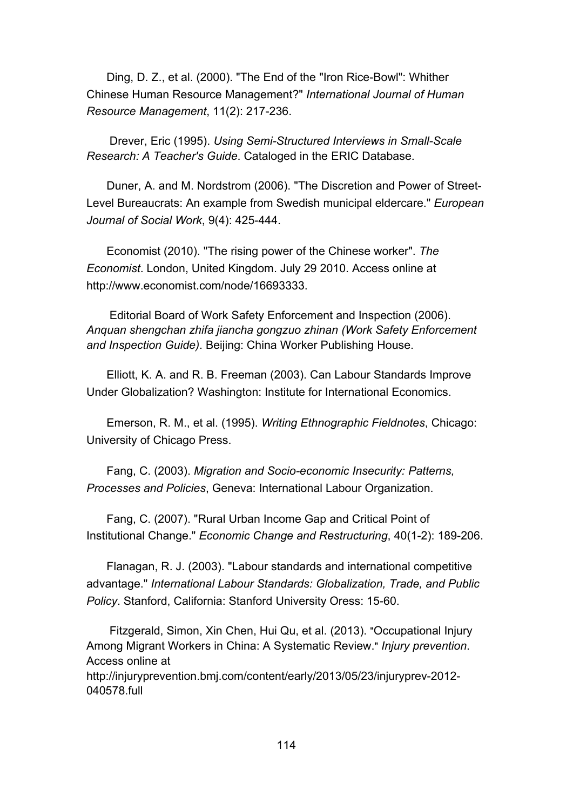Ding, D. Z., et al. (2000). "The End of the "Iron Rice-Bowl": Whither Chinese Human Resource Management?" *International Journal of Human Resource Management*, 11(2): 217-236.

Drever, Eric (1995). *Using Semi-Structured Interviews in Small-Scale Research: A Teacher's Guide*. Cataloged in the ERIC Database.

Duner, A. and M. Nordstrom (2006). "The Discretion and Power of Street-Level Bureaucrats: An example from Swedish municipal eldercare." *European Journal of Social Work*, 9(4): 425-444.

Economist (2010). "The rising power of the Chinese worker". *The Economist*. London, United Kingdom. July 29 2010. Access online at http://www.economist.com/node/16693333.

Editorial Board of Work Safety Enforcement and Inspection (2006). *Anquan shengchan zhifa jiancha gongzuo zhinan (Work Safety Enforcement and Inspection Guide)*. Beijing: China Worker Publishing House.

Elliott, K. A. and R. B. Freeman (2003). Can Labour Standards Improve Under Globalization? Washington: Institute for International Economics.

Emerson, R. M., et al. (1995). *Writing Ethnographic Fieldnotes*, Chicago: University of Chicago Press.

Fang, C. (2003). *Migration and Socio-economic Insecurity: Patterns, Processes and Policies*, Geneva: International Labour Organization.

Fang, C. (2007). "Rural Urban Income Gap and Critical Point of Institutional Change." *Economic Change and Restructuring*, 40(1-2): 189-206.

Flanagan, R. J. (2003). "Labour standards and international competitive advantage." *International Labour Standards: Globalization, Trade, and Public Policy*. Stanford, California: Stanford University Oress: 15-60.

Fitzgerald, Simon, Xin Chen, Hui Qu, et al. (2013). "Occupational Injury Among Migrant Workers in China: A Systematic Review." *Injury prevention*. Access online at http://injuryprevention.bmj.com/content/early/2013/05/23/injuryprev-2012-

040578.full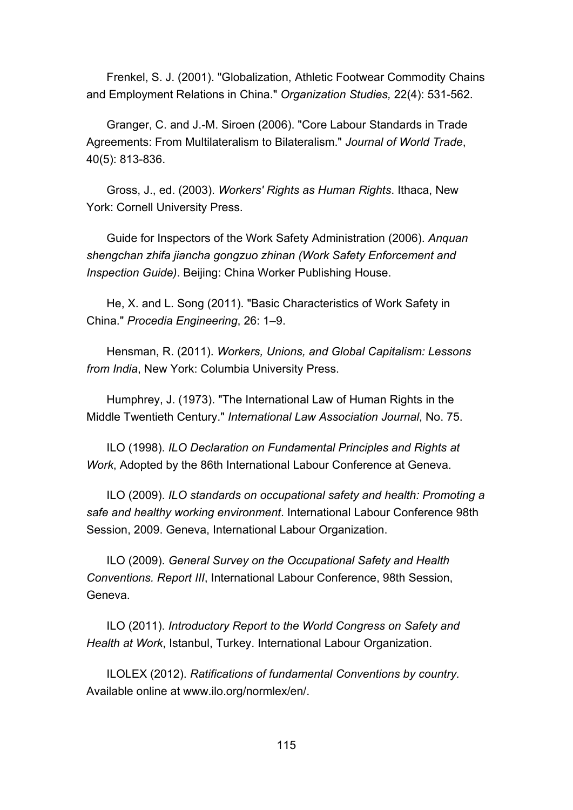Frenkel, S. J. (2001). "Globalization, Athletic Footwear Commodity Chains and Employment Relations in China." *Organization Studies,* 22(4): 531-562.

Granger, C. and J.-M. Siroen (2006). "Core Labour Standards in Trade Agreements: From Multilateralism to Bilateralism." *Journal of World Trade*, 40(5): 813-836.

Gross, J., ed. (2003). *Workers' Rights as Human Rights*. Ithaca, New York: Cornell University Press.

Guide for Inspectors of the Work Safety Administration (2006). *Anquan shengchan zhifa jiancha gongzuo zhinan (Work Safety Enforcement and Inspection Guide)*. Beijing: China Worker Publishing House.

He, X. and L. Song (2011). "Basic Characteristics of Work Safety in China." *Procedia Engineering*, 26: 1–9.

Hensman, R. (2011). *Workers, Unions, and Global Capitalism: Lessons from India*, New York: Columbia University Press.

Humphrey, J. (1973). "The International Law of Human Rights in the Middle Twentieth Century." *International Law Association Journal*, No. 75.

ILO (1998). *ILO Declaration on Fundamental Principles and Rights at Work*, Adopted by the 86th International Labour Conference at Geneva.

ILO (2009). *ILO standards on occupational safety and health: Promoting a safe and healthy working environment*. International Labour Conference 98th Session, 2009. Geneva, International Labour Organization.

ILO (2009). *General Survey on the Occupational Safety and Health Conventions. Report III*, International Labour Conference, 98th Session, Geneva.

ILO (2011). *Introductory Report to the World Congress on Safety and Health at Work*, Istanbul, Turkey. International Labour Organization.

ILOLEX (2012). *Ratifications of fundamental Conventions by country.* Available online at www.ilo.org/normlex/en/.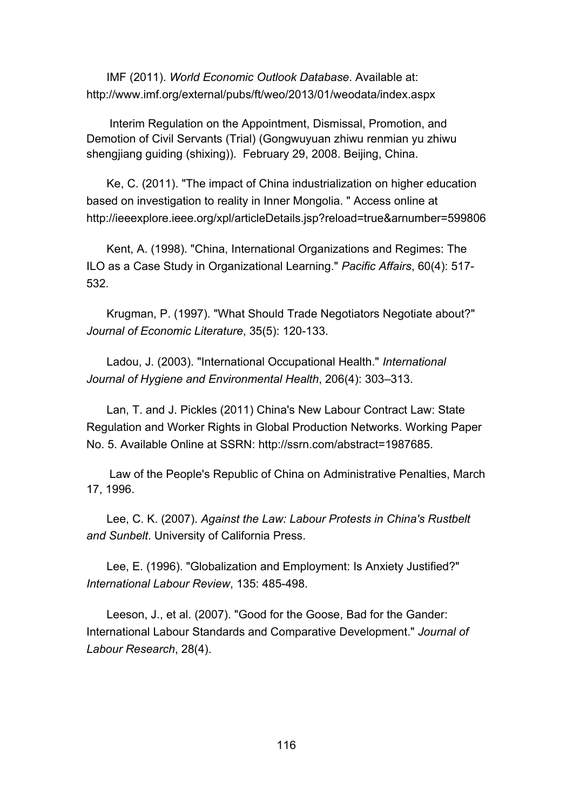IMF (2011). *World Economic Outlook Database*. Available at: http://www.imf.org/external/pubs/ft/weo/2013/01/weodata/index.aspx

Interim Regulation on the Appointment, Dismissal, Promotion, and Demotion of Civil Servants (Trial) (Gongwuyuan zhiwu renmian yu zhiwu shengjiang guiding (shixing)). February 29, 2008. Beijing, China.

Ke, C. (2011). "The impact of China industrialization on higher education based on investigation to reality in Inner Mongolia. " Access online at http://ieeexplore.ieee.org/xpl/articleDetails.jsp?reload=true&arnumber=599806

Kent, A. (1998). "China, International Organizations and Regimes: The ILO as a Case Study in Organizational Learning." *Pacific Affairs*, 60(4): 517- 532.

Krugman, P. (1997). "What Should Trade Negotiators Negotiate about?" *Journal of Economic Literature*, 35(5): 120-133.

Ladou, J. (2003). "International Occupational Health." *International Journal of Hygiene and Environmental Health*, 206(4): 303–313.

Lan, T. and J. Pickles (2011) China's New Labour Contract Law: State Regulation and Worker Rights in Global Production Networks. Working Paper No. 5. Available Online at SSRN: http://ssrn.com/abstract=1987685.

Law of the People's Republic of China on Administrative Penalties, March 17, 1996.

Lee, C. K. (2007). *Against the Law: Labour Protests in China's Rustbelt and Sunbelt*. University of California Press.

Lee, E. (1996). "Globalization and Employment: Is Anxiety Justified?" *International Labour Review*, 135: 485-498.

Leeson, J., et al. (2007). "Good for the Goose, Bad for the Gander: International Labour Standards and Comparative Development." *Journal of Labour Research*, 28(4).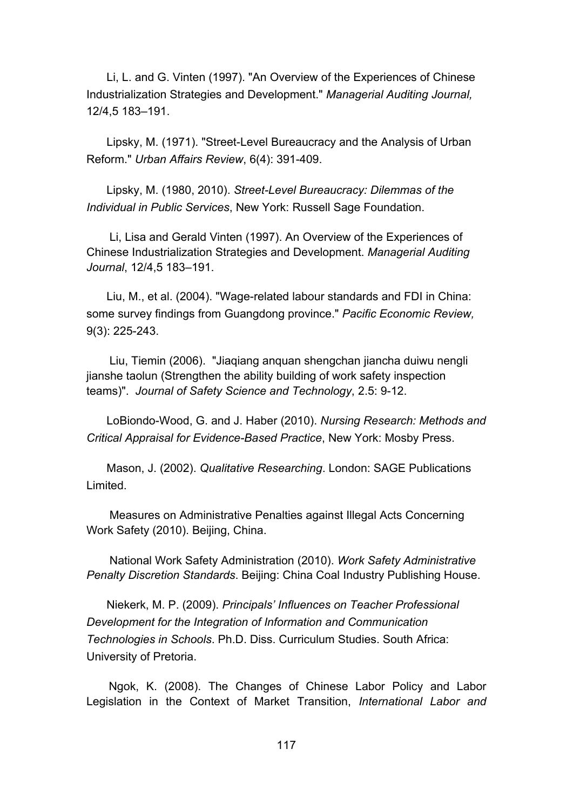Li, L. and G. Vinten (1997). "An Overview of the Experiences of Chinese Industrialization Strategies and Development." *Managerial Auditing Journal,* 12/4,5 183–191.

Lipsky, M. (1971). "Street-Level Bureaucracy and the Analysis of Urban Reform." *Urban Affairs Review*, 6(4): 391-409.

Lipsky, M. (1980, 2010). *Street-Level Bureaucracy: Dilemmas of the Individual in Public Services*, New York: Russell Sage Foundation.

Li, Lisa and Gerald Vinten (1997). An Overview of the Experiences of Chinese Industrialization Strategies and Development. *Managerial Auditing Journal*, 12/4,5 183–191.

Liu, M., et al. (2004). "Wage-related labour standards and FDI in China: some survey findings from Guangdong province." *Pacific Economic Review,* 9(3): 225-243.

Liu, Tiemin (2006). "Jiaqiang anquan shengchan jiancha duiwu nengli jianshe taolun (Strengthen the ability building of work safety inspection teams)". *Journal of Safety Science and Technology*, 2.5: 9-12.

LoBiondo-Wood, G. and J. Haber (2010). *Nursing Research: Methods and Critical Appraisal for Evidence-Based Practice*, New York: Mosby Press.

Mason, J. (2002). *Qualitative Researching*. London: SAGE Publications Limited.

Measures on Administrative Penalties against Illegal Acts Concerning Work Safety (2010). Beijing, China.

National Work Safety Administration (2010). *Work Safety Administrative Penalty Discretion Standards*. Beijing: China Coal Industry Publishing House.

Niekerk, M. P. (2009). *Principals' Influences on Teacher Professional Development for the Integration of Information and Communication Technologies in Schools*. Ph.D. Diss. Curriculum Studies. South Africa: University of Pretoria.

 Ngok, K. (2008). The Changes of Chinese Labor Policy and Labor Legislation in the Context of Market Transition, *[International](http://journals.cambridge.org/action/displayJournal?jid=ILW) [Labor](http://journals.cambridge.org/action/displayJournal?jid=ILW) [and](http://journals.cambridge.org/action/displayJournal?jid=ILW)*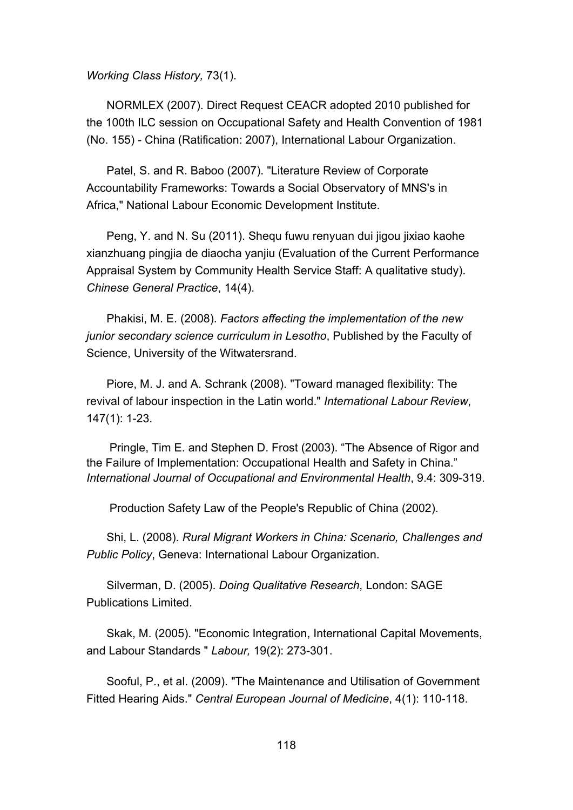*[Working](http://journals.cambridge.org/action/displayJournal?jid=ILW) [Class](http://journals.cambridge.org/action/displayJournal?jid=ILW) [History,](http://journals.cambridge.org/action/displayJournal?jid=ILW)* 73(1).

NORMLEX (2007). Direct Request CEACR adopted 2010 published for the 100th ILC session on Occupational Safety and Health Convention of 1981 (No. 155) - China (Ratification: 2007), International Labour Organization.

Patel, S. and R. Baboo (2007). "Literature Review of Corporate Accountability Frameworks: Towards a Social Observatory of MNS's in Africa," National Labour Economic Development Institute.

Peng, Y. and N. Su (2011). Shequ fuwu renyuan dui jigou jixiao kaohe xianzhuang pingjia de diaocha yanjiu (Evaluation of the Current Performance Appraisal System by Community Health Service Staff: A qualitative study). *Chinese General Practice*, 14(4).

Phakisi, M. E. (2008). *Factors affecting the implementation of the new junior secondary science curriculum in Lesotho*, Published by the Faculty of Science, University of the Witwatersrand.

Piore, M. J. and A. Schrank (2008). "Toward managed flexibility: The revival of labour inspection in the Latin world." *International Labour Review*, 147(1): 1-23.

Pringle, Tim E. and Stephen D. Frost (2003). "The Absence of Rigor and the Failure of Implementation: Occupational Health and Safety in China." *International Journal of Occupational and Environmental Health*, 9.4: 309-319.

Production Safety Law of the People's Republic of China (2002).

Shi, L. (2008). *Rural Migrant Workers in China: Scenario, Challenges and Public Policy*, Geneva: International Labour Organization.

Silverman, D. (2005). *Doing Qualitative Research*, London: SAGE Publications Limited.

Skak, M. (2005). "Economic Integration, International Capital Movements, and Labour Standards " *Labour,* 19(2): 273-301.

Sooful, P., et al. (2009). "The Maintenance and Utilisation of Government Fitted Hearing Aids." *Central European Journal of Medicine*, 4(1): 110-118.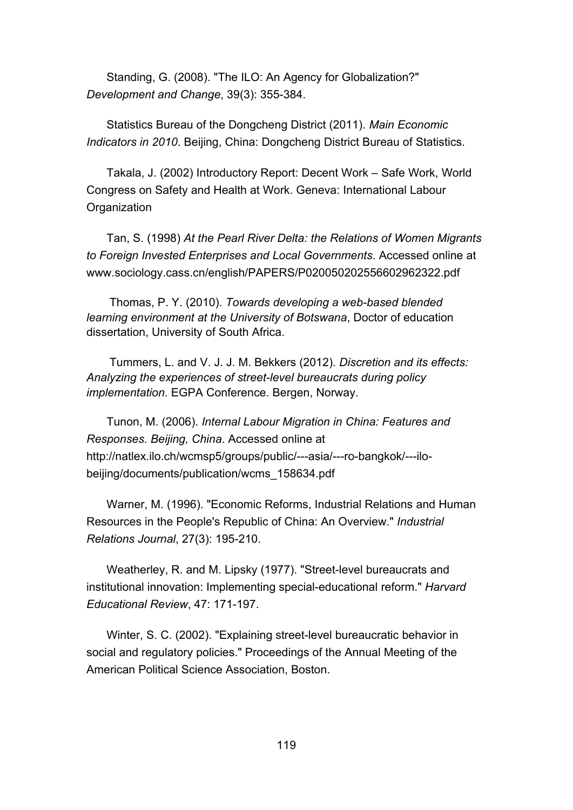Standing, G. (2008). "The ILO: An Agency for Globalization?" *Development and Change*, 39(3): 355-384.

Statistics Bureau of the Dongcheng District (2011). *Main Economic Indicators in 2010*. Beijing, China: Dongcheng District Bureau of Statistics.

Takala, J. (2002) Introductory Report: Decent Work – Safe Work, World Congress on Safety and Health at Work. Geneva: International Labour **Organization** 

Tan, S. (1998) *At the Pearl River Delta: the Relations of Women Migrants to Foreign Invested Enterprises and Local Governments*. Accessed online at www.sociology.cass.cn/english/PAPERS/P020050202556602962322.pdf

Thomas, P. Y. (2010). *Towards developing a web-based blended learning environment at the University of Botswana*, Doctor of education dissertation, University of South Africa.

Tummers, L. and V. J. J. M. Bekkers (2012). *Discretion and its effects: Analyzing the experiences of street-level bureaucrats during policy implementation*. EGPA Conference. Bergen, Norway.

Tunon, M. (2006). *Internal Labour Migration in China: Features and Responses. Beijing, China*. Accessed online at http://natlex.ilo.ch/wcmsp5/groups/public/---asia/---ro-bangkok/---ilobeijing/documents/publication/wcms\_158634.pdf

Warner, M. (1996). "Economic Reforms, Industrial Relations and Human Resources in the People's Republic of China: An Overview." *Industrial Relations Journal*, 27(3): 195-210.

Weatherley, R. and M. Lipsky (1977). "Street-level bureaucrats and institutional innovation: Implementing special-educational reform." *Harvard Educational Review*, 47: 171-197.

Winter, S. C. (2002). "Explaining street-level bureaucratic behavior in social and regulatory policies." Proceedings of the Annual Meeting of the American Political Science Association, Boston.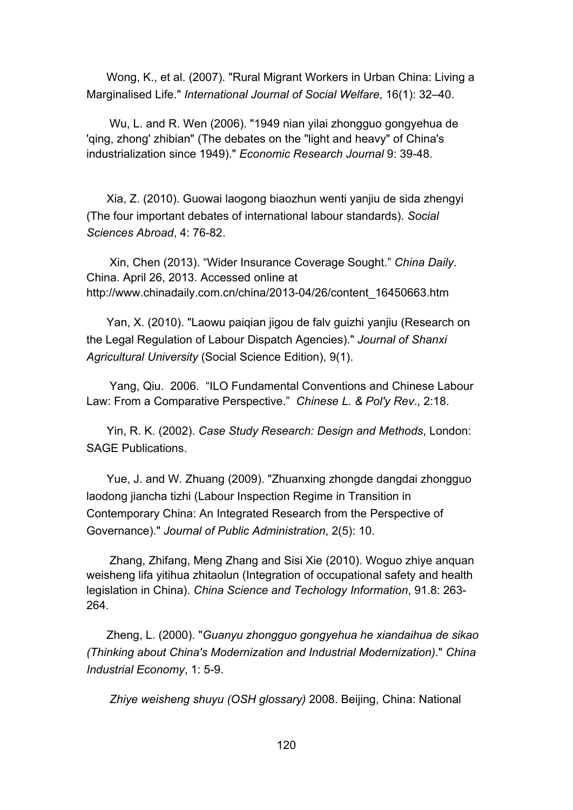Wong, K., et al. (2007). "Rural Migrant Workers in Urban China: Living a Marginalised Life." *International Journal of Social Welfare*, 16(1): 32–40.

Wu, L. and R. Wen (2006). "1949 nian yilai zhongguo gongyehua de 'qing, zhong' zhibian" (The debates on the "light and heavy" of China's industrialization since 1949)." *Economic Research Journal* 9: 39-48.

Xia, Z. (2010). Guowai laogong biaozhun wenti yanjiu de sida zhengyi (The four important debates of international labour standards). *Social Sciences Abroad*, 4: 76-82.

Xin, Chen (2013). "Wider Insurance Coverage Sought." *China Daily*. China. April 26, 2013. Accessed online at http://www.chinadaily.com.cn/china/2013-04/26/content\_16450663.htm

Yan, X. (2010). "Laowu paiqian jigou de falv guizhi yanjiu (Research on the Legal Regulation of Labour Dispatch Agencies)." *Journal of Shanxi Agricultural University* (Social Science Edition), 9(1).

Yang, Qiu. 2006. "ILO Fundamental Conventions and Chinese Labour Law: From a Comparative Perspective." *Chinese L. & Pol'y Rev*., 2:18.

Yin, R. K. (2002). *Case Study Research: Design and Methods*, London: SAGE Publications.

Yue, J. and W. Zhuang (2009). "Zhuanxing zhongde dangdai zhongguo laodong jiancha tizhi (Labour Inspection Regime in Transition in Contemporary China: An Integrated Research from the Perspective of Governance)." *Journal of Public Administration*, 2(5): 10.

Zhang, Zhifang, Meng Zhang and Sisi Xie (2010). Woguo zhiye anquan weisheng lifa yitihua zhitaolun (Integration of occupational safety and health legislation in China). *China Science and Techology Information*, 91.8: 263- 264.

Zheng, L. (2000). "*Guanyu zhongguo gongyehua he xiandaihua de sikao (Thinking about China's Modernization and Industrial Modernization)*." *China Industrial Economy*, 1: 5-9.

*Zhiye weisheng shuyu (OSH glossary)* 2008. Beijing, China: National